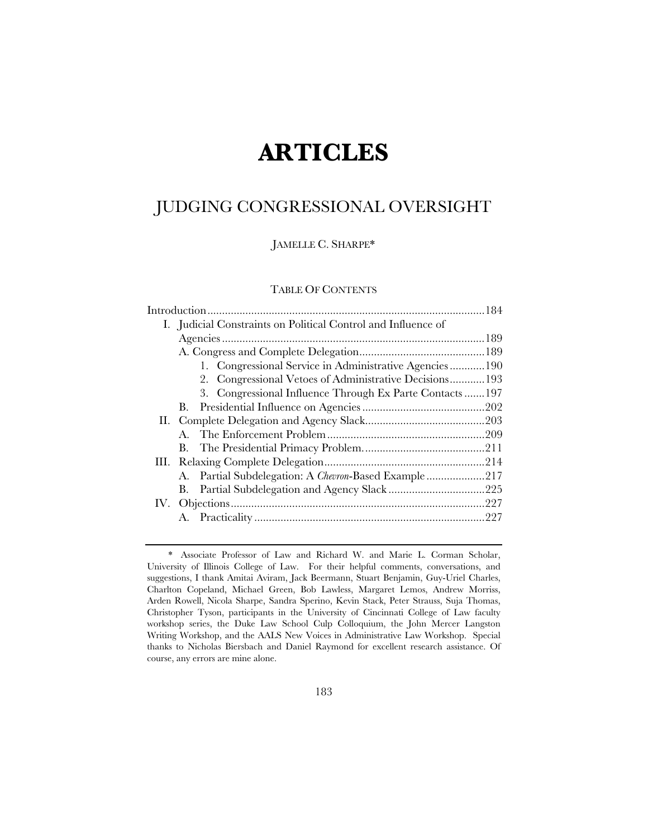# **ARTICLES**

# JUDGING CONGRESSIONAL OVERSIGHT

JAMELLE C. SHARPE\*

#### TABLE OF CONTENTS

| I. Judicial Constraints on Political Control and Influence of |  |
|---------------------------------------------------------------|--|
|                                                               |  |
|                                                               |  |
| 1. Congressional Service in Administrative Agencies190        |  |
| 2. Congressional Vetoes of Administrative Decisions 193       |  |
| 3. Congressional Influence Through Ex Parte Contacts 197      |  |
| В.                                                            |  |
|                                                               |  |
|                                                               |  |
|                                                               |  |
|                                                               |  |
| A. Partial Subdelegation: A Chevron-Based Example217          |  |
|                                                               |  |
|                                                               |  |
|                                                               |  |
|                                                               |  |

 <sup>\*</sup> Associate Professor of Law and Richard W. and Marie L. Corman Scholar, University of Illinois College of Law. For their helpful comments, conversations, and suggestions, I thank Amitai Aviram, Jack Beermann, Stuart Benjamin, Guy-Uriel Charles, Charlton Copeland, Michael Green, Bob Lawless, Margaret Lemos, Andrew Morriss, Arden Rowell, Nicola Sharpe, Sandra Sperino, Kevin Stack, Peter Strauss, Suja Thomas, Christopher Tyson, participants in the University of Cincinnati College of Law faculty workshop series, the Duke Law School Culp Colloquium, the John Mercer Langston Writing Workshop, and the AALS New Voices in Administrative Law Workshop. Special thanks to Nicholas Biersbach and Daniel Raymond for excellent research assistance. Of course, any errors are mine alone.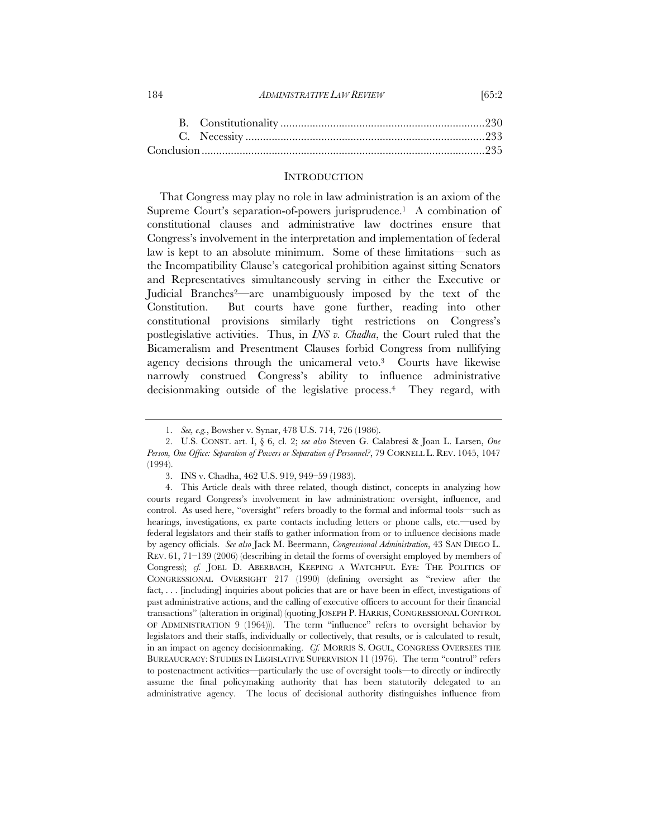#### **INTRODUCTION**

That Congress may play no role in law administration is an axiom of the Supreme Court's separation-of-powers jurisprudence.<sup>1</sup> A combination of constitutional clauses and administrative law doctrines ensure that Congress's involvement in the interpretation and implementation of federal law is kept to an absolute minimum. Some of these limitations—such as the Incompatibility Clause's categorical prohibition against sitting Senators and Representatives simultaneously serving in either the Executive or Judicial Branches2—are unambiguously imposed by the text of the Constitution. But courts have gone further, reading into other constitutional provisions similarly tight restrictions on Congress's postlegislative activities. Thus, in *INS v. Chadha*, the Court ruled that the Bicameralism and Presentment Clauses forbid Congress from nullifying agency decisions through the unicameral veto.3 Courts have likewise narrowly construed Congress's ability to influence administrative decisionmaking outside of the legislative process.4 They regard, with

<sup>184</sup> *ADMINISTRATIVE LAW REVIEW* [65:2

 <sup>1.</sup> *See, e.g.*, Bowsher v. Synar, 478 U.S. 714, 726 (1986).

 <sup>2.</sup> U.S. CONST. art. I, § 6, cl. 2; *see also* Steven G. Calabresi & Joan L. Larsen, *One Person, One Office: Separation of Powers or Separation of Personnel?*, 79 CORNELL L. REV. 1045, 1047 (1994).

 <sup>3.</sup> INS v. Chadha, 462 U.S. 919, 949–59 (1983).

 <sup>4.</sup> This Article deals with three related, though distinct, concepts in analyzing how courts regard Congress's involvement in law administration: oversight, influence, and control. As used here, "oversight" refers broadly to the formal and informal tools—such as hearings, investigations, ex parte contacts including letters or phone calls, etc.—used by federal legislators and their staffs to gather information from or to influence decisions made by agency officials. *See also* Jack M. Beermann, *Congressional Administration*, 43 SAN DIEGO L. REV. 61, 71–139 (2006) (describing in detail the forms of oversight employed by members of Congress); *cf.* JOEL D. ABERBACH, KEEPING A WATCHFUL EYE: THE POLITICS OF CONGRESSIONAL OVERSIGHT 217 (1990) (defining oversight as "review after the fact, ... [including] inquiries about policies that are or have been in effect, investigations of past administrative actions, and the calling of executive officers to account for their financial transactions" (alteration in original) (quoting JOSEPH P. HARRIS, CONGRESSIONAL CONTROL OF ADMINISTRATION 9 (1964))). The term "influence" refers to oversight behavior by legislators and their staffs, individually or collectively, that results, or is calculated to result, in an impact on agency decisionmaking. *Cf.* MORRIS S. OGUL, CONGRESS OVERSEES THE BUREAUCRACY: STUDIES IN LEGISLATIVE SUPERVISION 11 (1976). The term "control" refers to postenactment activities—particularly the use of oversight tools—to directly or indirectly assume the final policymaking authority that has been statutorily delegated to an administrative agency. The locus of decisional authority distinguishes influence from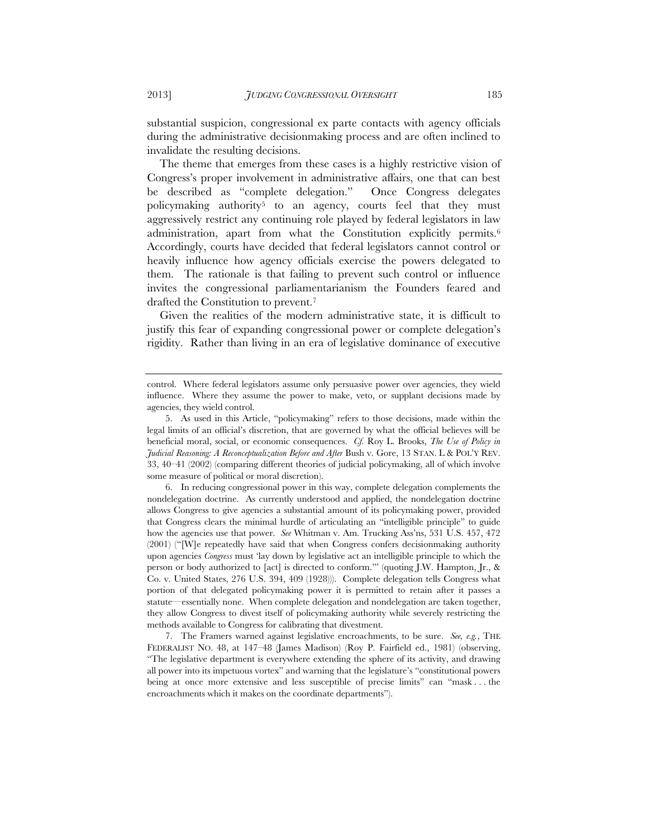substantial suspicion, congressional ex parte contacts with agency officials during the administrative decisionmaking process and are often inclined to invalidate the resulting decisions.

The theme that emerges from these cases is a highly restrictive vision of Congress's proper involvement in administrative affairs, one that can best be described as "complete delegation." Once Congress delegates policymaking authority<sup>5</sup> to an agency, courts feel that they must aggressively restrict any continuing role played by federal legislators in law administration, apart from what the Constitution explicitly permits.6 Accordingly, courts have decided that federal legislators cannot control or heavily influence how agency officials exercise the powers delegated to them. The rationale is that failing to prevent such control or influence invites the congressional parliamentarianism the Founders feared and drafted the Constitution to prevent.7

Given the realities of the modern administrative state, it is difficult to justify this fear of expanding congressional power or complete delegation's rigidity. Rather than living in an era of legislative dominance of executive

 6. In reducing congressional power in this way, complete delegation complements the nondelegation doctrine. As currently understood and applied, the nondelegation doctrine allows Congress to give agencies a substantial amount of its policymaking power, provided that Congress clears the minimal hurdle of articulating an "intelligible principle" to guide how the agencies use that power. *See* Whitman v. Am. Trucking Ass'ns, 531 U.S. 457, 472 (2001) ("[W]e repeatedly have said that when Congress confers decisionmaking authority upon agencies *Congress* must 'lay down by legislative act an intelligible principle to which the person or body authorized to [act] is directed to conform.'" (quoting J.W. Hampton, Jr., & Co. v. United States, 276 U.S. 394, 409 (1928))). Complete delegation tells Congress what portion of that delegated policymaking power it is permitted to retain after it passes a statute—essentially none. When complete delegation and nondelegation are taken together, they allow Congress to divest itself of policymaking authority while severely restricting the methods available to Congress for calibrating that divestment.

 7. The Framers warned against legislative encroachments, to be sure. *See, e.g.*, THE FEDERALIST NO. 48, at 147–48 (James Madison) (Roy P. Fairfield ed., 1981) (observing, "The legislative department is everywhere extending the sphere of its activity, and drawing all power into its impetuous vortex" and warning that the legislature's "constitutional powers being at once more extensive and less susceptible of precise limits" can "mask . . . the encroachments which it makes on the coordinate departments").

control. Where federal legislators assume only persuasive power over agencies, they wield influence. Where they assume the power to make, veto, or supplant decisions made by agencies, they wield control.

 <sup>5.</sup> As used in this Article, "policymaking" refers to those decisions, made within the legal limits of an official's discretion, that are governed by what the official believes will be beneficial moral, social, or economic consequences. *Cf.* Roy L. Brooks, *The Use of Policy in Judicial Reasoning: A Reconceptualization Before and After* Bush v. Gore, 13 STAN. L & POL'Y REV. 33, 40–41 (2002) (comparing different theories of judicial policymaking, all of which involve some measure of political or moral discretion).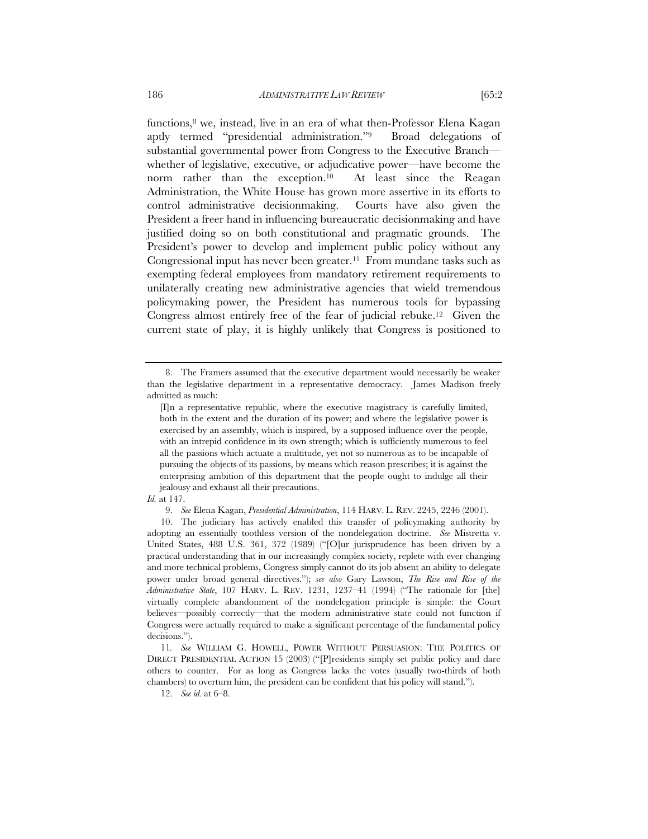functions,8 we, instead, live in an era of what then-Professor Elena Kagan aptly termed "presidential administration."9 Broad delegations of substantial governmental power from Congress to the Executive Branch whether of legislative, executive, or adjudicative power—have become the norm rather than the exception.<sup>10</sup> At least since the Reagan Administration, the White House has grown more assertive in its efforts to control administrative decisionmaking. Courts have also given the President a freer hand in influencing bureaucratic decisionmaking and have justified doing so on both constitutional and pragmatic grounds. The President's power to develop and implement public policy without any Congressional input has never been greater.<sup>11</sup> From mundane tasks such as exempting federal employees from mandatory retirement requirements to

unilaterally creating new administrative agencies that wield tremendous policymaking power, the President has numerous tools for bypassing Congress almost entirely free of the fear of judicial rebuke.12 Given the current state of play, it is highly unlikely that Congress is positioned to

9. *See* Elena Kagan, *Presidential Administration*, 114 HARV. L. REV. 2245, 2246 (2001).

 <sup>8.</sup> The Framers assumed that the executive department would necessarily be weaker than the legislative department in a representative democracy. James Madison freely admitted as much:

<sup>[</sup>I]n a representative republic, where the executive magistracy is carefully limited, both in the extent and the duration of its power; and where the legislative power is exercised by an assembly, which is inspired, by a supposed influence over the people, with an intrepid confidence in its own strength; which is sufficiently numerous to feel all the passions which actuate a multitude, yet not so numerous as to be incapable of pursuing the objects of its passions, by means which reason prescribes; it is against the enterprising ambition of this department that the people ought to indulge all their jealousy and exhaust all their precautions.

*Id.* at 147.

 <sup>10.</sup> The judiciary has actively enabled this transfer of policymaking authority by adopting an essentially toothless version of the nondelegation doctrine. *See* Mistretta v. United States, 488 U.S. 361, 372 (1989) ("[O]ur jurisprudence has been driven by a practical understanding that in our increasingly complex society, replete with ever changing and more technical problems, Congress simply cannot do its job absent an ability to delegate power under broad general directives."); *see also* Gary Lawson, *The Rise and Rise of the Administrative State*, 107 HARV. L. REV. 1231, 1237–41 (1994) ("The rationale for [the] virtually complete abandonment of the nondelegation principle is simple: the Court believes—possibly correctly—that the modern administrative state could not function if Congress were actually required to make a significant percentage of the fundamental policy decisions.").

<sup>11</sup>*. See* WILLIAM G. HOWELL, POWER WITHOUT PERSUASION: THE POLITICS OF DIRECT PRESIDENTIAL ACTION 15 (2003) ("[P]residents simply set public policy and dare others to counter. For as long as Congress lacks the votes (usually two-thirds of both chambers) to overturn him, the president can be confident that his policy will stand.").

 <sup>12.</sup> *See id*. at 6–8.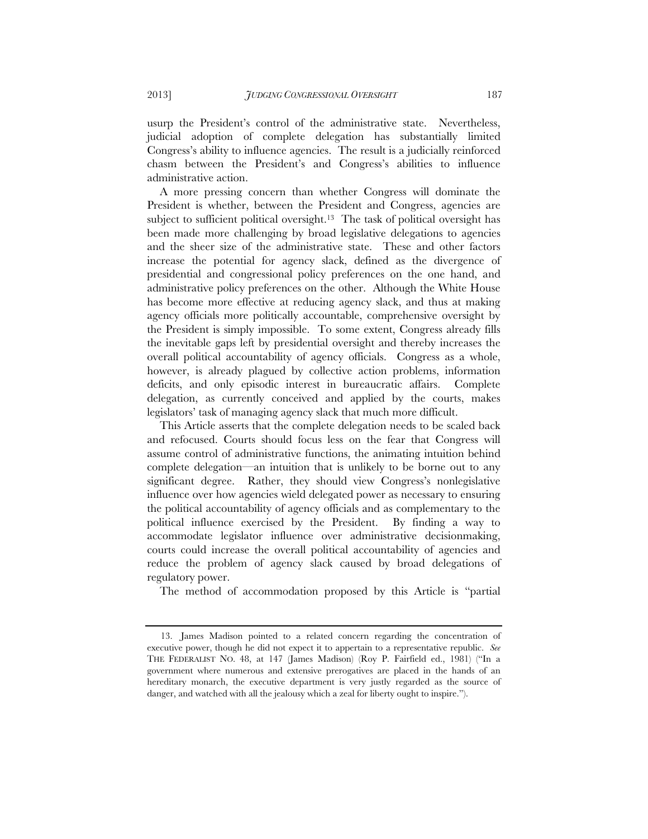usurp the President's control of the administrative state. Nevertheless, judicial adoption of complete delegation has substantially limited Congress's ability to influence agencies. The result is a judicially reinforced chasm between the President's and Congress's abilities to influence administrative action.

A more pressing concern than whether Congress will dominate the President is whether, between the President and Congress, agencies are subject to sufficient political oversight.<sup>13</sup> The task of political oversight has been made more challenging by broad legislative delegations to agencies and the sheer size of the administrative state. These and other factors increase the potential for agency slack, defined as the divergence of presidential and congressional policy preferences on the one hand, and administrative policy preferences on the other. Although the White House has become more effective at reducing agency slack, and thus at making agency officials more politically accountable, comprehensive oversight by the President is simply impossible. To some extent, Congress already fills the inevitable gaps left by presidential oversight and thereby increases the overall political accountability of agency officials. Congress as a whole, however, is already plagued by collective action problems, information deficits, and only episodic interest in bureaucratic affairs. Complete delegation, as currently conceived and applied by the courts, makes legislators' task of managing agency slack that much more difficult.

This Article asserts that the complete delegation needs to be scaled back and refocused. Courts should focus less on the fear that Congress will assume control of administrative functions, the animating intuition behind complete delegation—an intuition that is unlikely to be borne out to any significant degree. Rather, they should view Congress's nonlegislative influence over how agencies wield delegated power as necessary to ensuring the political accountability of agency officials and as complementary to the political influence exercised by the President. By finding a way to accommodate legislator influence over administrative decisionmaking, courts could increase the overall political accountability of agencies and reduce the problem of agency slack caused by broad delegations of regulatory power.

The method of accommodation proposed by this Article is "partial

 <sup>13.</sup> James Madison pointed to a related concern regarding the concentration of executive power, though he did not expect it to appertain to a representative republic. *See*  THE FEDERALIST NO. 48, at 147 (James Madison) (Roy P. Fairfield ed., 1981) ("In a government where numerous and extensive prerogatives are placed in the hands of an hereditary monarch, the executive department is very justly regarded as the source of danger, and watched with all the jealousy which a zeal for liberty ought to inspire.").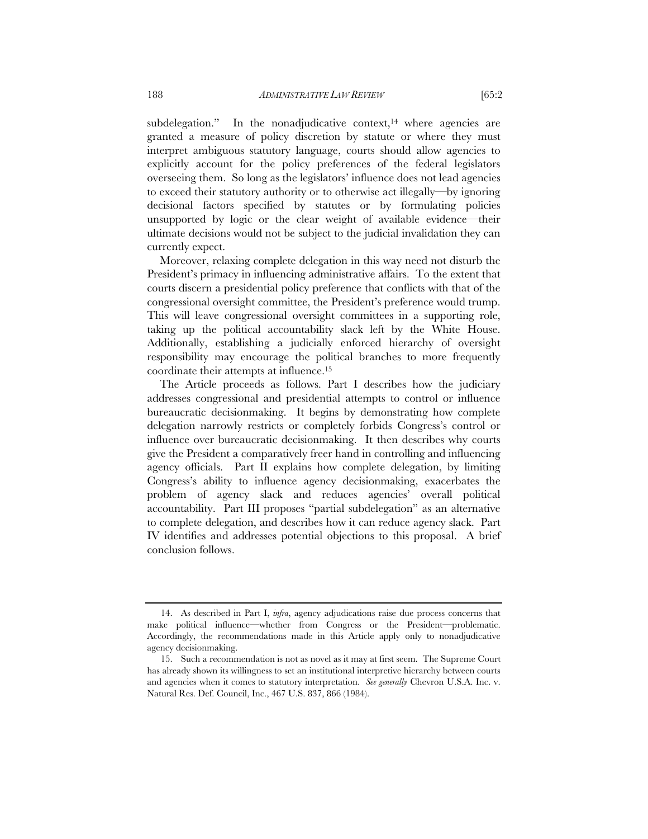subdelegation." In the nonadjudicative context, $14$  where agencies are granted a measure of policy discretion by statute or where they must interpret ambiguous statutory language, courts should allow agencies to explicitly account for the policy preferences of the federal legislators overseeing them. So long as the legislators' influence does not lead agencies to exceed their statutory authority or to otherwise act illegally—by ignoring decisional factors specified by statutes or by formulating policies unsupported by logic or the clear weight of available evidence—their ultimate decisions would not be subject to the judicial invalidation they can currently expect.

Moreover, relaxing complete delegation in this way need not disturb the President's primacy in influencing administrative affairs. To the extent that courts discern a presidential policy preference that conflicts with that of the congressional oversight committee, the President's preference would trump. This will leave congressional oversight committees in a supporting role, taking up the political accountability slack left by the White House. Additionally, establishing a judicially enforced hierarchy of oversight responsibility may encourage the political branches to more frequently coordinate their attempts at influence.15

The Article proceeds as follows. Part I describes how the judiciary addresses congressional and presidential attempts to control or influence bureaucratic decisionmaking. It begins by demonstrating how complete delegation narrowly restricts or completely forbids Congress's control or influence over bureaucratic decisionmaking. It then describes why courts give the President a comparatively freer hand in controlling and influencing agency officials. Part II explains how complete delegation, by limiting Congress's ability to influence agency decisionmaking, exacerbates the problem of agency slack and reduces agencies' overall political accountability. Part III proposes "partial subdelegation" as an alternative to complete delegation, and describes how it can reduce agency slack. Part IV identifies and addresses potential objections to this proposal. A brief conclusion follows.

 <sup>14.</sup> As described in Part I, *infra*, agency adjudications raise due process concerns that make political influence—whether from Congress or the President—problematic. Accordingly, the recommendations made in this Article apply only to nonadjudicative agency decisionmaking.

 <sup>15.</sup> Such a recommendation is not as novel as it may at first seem. The Supreme Court has already shown its willingness to set an institutional interpretive hierarchy between courts and agencies when it comes to statutory interpretation. *See generally* Chevron U.S.A. Inc. v. Natural Res. Def. Council, Inc., 467 U.S. 837, 866 (1984).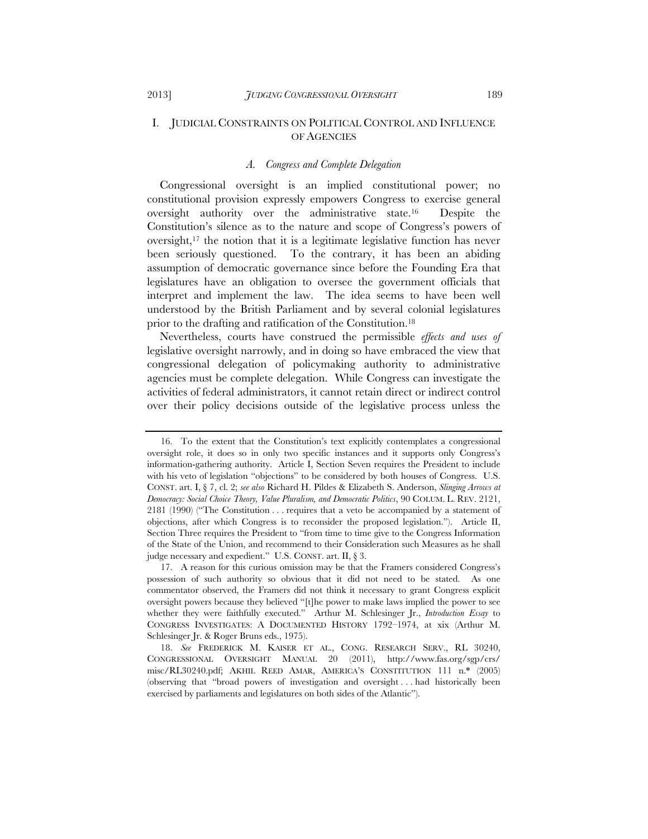# I. JUDICIAL CONSTRAINTS ON POLITICAL CONTROL AND INFLUENCE OF AGENCIES

#### *A. Congress and Complete Delegation*

Congressional oversight is an implied constitutional power; no constitutional provision expressly empowers Congress to exercise general oversight authority over the administrative state.16 Despite the Constitution's silence as to the nature and scope of Congress's powers of oversight,17 the notion that it is a legitimate legislative function has never been seriously questioned. To the contrary, it has been an abiding assumption of democratic governance since before the Founding Era that legislatures have an obligation to oversee the government officials that interpret and implement the law. The idea seems to have been well understood by the British Parliament and by several colonial legislatures prior to the drafting and ratification of the Constitution.18

Nevertheless, courts have construed the permissible *effects and uses of* legislative oversight narrowly, and in doing so have embraced the view that congressional delegation of policymaking authority to administrative agencies must be complete delegation. While Congress can investigate the activities of federal administrators, it cannot retain direct or indirect control over their policy decisions outside of the legislative process unless the

 <sup>16.</sup> To the extent that the Constitution's text explicitly contemplates a congressional oversight role, it does so in only two specific instances and it supports only Congress's information-gathering authority. Article I, Section Seven requires the President to include with his veto of legislation "objections" to be considered by both houses of Congress. U.S. CONST. art. I, § 7, cl. 2; *see also* Richard H. Pildes & Elizabeth S. Anderson, *Slinging Arrows at Democracy: Social Choice Theory, Value Pluralism, and Democratic Politics*, 90 COLUM. L. REV. 2121, 2181 (1990) ("The Constitution . . . requires that a veto be accompanied by a statement of objections, after which Congress is to reconsider the proposed legislation."). Article II, Section Three requires the President to "from time to time give to the Congress Information of the State of the Union, and recommend to their Consideration such Measures as he shall judge necessary and expedient." U.S. CONST. art. II, § 3.

 <sup>17.</sup> A reason for this curious omission may be that the Framers considered Congress's possession of such authority so obvious that it did not need to be stated. As one commentator observed, the Framers did not think it necessary to grant Congress explicit oversight powers because they believed "[t]he power to make laws implied the power to see whether they were faithfully executed." Arthur M. Schlesinger Jr., *Introduction Essay* to CONGRESS INVESTIGATES: A DOCUMENTED HISTORY 1792–1974, at xix (Arthur M. Schlesinger Jr. & Roger Bruns eds., 1975).

 <sup>18.</sup> *See* FREDERICK M. KAISER ET AL., CONG. RESEARCH SERV., RL 30240, CONGRESSIONAL OVERSIGHT MANUAL 20 (2011), http://www.fas.org/sgp/crs/ misc/RL30240.pdf; AKHIL REED AMAR, AMERICA'S CONSTITUTION 111 n.\* (2005) (observing that "broad powers of investigation and oversight . . . had historically been exercised by parliaments and legislatures on both sides of the Atlantic").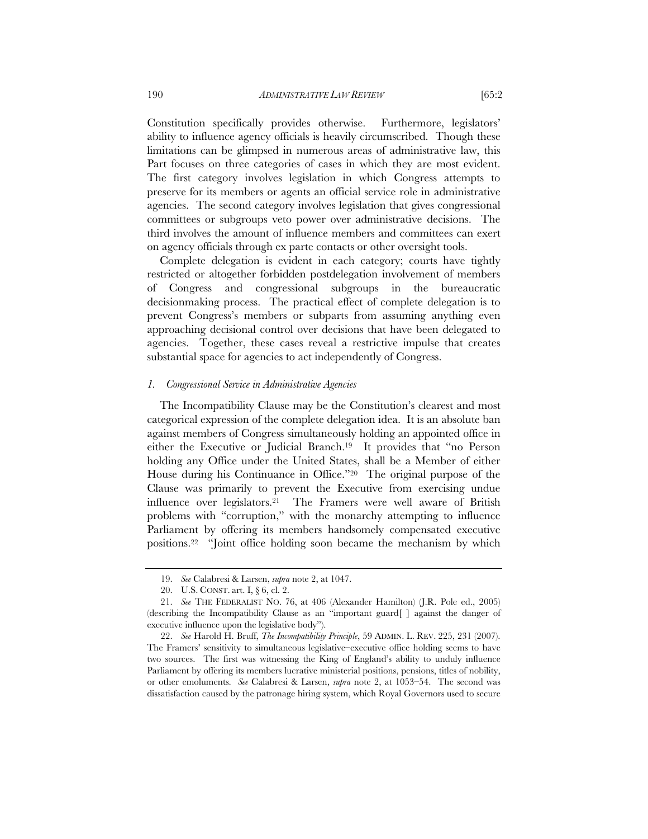Constitution specifically provides otherwise. Furthermore, legislators' ability to influence agency officials is heavily circumscribed. Though these limitations can be glimpsed in numerous areas of administrative law, this Part focuses on three categories of cases in which they are most evident. The first category involves legislation in which Congress attempts to preserve for its members or agents an official service role in administrative agencies. The second category involves legislation that gives congressional committees or subgroups veto power over administrative decisions. The third involves the amount of influence members and committees can exert on agency officials through ex parte contacts or other oversight tools.

Complete delegation is evident in each category; courts have tightly restricted or altogether forbidden postdelegation involvement of members of Congress and congressional subgroups in the bureaucratic decisionmaking process. The practical effect of complete delegation is to prevent Congress's members or subparts from assuming anything even approaching decisional control over decisions that have been delegated to agencies. Together, these cases reveal a restrictive impulse that creates substantial space for agencies to act independently of Congress.

#### *1. Congressional Service in Administrative Agencies*

The Incompatibility Clause may be the Constitution's clearest and most categorical expression of the complete delegation idea. It is an absolute ban against members of Congress simultaneously holding an appointed office in either the Executive or Judicial Branch.19 It provides that "no Person holding any Office under the United States, shall be a Member of either House during his Continuance in Office."20 The original purpose of the Clause was primarily to prevent the Executive from exercising undue influence over legislators.21 The Framers were well aware of British problems with "corruption," with the monarchy attempting to influence Parliament by offering its members handsomely compensated executive positions.22 "Joint office holding soon became the mechanism by which

 <sup>19.</sup> *See* Calabresi & Larsen, *supra* note 2, at 1047.

 <sup>20.</sup> U.S. CONST. art. I, § 6, cl. 2.

 <sup>21.</sup> *See* THE FEDERALIST NO. 76, at 406 (Alexander Hamilton) (J.R. Pole ed., 2005) (describing the Incompatibility Clause as an "important guard[ ] against the danger of executive influence upon the legislative body").

 <sup>22.</sup> *See* Harold H. Bruff, *The Incompatibility Principle*, 59 ADMIN. L. REV. 225, 231 (2007). The Framers' sensitivity to simultaneous legislative–executive office holding seems to have two sources. The first was witnessing the King of England's ability to unduly influence Parliament by offering its members lucrative ministerial positions, pensions, titles of nobility, or other emoluments. *See* Calabresi & Larsen, *supra* note 2, at 1053–54. The second was dissatisfaction caused by the patronage hiring system, which Royal Governors used to secure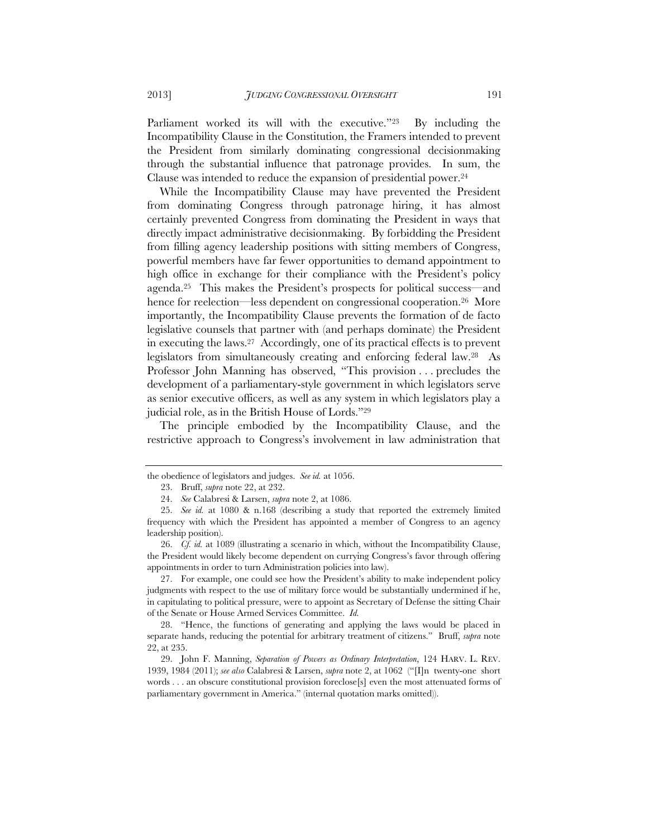Parliament worked its will with the executive."<sup>23</sup> By including the Incompatibility Clause in the Constitution, the Framers intended to prevent the President from similarly dominating congressional decisionmaking through the substantial influence that patronage provides. In sum, the Clause was intended to reduce the expansion of presidential power.24

While the Incompatibility Clause may have prevented the President from dominating Congress through patronage hiring, it has almost certainly prevented Congress from dominating the President in ways that directly impact administrative decisionmaking. By forbidding the President from filling agency leadership positions with sitting members of Congress, powerful members have far fewer opportunities to demand appointment to high office in exchange for their compliance with the President's policy agenda.25 This makes the President's prospects for political success—and hence for reelection—less dependent on congressional cooperation.<sup>26</sup> More importantly, the Incompatibility Clause prevents the formation of de facto legislative counsels that partner with (and perhaps dominate) the President in executing the laws.27 Accordingly, one of its practical effects is to prevent legislators from simultaneously creating and enforcing federal law.28 As Professor John Manning has observed, "This provision . . . precludes the development of a parliamentary-style government in which legislators serve as senior executive officers, as well as any system in which legislators play a judicial role, as in the British House of Lords."29

The principle embodied by the Incompatibility Clause, and the restrictive approach to Congress's involvement in law administration that

 27. For example, one could see how the President's ability to make independent policy judgments with respect to the use of military force would be substantially undermined if he, in capitulating to political pressure, were to appoint as Secretary of Defense the sitting Chair of the Senate or House Armed Services Committee. *Id.*

 29. John F. Manning, *Separation of Powers as Ordinary Interpretation*, 124 HARV. L. REV. 1939, 1984 (2011); *see also* Calabresi & Larsen, *supra* note 2, at 1062 ("[I]n twenty-one short words . . . an obscure constitutional provision foreclose[s] even the most attenuated forms of parliamentary government in America." (internal quotation marks omitted)).

the obedience of legislators and judges. *See id.* at 1056.

 <sup>23.</sup> Bruff, *supra* note 22, at 232.

 <sup>24.</sup> *See* Calabresi & Larsen, *supra* note 2, at 1086.

 <sup>25.</sup> *See id.* at 1080 & n.168 (describing a study that reported the extremely limited frequency with which the President has appointed a member of Congress to an agency leadership position).

 <sup>26.</sup> *Cf. id.* at 1089 (illustrating a scenario in which, without the Incompatibility Clause, the President would likely become dependent on currying Congress's favor through offering appointments in order to turn Administration policies into law).

 <sup>28. &</sup>quot;Hence, the functions of generating and applying the laws would be placed in separate hands, reducing the potential for arbitrary treatment of citizens." Bruff, *supra* note 22, at 235.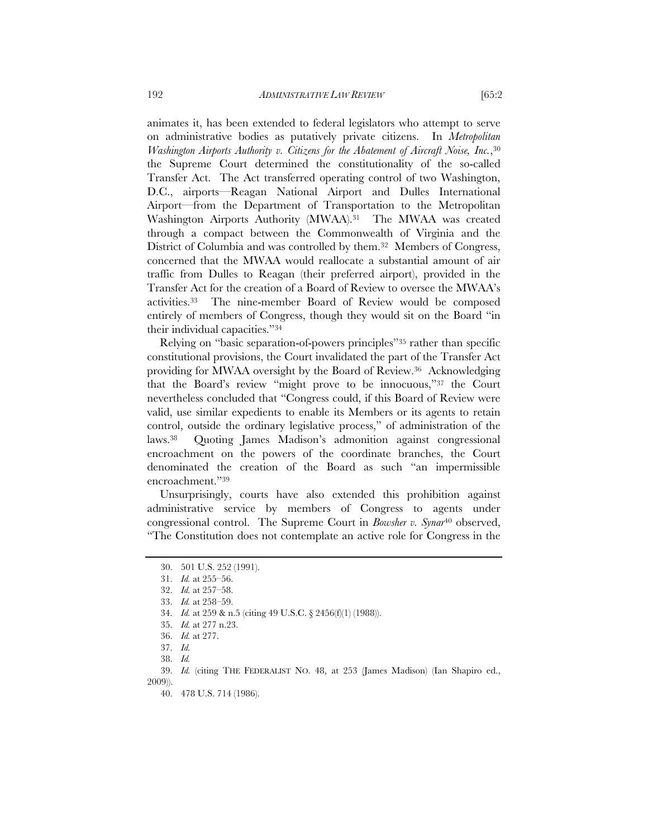animates it, has been extended to federal legislators who attempt to serve on administrative bodies as putatively private citizens. In *Metropolitan Washington Airports Authority v. Citizens for the Abatement of Aircraft Noise, Inc.*,30 the Supreme Court determined the constitutionality of the so-called Transfer Act. The Act transferred operating control of two Washington, D.C., airports—Reagan National Airport and Dulles International Airport—from the Department of Transportation to the Metropolitan Washington Airports Authority (MWAA).<sup>31</sup> The MWAA was created through a compact between the Commonwealth of Virginia and the District of Columbia and was controlled by them.32 Members of Congress, concerned that the MWAA would reallocate a substantial amount of air traffic from Dulles to Reagan (their preferred airport), provided in the Transfer Act for the creation of a Board of Review to oversee the MWAA's activities.33 The nine-member Board of Review would be composed entirely of members of Congress, though they would sit on the Board "in

Relying on "basic separation-of-powers principles"35 rather than specific constitutional provisions, the Court invalidated the part of the Transfer Act providing for MWAA oversight by the Board of Review.36 Acknowledging that the Board's review "might prove to be innocuous,"37 the Court nevertheless concluded that "Congress could, if this Board of Review were valid, use similar expedients to enable its Members or its agents to retain control, outside the ordinary legislative process," of administration of the laws.38 Quoting James Madison's admonition against congressional encroachment on the powers of the coordinate branches, the Court denominated the creation of the Board as such "an impermissible encroachment."39

Unsurprisingly, courts have also extended this prohibition against administrative service by members of Congress to agents under congressional control. The Supreme Court in *Bowsher v. Synar*40 observed, "The Constitution does not contemplate an active role for Congress in the

their individual capacities."34

 <sup>30. 501</sup> U.S. 252 (1991).

 <sup>31.</sup> *Id.* at 255–56.

 <sup>32.</sup> *Id.* at 257–58.

 <sup>33.</sup> *Id.* at 258–59.

 <sup>34.</sup> *Id.* at 259 & n.5 (citing 49 U.S.C. § 2456(f)(1) (1988)).

 <sup>35.</sup> *Id.* at 277 n.23.

 <sup>36.</sup> *Id.* at 277.

 <sup>37.</sup> *Id.*

 <sup>38.</sup> *Id.*

 <sup>39.</sup> *Id.* (citing THE FEDERALIST NO. 48, at 253 (James Madison) (Ian Shapiro ed., 2009)).

 <sup>40. 478</sup> U.S. 714 (1986).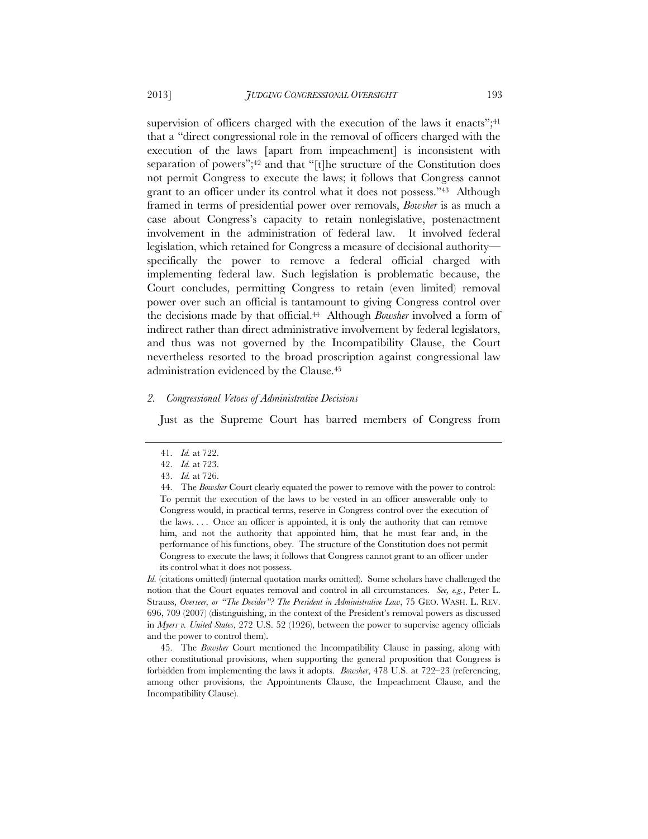supervision of officers charged with the execution of the laws it enacts";<sup>41</sup> that a "direct congressional role in the removal of officers charged with the execution of the laws [apart from impeachment] is inconsistent with separation of powers";42 and that "[t]he structure of the Constitution does not permit Congress to execute the laws; it follows that Congress cannot grant to an officer under its control what it does not possess."43 Although framed in terms of presidential power over removals, *Bowsher* is as much a case about Congress's capacity to retain nonlegislative, postenactment involvement in the administration of federal law. It involved federal legislation, which retained for Congress a measure of decisional authority specifically the power to remove a federal official charged with implementing federal law. Such legislation is problematic because, the Court concludes, permitting Congress to retain (even limited) removal power over such an official is tantamount to giving Congress control over the decisions made by that official.44 Although *Bowsher* involved a form of indirect rather than direct administrative involvement by federal legislators, and thus was not governed by the Incompatibility Clause, the Court nevertheless resorted to the broad proscription against congressional law administration evidenced by the Clause.45

#### *2. Congressional Vetoes of Administrative Decisions*

Just as the Supreme Court has barred members of Congress from

*Id.* (citations omitted) (internal quotation marks omitted). Some scholars have challenged the notion that the Court equates removal and control in all circumstances. *See, e.g.*, Peter L. Strauss, *Overseer, or "The Decider"? The President in Administrative Law*, 75 GEO. WASH. L. REV. 696, 709 (2007) (distinguishing, in the context of the President's removal powers as discussed in *Myers v. United States*, 272 U.S. 52 (1926), between the power to supervise agency officials and the power to control them).

 45. The *Bowsher* Court mentioned the Incompatibility Clause in passing, along with other constitutional provisions, when supporting the general proposition that Congress is forbidden from implementing the laws it adopts. *Bowsher*, 478 U.S. at 722–23 (referencing, among other provisions, the Appointments Clause, the Impeachment Clause, and the Incompatibility Clause).

 <sup>41.</sup> *Id.* at 722.

 <sup>42.</sup> *Id.* at 723. 43. *Id.* at 726.

 <sup>44.</sup> The *Bowsher* Court clearly equated the power to remove with the power to control: To permit the execution of the laws to be vested in an officer answerable only to Congress would, in practical terms, reserve in Congress control over the execution of the laws.... Once an officer is appointed, it is only the authority that can remove him, and not the authority that appointed him, that he must fear and, in the performance of his functions, obey. The structure of the Constitution does not permit Congress to execute the laws; it follows that Congress cannot grant to an officer under its control what it does not possess.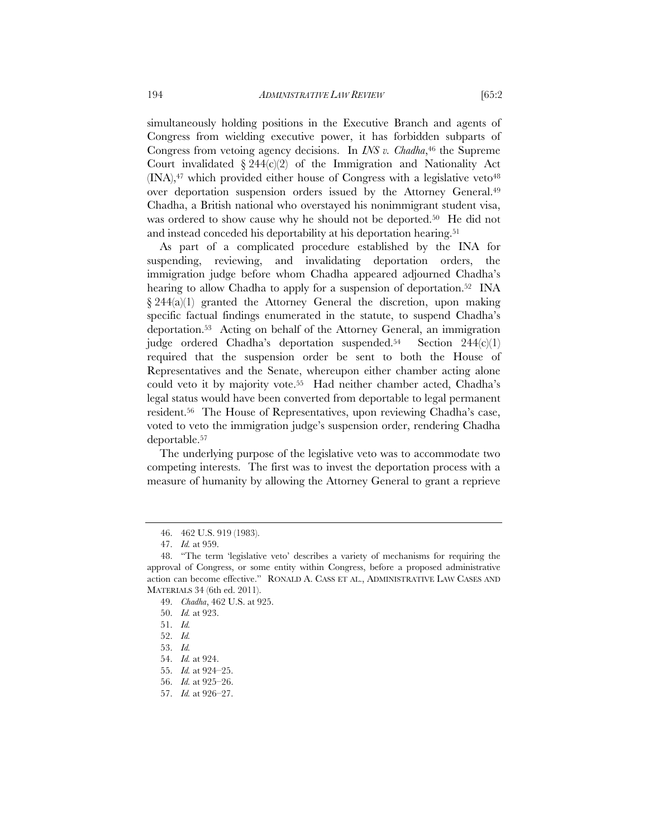simultaneously holding positions in the Executive Branch and agents of Congress from wielding executive power, it has forbidden subparts of Congress from vetoing agency decisions. In *INS v. Chadha*,<sup>46</sup> the Supreme Court invalidated  $\S 244(c/2)$  of the Immigration and Nationality Act  $(INA)$ ,<sup>47</sup> which provided either house of Congress with a legislative veto<sup>48</sup> over deportation suspension orders issued by the Attorney General.49 Chadha, a British national who overstayed his nonimmigrant student visa, was ordered to show cause why he should not be deported.<sup>50</sup> He did not and instead conceded his deportability at his deportation hearing.<sup>51</sup>

As part of a complicated procedure established by the INA for suspending, reviewing, and invalidating deportation orders, the immigration judge before whom Chadha appeared adjourned Chadha's hearing to allow Chadha to apply for a suspension of deportation.<sup>52</sup> INA  $\S 244(a)(1)$  granted the Attorney General the discretion, upon making specific factual findings enumerated in the statute, to suspend Chadha's deportation.53 Acting on behalf of the Attorney General, an immigration judge ordered Chadha's deportation suspended.<sup>54</sup> Section  $244(c)(1)$ required that the suspension order be sent to both the House of Representatives and the Senate, whereupon either chamber acting alone could veto it by majority vote.55 Had neither chamber acted, Chadha's legal status would have been converted from deportable to legal permanent resident.56 The House of Representatives, upon reviewing Chadha's case, voted to veto the immigration judge's suspension order, rendering Chadha deportable.57

The underlying purpose of the legislative veto was to accommodate two competing interests. The first was to invest the deportation process with a measure of humanity by allowing the Attorney General to grant a reprieve

 <sup>46. 462</sup> U.S. 919 (1983).

 <sup>47.</sup> *Id.* at 959.

 <sup>48. &</sup>quot;The term 'legislative veto' describes a variety of mechanisms for requiring the approval of Congress, or some entity within Congress, before a proposed administrative action can become effective." RONALD A. CASS ET AL., ADMINISTRATIVE LAW CASES AND MATERIALS 34 (6th ed. 2011).

 <sup>49.</sup> *Chadha*, 462 U.S. at 925.

 <sup>50.</sup> *Id.* at 923.

 <sup>51.</sup> *Id.*

 <sup>52.</sup> *Id.*

 <sup>53.</sup> *Id.*

 <sup>54.</sup> *Id.* at 924.

 <sup>55.</sup> *Id.* at 924–25.

 <sup>56.</sup> *Id.* at 925–26.

 <sup>57.</sup> *Id.* at 926–27.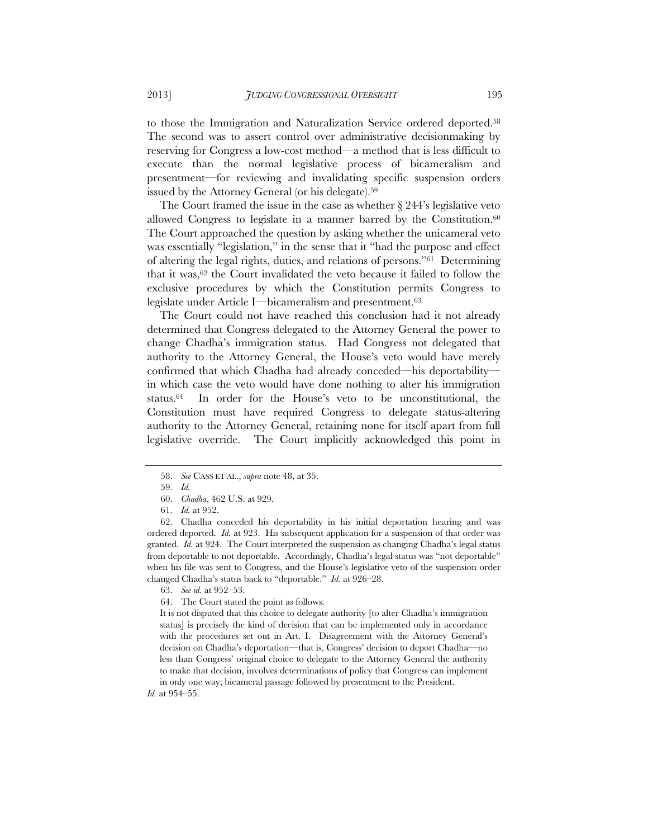to those the Immigration and Naturalization Service ordered deported.58 The second was to assert control over administrative decisionmaking by reserving for Congress a low-cost method—a method that is less difficult to execute than the normal legislative process of bicameralism and presentment—for reviewing and invalidating specific suspension orders issued by the Attorney General (or his delegate).<sup>59</sup>

The Court framed the issue in the case as whether § 244's legislative veto allowed Congress to legislate in a manner barred by the Constitution. $60$ The Court approached the question by asking whether the unicameral veto was essentially "legislation," in the sense that it "had the purpose and effect of altering the legal rights, duties, and relations of persons."61 Determining that it was,<sup>62</sup> the Court invalidated the veto because it failed to follow the exclusive procedures by which the Constitution permits Congress to legislate under Article I—bicameralism and presentment.63

The Court could not have reached this conclusion had it not already determined that Congress delegated to the Attorney General the power to change Chadha's immigration status. Had Congress not delegated that authority to the Attorney General, the House's veto would have merely confirmed that which Chadha had already conceded—his deportability in which case the veto would have done nothing to alter his immigration status.<sup>64</sup> In order for the House's veto to be unconstitutional, the Constitution must have required Congress to delegate status-altering authority to the Attorney General, retaining none for itself apart from full legislative override. The Court implicitly acknowledged this point in

 <sup>58.</sup> *See* CASS ET AL., *supra* note 48, at 35.

 <sup>59.</sup> *Id.* 

 <sup>60.</sup> *Chadha*, 462 U.S. at 929.

 <sup>61.</sup> *Id.* at 952.

 <sup>62.</sup> Chadha conceded his deportability in his initial deportation hearing and was ordered deported. *Id.* at 923. His subsequent application for a suspension of that order was granted. *Id.* at 924. The Court interpreted the suspension as changing Chadha's legal status from deportable to not deportable. Accordingly, Chadha's legal status was "not deportable" when his file was sent to Congress, and the House's legislative veto of the suspension order changed Chadha's status back to "deportable." *Id.* at 926–28.

 <sup>63.</sup> *See id.* at 952–53.

 <sup>64.</sup> The Court stated the point as follows:

It is not disputed that this choice to delegate authority [to alter Chadha's immigration status] is precisely the kind of decision that can be implemented only in accordance with the procedures set out in Art. I. Disagreement with the Attorney General's decision on Chadha's deportation—that is, Congress' decision to deport Chadha—no less than Congress' original choice to delegate to the Attorney General the authority to make that decision, involves determinations of policy that Congress can implement in only one way; bicameral passage followed by presentment to the President.

*Id.* at 954–55.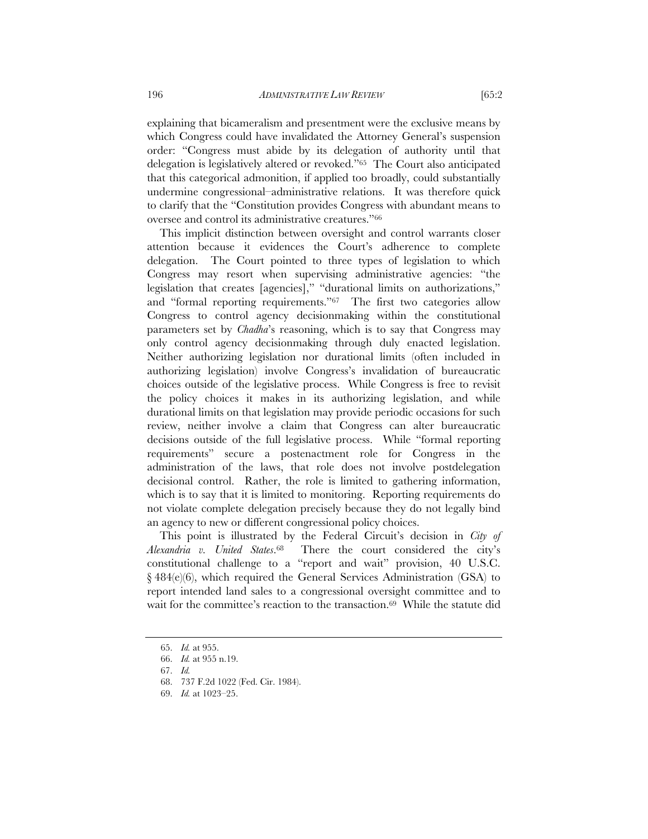explaining that bicameralism and presentment were the exclusive means by which Congress could have invalidated the Attorney General's suspension order: "Congress must abide by its delegation of authority until that delegation is legislatively altered or revoked."65 The Court also anticipated that this categorical admonition, if applied too broadly, could substantially undermine congressional–administrative relations. It was therefore quick to clarify that the "Constitution provides Congress with abundant means to oversee and control its administrative creatures."66

This implicit distinction between oversight and control warrants closer attention because it evidences the Court's adherence to complete delegation. The Court pointed to three types of legislation to which Congress may resort when supervising administrative agencies: "the legislation that creates [agencies]," "durational limits on authorizations," and "formal reporting requirements."67 The first two categories allow Congress to control agency decisionmaking within the constitutional parameters set by *Chadha*'s reasoning, which is to say that Congress may only control agency decisionmaking through duly enacted legislation. Neither authorizing legislation nor durational limits (often included in authorizing legislation) involve Congress's invalidation of bureaucratic choices outside of the legislative process. While Congress is free to revisit the policy choices it makes in its authorizing legislation, and while durational limits on that legislation may provide periodic occasions for such review, neither involve a claim that Congress can alter bureaucratic decisions outside of the full legislative process. While "formal reporting requirements" secure a postenactment role for Congress in the administration of the laws, that role does not involve postdelegation decisional control. Rather, the role is limited to gathering information, which is to say that it is limited to monitoring. Reporting requirements do not violate complete delegation precisely because they do not legally bind an agency to new or different congressional policy choices.

This point is illustrated by the Federal Circuit's decision in *City of Alexandria v. United States*.68 There the court considered the city's constitutional challenge to a "report and wait" provision, 40 U.S.C. § 484(e)(6), which required the General Services Administration (GSA) to report intended land sales to a congressional oversight committee and to wait for the committee's reaction to the transaction.<sup>69</sup> While the statute did

 <sup>65.</sup> *Id.* at 955.

 <sup>66.</sup> *Id.* at 955 n.19.

 <sup>67.</sup> *Id.*

 <sup>68. 737</sup> F.2d 1022 (Fed. Cir. 1984).

 <sup>69.</sup> *Id.* at 1023–25.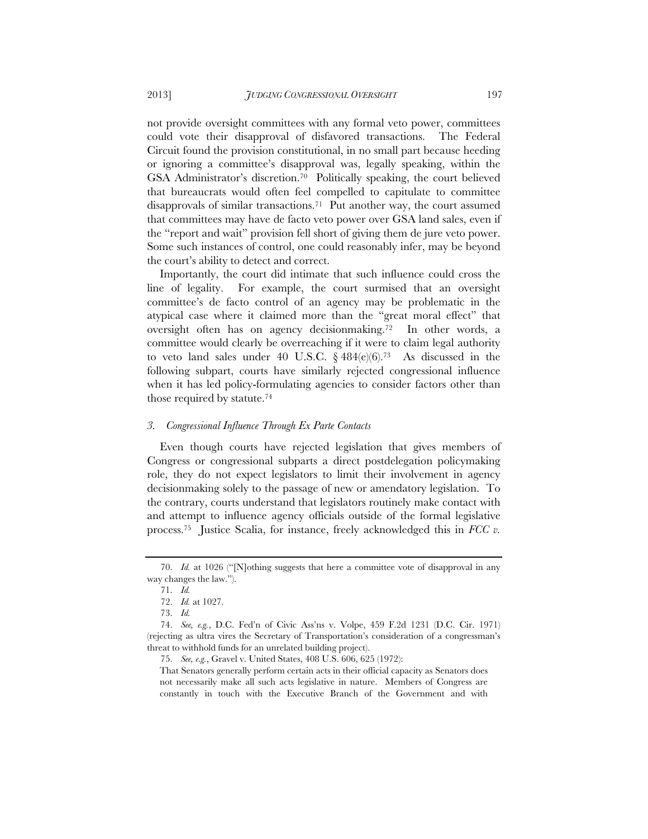not provide oversight committees with any formal veto power, committees could vote their disapproval of disfavored transactions. The Federal Circuit found the provision constitutional, in no small part because heeding or ignoring a committee's disapproval was, legally speaking, within the GSA Administrator's discretion.70 Politically speaking, the court believed that bureaucrats would often feel compelled to capitulate to committee disapprovals of similar transactions.71 Put another way, the court assumed that committees may have de facto veto power over GSA land sales, even if the "report and wait" provision fell short of giving them de jure veto power. Some such instances of control, one could reasonably infer, may be beyond the court's ability to detect and correct.

Importantly, the court did intimate that such influence could cross the line of legality. For example, the court surmised that an oversight committee's de facto control of an agency may be problematic in the atypical case where it claimed more than the "great moral effect" that oversight often has on agency decisionmaking.72 In other words, a committee would clearly be overreaching if it were to claim legal authority to veto land sales under 40 U.S.C.  $\frac{6}{9}$  484(e)(6).<sup>73</sup> As discussed in the following subpart, courts have similarly rejected congressional influence when it has led policy-formulating agencies to consider factors other than those required by statute.74

#### *3. Congressional Influence Through Ex Parte Contacts*

Even though courts have rejected legislation that gives members of Congress or congressional subparts a direct postdelegation policymaking role, they do not expect legislators to limit their involvement in agency decisionmaking solely to the passage of new or amendatory legislation. To the contrary, courts understand that legislators routinely make contact with and attempt to influence agency officials outside of the formal legislative process.75 Justice Scalia, for instance, freely acknowledged this in *FCC v.* 

 <sup>70.</sup> *Id.* at 1026 ("[N]othing suggests that here a committee vote of disapproval in any way changes the law.").

 <sup>71.</sup> *Id.*

 <sup>72.</sup> *Id.* at 1027.

 <sup>73.</sup> *Id.*

 <sup>74.</sup> *See, e.g.*, D.C. Fed'n of Civic Ass'ns v. Volpe, 459 F.2d 1231 (D.C. Cir. 1971) (rejecting as ultra vires the Secretary of Transportation's consideration of a congressman's threat to withhold funds for an unrelated building project).

 <sup>75.</sup> *See, e.g.*, Gravel v. United States, 408 U.S. 606, 625 (1972):

That Senators generally perform certain acts in their official capacity as Senators does not necessarily make all such acts legislative in nature. Members of Congress are constantly in touch with the Executive Branch of the Government and with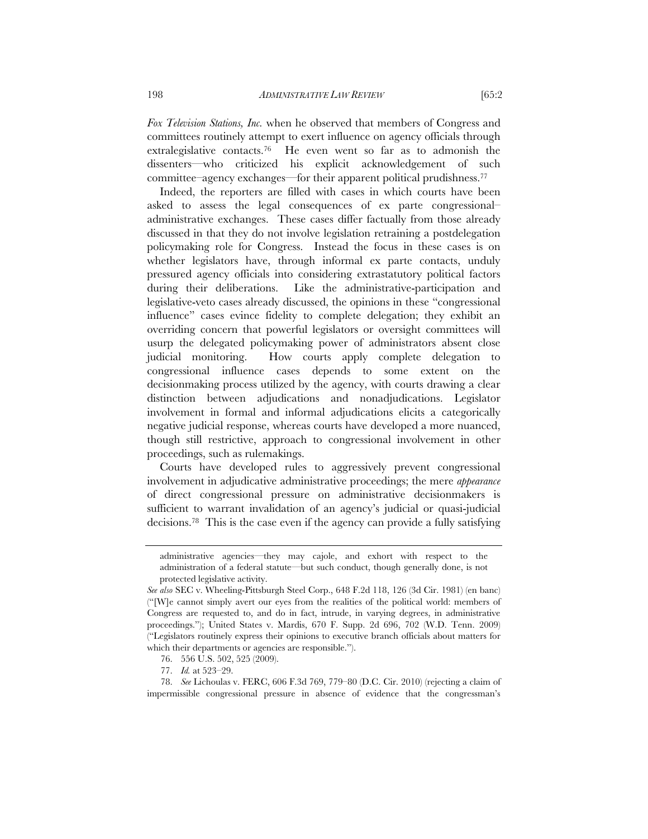*Fox Television Stations, Inc.* when he observed that members of Congress and committees routinely attempt to exert influence on agency officials through extralegislative contacts.76 He even went so far as to admonish the dissenters—who criticized his explicit acknowledgement of such committee–agency exchanges—for their apparent political prudishness.77

Indeed, the reporters are filled with cases in which courts have been asked to assess the legal consequences of ex parte congressional– administrative exchanges. These cases differ factually from those already discussed in that they do not involve legislation retraining a postdelegation policymaking role for Congress. Instead the focus in these cases is on whether legislators have, through informal ex parte contacts, unduly pressured agency officials into considering extrastatutory political factors during their deliberations. Like the administrative-participation and legislative-veto cases already discussed, the opinions in these "congressional influence" cases evince fidelity to complete delegation; they exhibit an overriding concern that powerful legislators or oversight committees will usurp the delegated policymaking power of administrators absent close judicial monitoring. How courts apply complete delegation to congressional influence cases depends to some extent on the decisionmaking process utilized by the agency, with courts drawing a clear distinction between adjudications and nonadjudications. Legislator involvement in formal and informal adjudications elicits a categorically negative judicial response, whereas courts have developed a more nuanced, though still restrictive, approach to congressional involvement in other proceedings, such as rulemakings.

Courts have developed rules to aggressively prevent congressional involvement in adjudicative administrative proceedings; the mere *appearance* of direct congressional pressure on administrative decisionmakers is sufficient to warrant invalidation of an agency's judicial or quasi-judicial decisions.78 This is the case even if the agency can provide a fully satisfying

administrative agencies—they may cajole, and exhort with respect to the administration of a federal statute—but such conduct, though generally done, is not protected legislative activity.

*See also* SEC v. Wheeling-Pittsburgh Steel Corp., 648 F.2d 118, 126 (3d Cir. 1981) (en banc) ("[W]e cannot simply avert our eyes from the realities of the political world: members of Congress are requested to, and do in fact, intrude, in varying degrees, in administrative proceedings."); United States v. Mardis, 670 F. Supp. 2d 696, 702 (W.D. Tenn. 2009) ("Legislators routinely express their opinions to executive branch officials about matters for which their departments or agencies are responsible.").

 <sup>76. 556</sup> U.S. 502, 525 (2009).

 <sup>77.</sup> *Id.* at 523–29.

<sup>78.</sup> *See* Lichoulas v. FERC, 606 F.3d 769, 779–80 (D.C. Cir. 2010) (rejecting a claim of impermissible congressional pressure in absence of evidence that the congressman's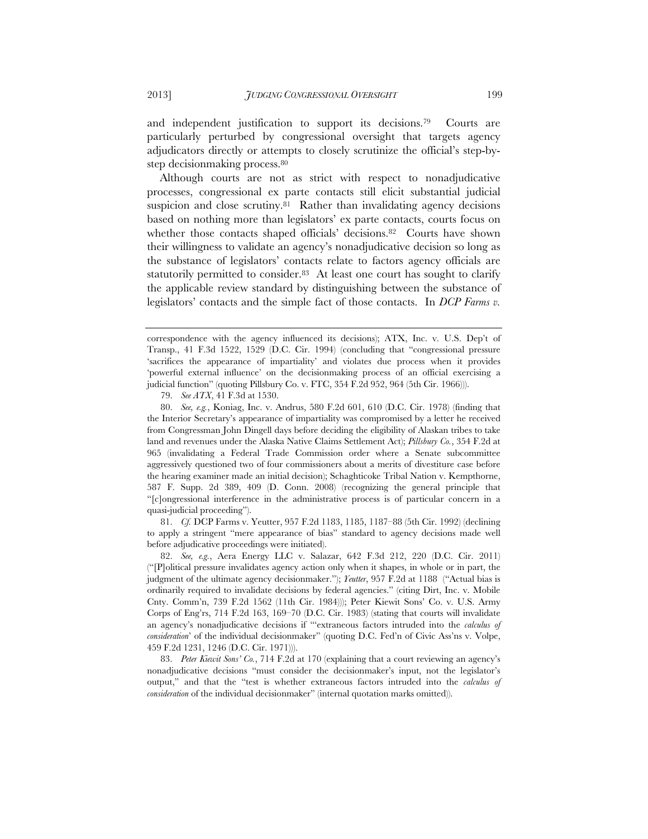and independent justification to support its decisions.79 Courts are particularly perturbed by congressional oversight that targets agency adjudicators directly or attempts to closely scrutinize the official's step-bystep decisionmaking process.80

Although courts are not as strict with respect to nonadjudicative processes, congressional ex parte contacts still elicit substantial judicial suspicion and close scrutiny.81 Rather than invalidating agency decisions based on nothing more than legislators' ex parte contacts, courts focus on whether those contacts shaped officials' decisions.<sup>82</sup> Courts have shown their willingness to validate an agency's nonadjudicative decision so long as the substance of legislators' contacts relate to factors agency officials are statutorily permitted to consider.<sup>83</sup> At least one court has sought to clarify the applicable review standard by distinguishing between the substance of legislators' contacts and the simple fact of those contacts. In *DCP Farms v.* 

79. *See ATX*, 41 F.3d at 1530.

 81. *Cf.* DCP Farms v. Yeutter, 957 F.2d 1183, 1185, 1187–88 (5th Cir. 1992) (declining to apply a stringent "mere appearance of bias" standard to agency decisions made well before adjudicative proceedings were initiated).

 82. *See, e.g.*, Aera Energy LLC v. Salazar, 642 F.3d 212, 220 (D.C. Cir. 2011) ("[P]olitical pressure invalidates agency action only when it shapes, in whole or in part, the judgment of the ultimate agency decisionmaker."); *Yeutter*, 957 F.2d at 1188 ("Actual bias is ordinarily required to invalidate decisions by federal agencies." (citing Dirt, Inc. v. Mobile Cnty. Comm'n, 739 F.2d 1562 (11th Cir. 1984))); Peter Kiewit Sons' Co. v. U.S. Army Corps of Eng'rs, 714 F.2d 163, 169–70 (D.C. Cir. 1983) (stating that courts will invalidate an agency's nonadjudicative decisions if "'extraneous factors intruded into the *calculus of consideration*' of the individual decisionmaker" (quoting D.C. Fed'n of Civic Ass'ns v. Volpe, 459 F.2d 1231, 1246 (D.C. Cir. 1971))).

 83. *Peter Kiewit Sons' Co.*, 714 F.2d at 170 (explaining that a court reviewing an agency's nonadjudicative decisions "must consider the decisionmaker's input, not the legislator's output," and that the "test is whether extraneous factors intruded into the *calculus of consideration* of the individual decisionmaker" (internal quotation marks omitted)).

correspondence with the agency influenced its decisions); ATX, Inc. v. U.S. Dep't of Transp., 41 F.3d 1522, 1529 (D.C. Cir. 1994) (concluding that "congressional pressure 'sacrifices the appearance of impartiality' and violates due process when it provides 'powerful external influence' on the decisionmaking process of an official exercising a judicial function" (quoting Pillsbury Co. v. FTC, 354 F.2d 952, 964 (5th Cir. 1966))).

 <sup>80.</sup> *See, e.g.*, Koniag, Inc. v. Andrus, 580 F.2d 601, 610 (D.C. Cir. 1978) (finding that the Interior Secretary's appearance of impartiality was compromised by a letter he received from Congressman John Dingell days before deciding the eligibility of Alaskan tribes to take land and revenues under the Alaska Native Claims Settlement Act); *Pillsbury Co.*, 354 F.2d at 965 (invalidating a Federal Trade Commission order where a Senate subcommittee aggressively questioned two of four commissioners about a merits of divestiture case before the hearing examiner made an initial decision); Schaghticoke Tribal Nation v. Kempthorne, 587 F. Supp. 2d 389, 409 (D. Conn. 2008) (recognizing the general principle that "[c]ongressional interference in the administrative process is of particular concern in a quasi-judicial proceeding").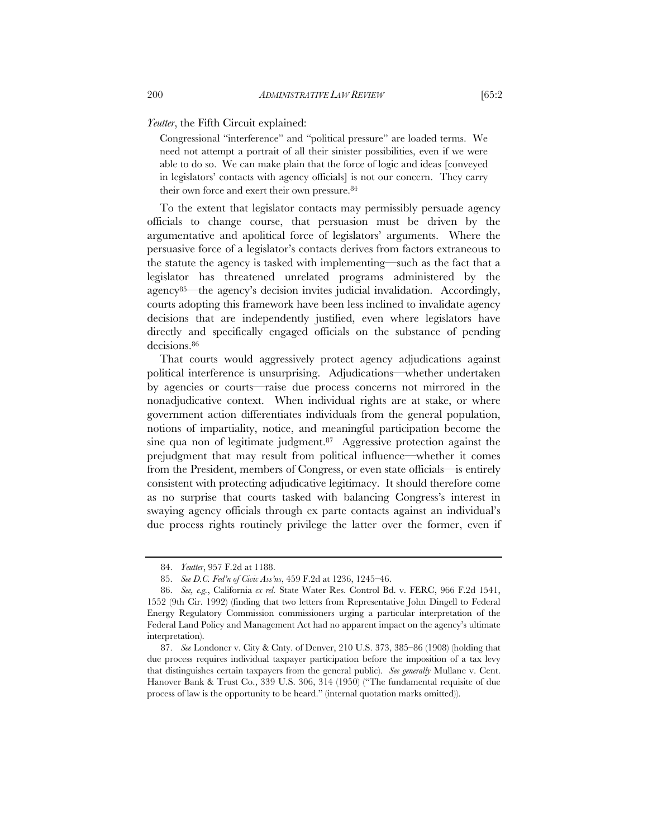*Yeutter*, the Fifth Circuit explained:

Congressional "interference" and "political pressure" are loaded terms. We need not attempt a portrait of all their sinister possibilities, even if we were able to do so. We can make plain that the force of logic and ideas [conveyed in legislators' contacts with agency officials] is not our concern. They carry their own force and exert their own pressure.<sup>84</sup>

To the extent that legislator contacts may permissibly persuade agency officials to change course, that persuasion must be driven by the argumentative and apolitical force of legislators' arguments. Where the persuasive force of a legislator's contacts derives from factors extraneous to the statute the agency is tasked with implementing—such as the fact that a legislator has threatened unrelated programs administered by the agency85—the agency's decision invites judicial invalidation. Accordingly, courts adopting this framework have been less inclined to invalidate agency decisions that are independently justified, even where legislators have directly and specifically engaged officials on the substance of pending decisions.<sup>86</sup>

That courts would aggressively protect agency adjudications against political interference is unsurprising. Adjudications—whether undertaken by agencies or courts—raise due process concerns not mirrored in the nonadjudicative context. When individual rights are at stake, or where government action differentiates individuals from the general population, notions of impartiality, notice, and meaningful participation become the sine qua non of legitimate judgment.<sup>87</sup> Aggressive protection against the prejudgment that may result from political influence—whether it comes from the President, members of Congress, or even state officials—is entirely consistent with protecting adjudicative legitimacy. It should therefore come as no surprise that courts tasked with balancing Congress's interest in swaying agency officials through ex parte contacts against an individual's due process rights routinely privilege the latter over the former, even if

 <sup>84.</sup> *Yeutter*, 957 F.2d at 1188.

 <sup>85.</sup> *See D.C. Fed'n of Civic Ass'ns*, 459 F.2d at 1236, 1245–46.

 <sup>86.</sup> *See, e.g.*, California *ex rel.* State Water Res. Control Bd. v. FERC, 966 F.2d 1541, 1552 (9th Cir. 1992) (finding that two letters from Representative John Dingell to Federal Energy Regulatory Commission commissioners urging a particular interpretation of the Federal Land Policy and Management Act had no apparent impact on the agency's ultimate interpretation).

 <sup>87.</sup> *See* Londoner v. City & Cnty. of Denver, 210 U.S. 373, 385–86 (1908) (holding that due process requires individual taxpayer participation before the imposition of a tax levy that distinguishes certain taxpayers from the general public). *See generally* Mullane v. Cent. Hanover Bank & Trust Co., 339 U.S. 306, 314 (1950) ("The fundamental requisite of due process of law is the opportunity to be heard." (internal quotation marks omitted)).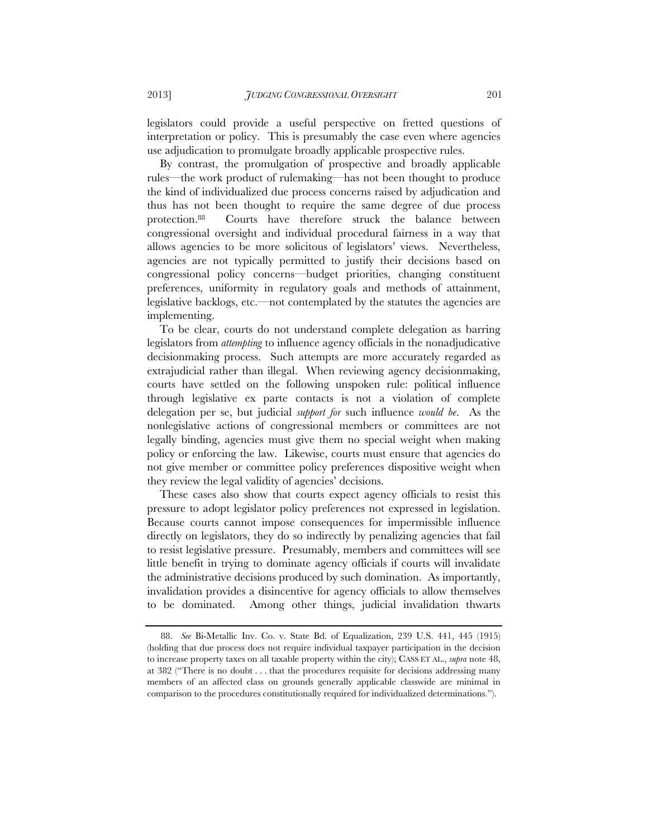legislators could provide a useful perspective on fretted questions of interpretation or policy. This is presumably the case even where agencies use adjudication to promulgate broadly applicable prospective rules.

By contrast, the promulgation of prospective and broadly applicable rules—the work product of rulemaking—has not been thought to produce the kind of individualized due process concerns raised by adjudication and thus has not been thought to require the same degree of due process protection.88 Courts have therefore struck the balance between congressional oversight and individual procedural fairness in a way that allows agencies to be more solicitous of legislators' views. Nevertheless, agencies are not typically permitted to justify their decisions based on congressional policy concerns—budget priorities, changing constituent preferences, uniformity in regulatory goals and methods of attainment, legislative backlogs, etc.—not contemplated by the statutes the agencies are implementing.

To be clear, courts do not understand complete delegation as barring legislators from *attempting* to influence agency officials in the nonadjudicative decisionmaking process. Such attempts are more accurately regarded as extrajudicial rather than illegal. When reviewing agency decisionmaking, courts have settled on the following unspoken rule: political influence through legislative ex parte contacts is not a violation of complete delegation per se, but judicial *support for* such influence *would be*. As the nonlegislative actions of congressional members or committees are not legally binding, agencies must give them no special weight when making policy or enforcing the law. Likewise, courts must ensure that agencies do not give member or committee policy preferences dispositive weight when they review the legal validity of agencies' decisions.

These cases also show that courts expect agency officials to resist this pressure to adopt legislator policy preferences not expressed in legislation. Because courts cannot impose consequences for impermissible influence directly on legislators, they do so indirectly by penalizing agencies that fail to resist legislative pressure. Presumably, members and committees will see little benefit in trying to dominate agency officials if courts will invalidate the administrative decisions produced by such domination. As importantly, invalidation provides a disincentive for agency officials to allow themselves to be dominated. Among other things, judicial invalidation thwarts

 <sup>88.</sup> *See* Bi-Metallic Inv. Co. v. State Bd. of Equalization, 239 U.S. 441, 445 (1915) (holding that due process does not require individual taxpayer participation in the decision to increase property taxes on all taxable property within the city); CASS ET AL., *supra* note 48, at 382 ("There is no doubt . . . that the procedures requisite for decisions addressing many members of an affected class on grounds generally applicable classwide are minimal in comparison to the procedures constitutionally required for individualized determinations.").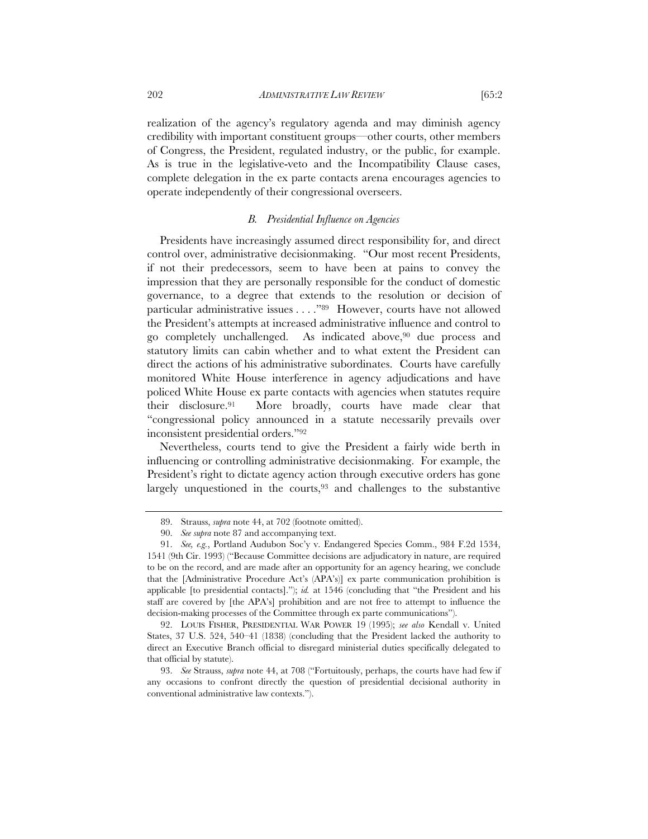realization of the agency's regulatory agenda and may diminish agency credibility with important constituent groups—other courts, other members of Congress, the President, regulated industry, or the public, for example. As is true in the legislative-veto and the Incompatibility Clause cases, complete delegation in the ex parte contacts arena encourages agencies to operate independently of their congressional overseers.

#### *B. Presidential Influence on Agencies*

Presidents have increasingly assumed direct responsibility for, and direct control over, administrative decisionmaking. "Our most recent Presidents, if not their predecessors, seem to have been at pains to convey the impression that they are personally responsible for the conduct of domestic governance, to a degree that extends to the resolution or decision of particular administrative issues . . . ."89 However, courts have not allowed the President's attempts at increased administrative influence and control to go completely unchallenged. As indicated above,90 due process and statutory limits can cabin whether and to what extent the President can direct the actions of his administrative subordinates. Courts have carefully monitored White House interference in agency adjudications and have policed White House ex parte contacts with agencies when statutes require their disclosure.91 More broadly, courts have made clear that "congressional policy announced in a statute necessarily prevails over inconsistent presidential orders."92

Nevertheless, courts tend to give the President a fairly wide berth in influencing or controlling administrative decisionmaking. For example, the President's right to dictate agency action through executive orders has gone largely unquestioned in the courts,<sup>93</sup> and challenges to the substantive

 <sup>89.</sup> Strauss, *supra* note 44, at 702 (footnote omitted).

 <sup>90.</sup> *See supra* note 87 and accompanying text.

 <sup>91.</sup> *See, e.g.*, Portland Audubon Soc'y v. Endangered Species Comm., 984 F.2d 1534, 1541 (9th Cir. 1993) ("Because Committee decisions are adjudicatory in nature, are required to be on the record, and are made after an opportunity for an agency hearing, we conclude that the [Administrative Procedure Act's (APA's)] ex parte communication prohibition is applicable [to presidential contacts]."); *id.* at 1546 (concluding that "the President and his staff are covered by [the APA's] prohibition and are not free to attempt to influence the decision-making processes of the Committee through ex parte communications").

 <sup>92.</sup> LOUIS FISHER, PRESIDENTIAL WAR POWER 19 (1995); *see also* Kendall v. United States, 37 U.S. 524, 540–41 (1838) (concluding that the President lacked the authority to direct an Executive Branch official to disregard ministerial duties specifically delegated to that official by statute).

 <sup>93.</sup> *See* Strauss, *supra* note 44, at 708 ("Fortuitously, perhaps, the courts have had few if any occasions to confront directly the question of presidential decisional authority in conventional administrative law contexts.").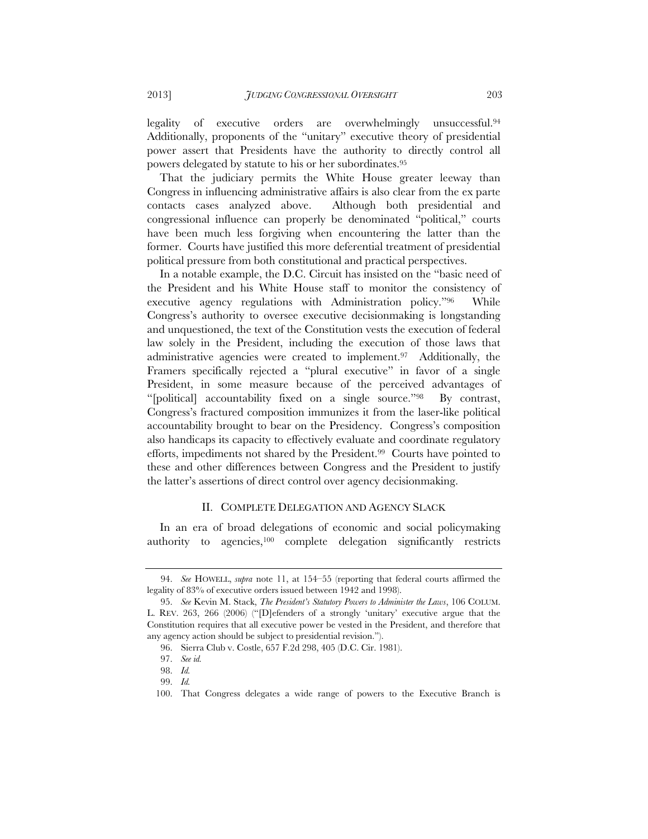legality of executive orders are overwhelmingly unsuccessful.94 Additionally, proponents of the "unitary" executive theory of presidential power assert that Presidents have the authority to directly control all powers delegated by statute to his or her subordinates.95

That the judiciary permits the White House greater leeway than Congress in influencing administrative affairs is also clear from the ex parte contacts cases analyzed above. Although both presidential and congressional influence can properly be denominated "political," courts have been much less forgiving when encountering the latter than the former. Courts have justified this more deferential treatment of presidential political pressure from both constitutional and practical perspectives.

In a notable example, the D.C. Circuit has insisted on the "basic need of the President and his White House staff to monitor the consistency of executive agency regulations with Administration policy."96 While Congress's authority to oversee executive decisionmaking is longstanding and unquestioned, the text of the Constitution vests the execution of federal law solely in the President, including the execution of those laws that administrative agencies were created to implement.97 Additionally, the Framers specifically rejected a "plural executive" in favor of a single President, in some measure because of the perceived advantages of "[political] accountability fixed on a single source."98 By contrast, Congress's fractured composition immunizes it from the laser-like political accountability brought to bear on the Presidency. Congress's composition also handicaps its capacity to effectively evaluate and coordinate regulatory efforts, impediments not shared by the President.99 Courts have pointed to these and other differences between Congress and the President to justify the latter's assertions of direct control over agency decisionmaking.

#### II. COMPLETE DELEGATION AND AGENCY SLACK

In an era of broad delegations of economic and social policymaking authority to agencies,100 complete delegation significantly restricts

 <sup>94.</sup> *See* HOWELL, *supra* note 11, at 154–55 (reporting that federal courts affirmed the legality of 83% of executive orders issued between 1942 and 1998).

 <sup>95.</sup> *See* Kevin M. Stack, *The President's Statutory Powers to Administer the Laws*, 106 COLUM. L. REV. 263, 266 (2006) ("[D]efenders of a strongly 'unitary' executive argue that the Constitution requires that all executive power be vested in the President, and therefore that any agency action should be subject to presidential revision.").

 <sup>96.</sup> Sierra Club v. Costle, 657 F.2d 298, 405 (D.C. Cir. 1981).

 <sup>97.</sup> *See id.*

 <sup>98.</sup> *Id.*

 <sup>99.</sup> *Id.*

 <sup>100.</sup> That Congress delegates a wide range of powers to the Executive Branch is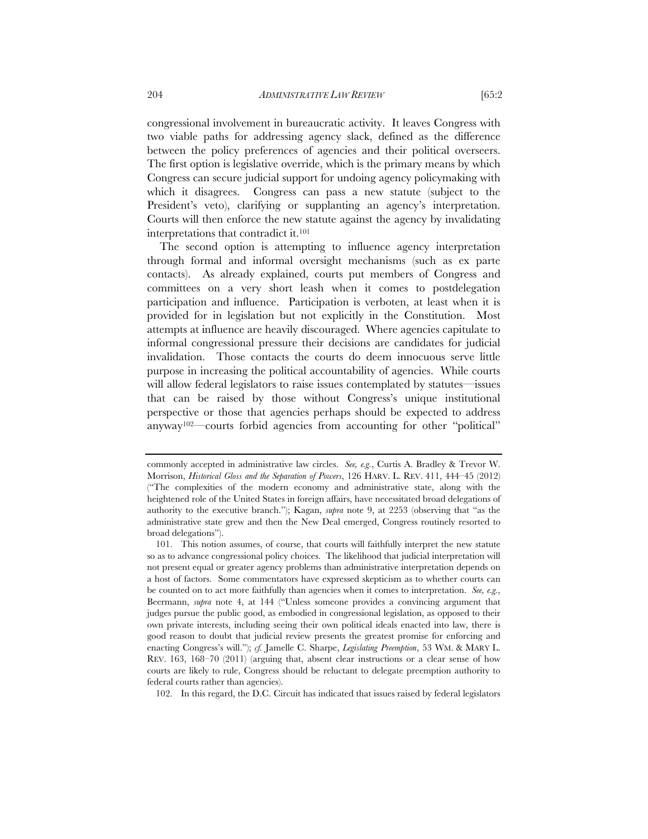congressional involvement in bureaucratic activity. It leaves Congress with two viable paths for addressing agency slack, defined as the difference between the policy preferences of agencies and their political overseers. The first option is legislative override, which is the primary means by which Congress can secure judicial support for undoing agency policymaking with which it disagrees. Congress can pass a new statute (subject to the President's veto), clarifying or supplanting an agency's interpretation. Courts will then enforce the new statute against the agency by invalidating interpretations that contradict it.101

The second option is attempting to influence agency interpretation through formal and informal oversight mechanisms (such as ex parte contacts). As already explained, courts put members of Congress and committees on a very short leash when it comes to postdelegation participation and influence. Participation is verboten, at least when it is provided for in legislation but not explicitly in the Constitution. Most attempts at influence are heavily discouraged. Where agencies capitulate to informal congressional pressure their decisions are candidates for judicial invalidation. Those contacts the courts do deem innocuous serve little purpose in increasing the political accountability of agencies. While courts will allow federal legislators to raise issues contemplated by statutes—issues that can be raised by those without Congress's unique institutional perspective or those that agencies perhaps should be expected to address anyway102—courts forbid agencies from accounting for other "political"

102. In this regard, the D.C. Circuit has indicated that issues raised by federal legislators

commonly accepted in administrative law circles. *See, e.g.*, Curtis A. Bradley & Trevor W. Morrison, *Historical Gloss and the Separation of Powers*, 126 HARV. L. REV. 411, 444–45 (2012) ("The complexities of the modern economy and administrative state, along with the heightened role of the United States in foreign affairs, have necessitated broad delegations of authority to the executive branch."); Kagan, *supra* note 9, at 2253 (observing that "as the administrative state grew and then the New Deal emerged, Congress routinely resorted to broad delegations").

 <sup>101.</sup> This notion assumes, of course, that courts will faithfully interpret the new statute so as to advance congressional policy choices. The likelihood that judicial interpretation will not present equal or greater agency problems than administrative interpretation depends on a host of factors. Some commentators have expressed skepticism as to whether courts can be counted on to act more faithfully than agencies when it comes to interpretation. *See, e.g.*, Beermann, *supra* note 4, at 144 ("Unless someone provides a convincing argument that judges pursue the public good, as embodied in congressional legislation, as opposed to their own private interests, including seeing their own political ideals enacted into law, there is good reason to doubt that judicial review presents the greatest promise for enforcing and enacting Congress's will."); *cf.* Jamelle C. Sharpe, *Legislating Preemption*, 53 WM. & MARY L. REV. 163, 168–70 (2011) (arguing that, absent clear instructions or a clear sense of how courts are likely to rule, Congress should be reluctant to delegate preemption authority to federal courts rather than agencies).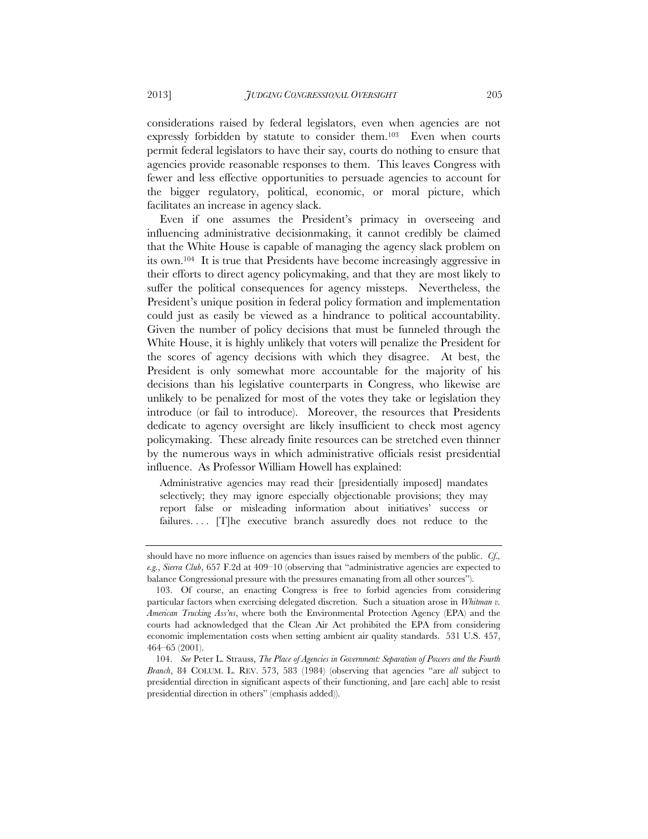considerations raised by federal legislators, even when agencies are not expressly forbidden by statute to consider them.103 Even when courts permit federal legislators to have their say, courts do nothing to ensure that agencies provide reasonable responses to them. This leaves Congress with fewer and less effective opportunities to persuade agencies to account for the bigger regulatory, political, economic, or moral picture, which facilitates an increase in agency slack.

Even if one assumes the President's primacy in overseeing and influencing administrative decisionmaking, it cannot credibly be claimed that the White House is capable of managing the agency slack problem on its own.104 It is true that Presidents have become increasingly aggressive in their efforts to direct agency policymaking, and that they are most likely to suffer the political consequences for agency missteps. Nevertheless, the President's unique position in federal policy formation and implementation could just as easily be viewed as a hindrance to political accountability. Given the number of policy decisions that must be funneled through the White House, it is highly unlikely that voters will penalize the President for the scores of agency decisions with which they disagree. At best, the President is only somewhat more accountable for the majority of his decisions than his legislative counterparts in Congress, who likewise are unlikely to be penalized for most of the votes they take or legislation they introduce (or fail to introduce). Moreover, the resources that Presidents dedicate to agency oversight are likely insufficient to check most agency policymaking. These already finite resources can be stretched even thinner by the numerous ways in which administrative officials resist presidential influence. As Professor William Howell has explained:

Administrative agencies may read their [presidentially imposed] mandates selectively; they may ignore especially objectionable provisions; they may report false or misleading information about initiatives' success or failures.... [T]he executive branch assuredly does not reduce to the

should have no more influence on agencies than issues raised by members of the public. *Cf., e.g.*, *Sierra Club*, 657 F.2d at 409–10 (observing that "administrative agencies are expected to balance Congressional pressure with the pressures emanating from all other sources").

 <sup>103.</sup> Of course, an enacting Congress is free to forbid agencies from considering particular factors when exercising delegated discretion. Such a situation arose in *Whitman v. American Trucking Ass'ns*, where both the Environmental Protection Agency (EPA) and the courts had acknowledged that the Clean Air Act prohibited the EPA from considering economic implementation costs when setting ambient air quality standards. 531 U.S. 457, 464–65 (2001).

 <sup>104.</sup> *See* Peter L. Strauss, *The Place of Agencies in Government: Separation of Powers and the Fourth Branch*, 84 COLUM. L. REV. 573, 583 (1984) (observing that agencies "are *all* subject to presidential direction in significant aspects of their functioning, and [are each] able to resist presidential direction in others" (emphasis added)).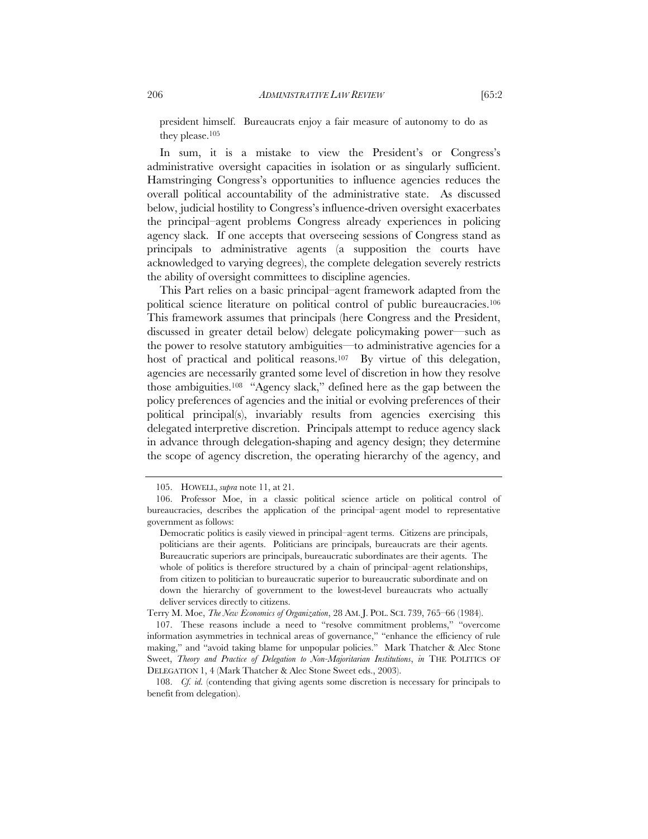president himself. Bureaucrats enjoy a fair measure of autonomy to do as they please.105

In sum, it is a mistake to view the President's or Congress's administrative oversight capacities in isolation or as singularly sufficient. Hamstringing Congress's opportunities to influence agencies reduces the overall political accountability of the administrative state. As discussed below, judicial hostility to Congress's influence-driven oversight exacerbates the principal–agent problems Congress already experiences in policing agency slack. If one accepts that overseeing sessions of Congress stand as principals to administrative agents (a supposition the courts have acknowledged to varying degrees), the complete delegation severely restricts the ability of oversight committees to discipline agencies.

This Part relies on a basic principal–agent framework adapted from the political science literature on political control of public bureaucracies.106 This framework assumes that principals (here Congress and the President, discussed in greater detail below) delegate policymaking power—such as the power to resolve statutory ambiguities—to administrative agencies for a host of practical and political reasons.<sup>107</sup> By virtue of this delegation, agencies are necessarily granted some level of discretion in how they resolve those ambiguities.108 "Agency slack," defined here as the gap between the policy preferences of agencies and the initial or evolving preferences of their political principal(s), invariably results from agencies exercising this delegated interpretive discretion. Principals attempt to reduce agency slack in advance through delegation-shaping and agency design; they determine the scope of agency discretion, the operating hierarchy of the agency, and

Terry M. Moe, *The New Economics of Organization*, 28 AM. J. POL. SCI. 739, 765–66 (1984).

 107. These reasons include a need to "resolve commitment problems," "overcome information asymmetries in technical areas of governance," "enhance the efficiency of rule making," and "avoid taking blame for unpopular policies." Mark Thatcher & Alec Stone Sweet, *Theory and Practice of Delegation to Non-Majoritarian Institutions*, *in* THE POLITICS OF DELEGATION 1, 4 (Mark Thatcher & Alec Stone Sweet eds., 2003).

 108. *Cf. id.* (contending that giving agents some discretion is necessary for principals to benefit from delegation).

 <sup>105.</sup> HOWELL, *supra* note 11, at 21.

 <sup>106.</sup> Professor Moe, in a classic political science article on political control of bureaucracies, describes the application of the principal–agent model to representative government as follows:

Democratic politics is easily viewed in principal–agent terms. Citizens are principals, politicians are their agents. Politicians are principals, bureaucrats are their agents. Bureaucratic superiors are principals, bureaucratic subordinates are their agents. The whole of politics is therefore structured by a chain of principal–agent relationships, from citizen to politician to bureaucratic superior to bureaucratic subordinate and on down the hierarchy of government to the lowest-level bureaucrats who actually deliver services directly to citizens.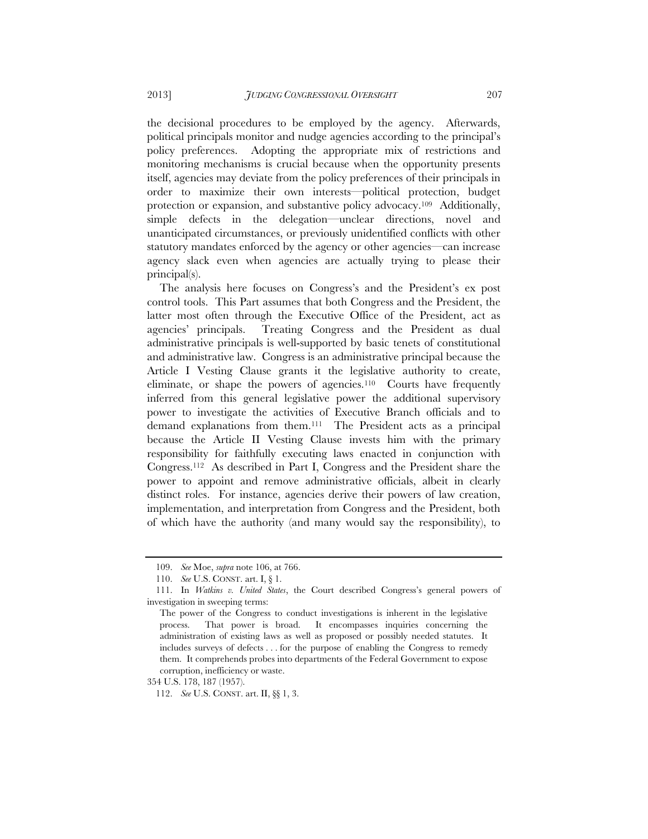the decisional procedures to be employed by the agency. Afterwards, political principals monitor and nudge agencies according to the principal's policy preferences. Adopting the appropriate mix of restrictions and monitoring mechanisms is crucial because when the opportunity presents itself, agencies may deviate from the policy preferences of their principals in order to maximize their own interests—political protection, budget protection or expansion, and substantive policy advocacy.109 Additionally, simple defects in the delegation—unclear directions, novel and unanticipated circumstances, or previously unidentified conflicts with other statutory mandates enforced by the agency or other agencies—can increase agency slack even when agencies are actually trying to please their principal(s).

The analysis here focuses on Congress's and the President's ex post control tools. This Part assumes that both Congress and the President, the latter most often through the Executive Office of the President, act as agencies' principals. Treating Congress and the President as dual administrative principals is well-supported by basic tenets of constitutional and administrative law. Congress is an administrative principal because the Article I Vesting Clause grants it the legislative authority to create, eliminate, or shape the powers of agencies.<sup>110</sup> Courts have frequently inferred from this general legislative power the additional supervisory power to investigate the activities of Executive Branch officials and to demand explanations from them.111 The President acts as a principal because the Article II Vesting Clause invests him with the primary responsibility for faithfully executing laws enacted in conjunction with Congress.112 As described in Part I, Congress and the President share the power to appoint and remove administrative officials, albeit in clearly distinct roles. For instance, agencies derive their powers of law creation, implementation, and interpretation from Congress and the President, both of which have the authority (and many would say the responsibility), to

354 U.S. 178, 187 (1957).

 <sup>109.</sup> *See* Moe, *supra* note 106, at 766.

 <sup>110.</sup> *See* U.S. CONST. art. I, § 1.

 <sup>111.</sup> In *Watkins v. United States*, the Court described Congress's general powers of investigation in sweeping terms:

The power of the Congress to conduct investigations is inherent in the legislative process. That power is broad. It encompasses inquiries concerning the administration of existing laws as well as proposed or possibly needed statutes. It includes surveys of defects . . . for the purpose of enabling the Congress to remedy them. It comprehends probes into departments of the Federal Government to expose corruption, inefficiency or waste.

 <sup>112.</sup> *See* U.S. CONST. art. II, §§ 1, 3.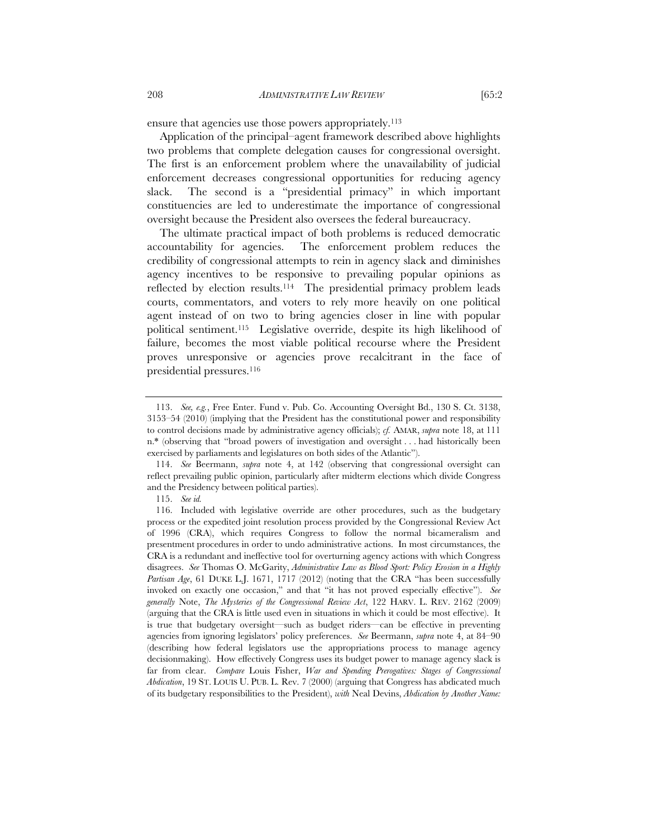ensure that agencies use those powers appropriately.113

Application of the principal–agent framework described above highlights two problems that complete delegation causes for congressional oversight. The first is an enforcement problem where the unavailability of judicial enforcement decreases congressional opportunities for reducing agency slack. The second is a "presidential primacy" in which important constituencies are led to underestimate the importance of congressional oversight because the President also oversees the federal bureaucracy.

The ultimate practical impact of both problems is reduced democratic accountability for agencies. The enforcement problem reduces the credibility of congressional attempts to rein in agency slack and diminishes agency incentives to be responsive to prevailing popular opinions as reflected by election results.114 The presidential primacy problem leads courts, commentators, and voters to rely more heavily on one political agent instead of on two to bring agencies closer in line with popular political sentiment.115 Legislative override, despite its high likelihood of failure, becomes the most viable political recourse where the President proves unresponsive or agencies prove recalcitrant in the face of presidential pressures.116

 <sup>113.</sup> *See, e.g.*, Free Enter. Fund v. Pub. Co. Accounting Oversight Bd., 130 S. Ct. 3138, 3153–54 (2010) (implying that the President has the constitutional power and responsibility to control decisions made by administrative agency officials); *cf.* AMAR, *supra* note 18, at 111 n.\* (observing that "broad powers of investigation and oversight . . . had historically been exercised by parliaments and legislatures on both sides of the Atlantic").

 <sup>114.</sup> *See* Beermann, *supra* note 4, at 142 (observing that congressional oversight can reflect prevailing public opinion, particularly after midterm elections which divide Congress and the Presidency between political parties).

 <sup>115.</sup> *See id.* 

 <sup>116.</sup> Included with legislative override are other procedures, such as the budgetary process or the expedited joint resolution process provided by the Congressional Review Act of 1996 (CRA), which requires Congress to follow the normal bicameralism and presentment procedures in order to undo administrative actions. In most circumstances, the CRA is a redundant and ineffective tool for overturning agency actions with which Congress disagrees. *See* Thomas O. McGarity, *Administrative Law as Blood Sport: Policy Erosion in a Highly Partisan Age*, 61 DUKE L.J. 1671, 1717 (2012) (noting that the CRA "has been successfully invoked on exactly one occasion," and that "it has not proved especially effective"). *See generally* Note, *The Mysteries of the Congressional Review Act*, 122 HARV. L. REV. 2162 (2009) (arguing that the CRA is little used even in situations in which it could be most effective). It is true that budgetary oversight—such as budget riders—can be effective in preventing agencies from ignoring legislators' policy preferences. *See* Beermann, *supra* note 4, at 84–90 (describing how federal legislators use the appropriations process to manage agency decisionmaking). How effectively Congress uses its budget power to manage agency slack is far from clear. *Compare* Louis Fisher, *War and Spending Prerogatives: Stages of Congressional Abdication*, 19 ST. LOUIS U. PUB. L. Rev. 7 (2000) (arguing that Congress has abdicated much of its budgetary responsibilities to the President), *with* Neal Devins, *Abdication by Another Name:*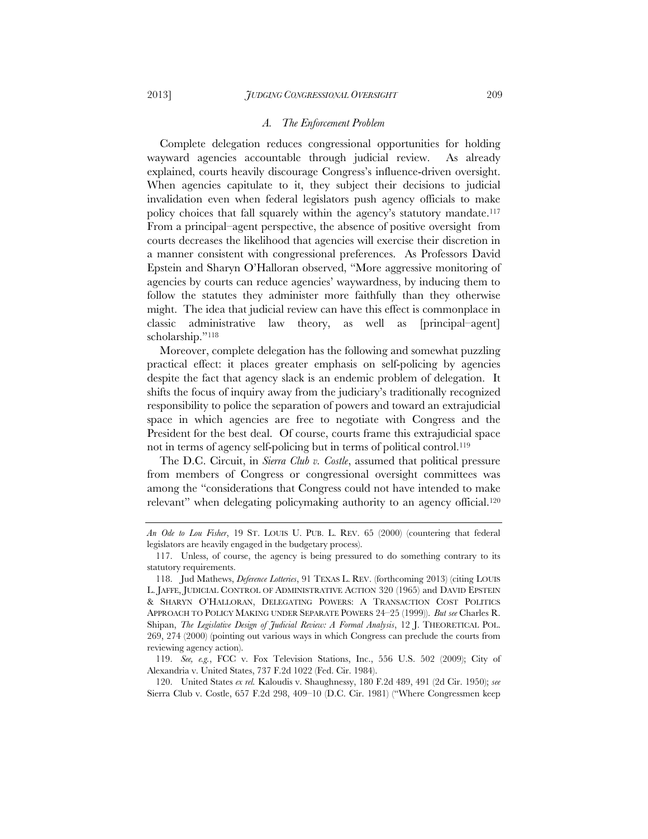#### *A. The Enforcement Problem*

Complete delegation reduces congressional opportunities for holding wayward agencies accountable through judicial review. As already explained, courts heavily discourage Congress's influence-driven oversight. When agencies capitulate to it, they subject their decisions to judicial invalidation even when federal legislators push agency officials to make policy choices that fall squarely within the agency's statutory mandate.117 From a principal–agent perspective, the absence of positive oversight from courts decreases the likelihood that agencies will exercise their discretion in a manner consistent with congressional preferences. As Professors David Epstein and Sharyn O'Halloran observed, "More aggressive monitoring of agencies by courts can reduce agencies' waywardness, by inducing them to follow the statutes they administer more faithfully than they otherwise might. The idea that judicial review can have this effect is commonplace in classic administrative law theory, as well as [principal–agent] scholarship."118

Moreover, complete delegation has the following and somewhat puzzling practical effect: it places greater emphasis on self-policing by agencies despite the fact that agency slack is an endemic problem of delegation. It shifts the focus of inquiry away from the judiciary's traditionally recognized responsibility to police the separation of powers and toward an extrajudicial space in which agencies are free to negotiate with Congress and the President for the best deal. Of course, courts frame this extrajudicial space not in terms of agency self-policing but in terms of political control.119

The D.C. Circuit, in *Sierra Club v. Costle*, assumed that political pressure from members of Congress or congressional oversight committees was among the "considerations that Congress could not have intended to make relevant" when delegating policymaking authority to an agency official.<sup>120</sup>

 120. United States *ex rel.* Kaloudis v. Shaughnessy, 180 F.2d 489, 491 (2d Cir. 1950); *see*  Sierra Club v. Costle, 657 F.2d 298, 409–10 (D.C. Cir. 1981) ("Where Congressmen keep

*An Ode to Lou Fisher*, 19 ST. LOUIS U. PUB. L. REV. 65 (2000) (countering that federal legislators are heavily engaged in the budgetary process).

 <sup>117.</sup> Unless, of course, the agency is being pressured to do something contrary to its statutory requirements.

 <sup>118.</sup> Jud Mathews, *Deference Lotteries*, 91 TEXAS L. REV. (forthcoming 2013) (citing LOUIS L. JAFFE, JUDICIAL CONTROL OF ADMINISTRATIVE ACTION 320 (1965) and DAVID EPSTEIN & SHARYN O'HALLORAN, DELEGATING POWERS: A TRANSACTION COST POLITICS APPROACH TO POLICY MAKING UNDER SEPARATE POWERS 24–25 (1999)). *But see* Charles R. Shipan, *The Legislative Design of Judicial Review: A Formal Analysis*, 12 J. THEORETICAL POL. 269, 274 (2000) (pointing out various ways in which Congress can preclude the courts from reviewing agency action).

 <sup>119.</sup> *See, e.g.*, FCC v. Fox Television Stations, Inc., 556 U.S. 502 (2009); City of Alexandria v. United States, 737 F.2d 1022 (Fed. Cir. 1984).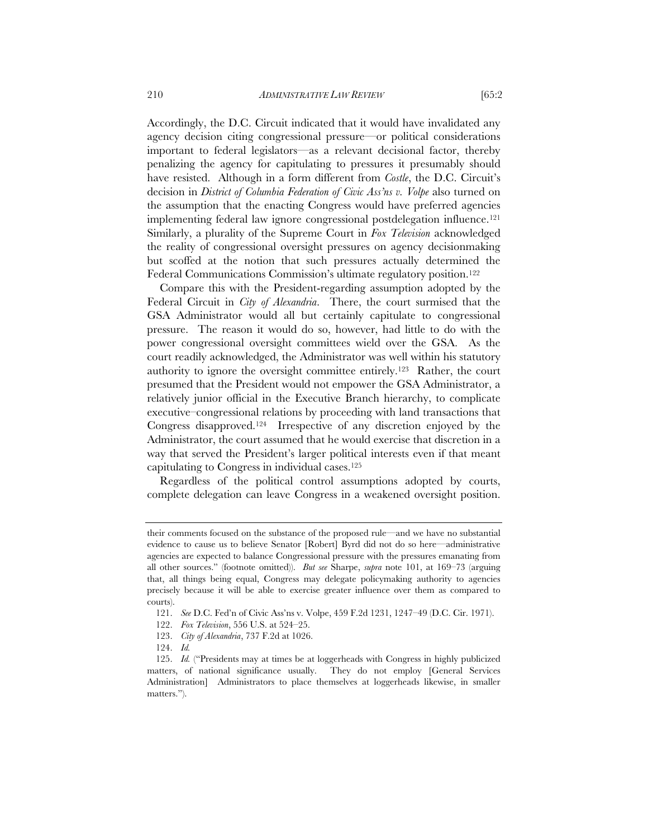Accordingly, the D.C. Circuit indicated that it would have invalidated any agency decision citing congressional pressure—or political considerations important to federal legislators—as a relevant decisional factor, thereby penalizing the agency for capitulating to pressures it presumably should have resisted. Although in a form different from *Costle*, the D.C. Circuit's decision in *District of Columbia Federation of Civic Ass'ns v. Volpe* also turned on the assumption that the enacting Congress would have preferred agencies implementing federal law ignore congressional postdelegation influence.121 Similarly, a plurality of the Supreme Court in *Fox Television* acknowledged the reality of congressional oversight pressures on agency decisionmaking but scoffed at the notion that such pressures actually determined the Federal Communications Commission's ultimate regulatory position.<sup>122</sup>

Compare this with the President-regarding assumption adopted by the Federal Circuit in *City of Alexandria*. There, the court surmised that the GSA Administrator would all but certainly capitulate to congressional pressure. The reason it would do so, however, had little to do with the power congressional oversight committees wield over the GSA. As the court readily acknowledged, the Administrator was well within his statutory authority to ignore the oversight committee entirely.123 Rather, the court presumed that the President would not empower the GSA Administrator, a relatively junior official in the Executive Branch hierarchy, to complicate executive–congressional relations by proceeding with land transactions that Congress disapproved.124 Irrespective of any discretion enjoyed by the Administrator, the court assumed that he would exercise that discretion in a way that served the President's larger political interests even if that meant capitulating to Congress in individual cases.125

Regardless of the political control assumptions adopted by courts, complete delegation can leave Congress in a weakened oversight position.

their comments focused on the substance of the proposed rule—and we have no substantial evidence to cause us to believe Senator [Robert] Byrd did not do so here—administrative agencies are expected to balance Congressional pressure with the pressures emanating from all other sources." (footnote omitted)). *But see* Sharpe, *supra* note 101, at 169–73 (arguing that, all things being equal, Congress may delegate policymaking authority to agencies precisely because it will be able to exercise greater influence over them as compared to courts).

 <sup>121.</sup> *See* D.C. Fed'n of Civic Ass'ns v. Volpe, 459 F.2d 1231, 1247–49 (D.C. Cir. 1971).

 <sup>122.</sup> *Fox Television*, 556 U.S. at 524–25.

 <sup>123.</sup> *City of Alexandria*, 737 F.2d at 1026.

 <sup>124.</sup> *Id.*

 <sup>125.</sup> *Id.* ("Presidents may at times be at loggerheads with Congress in highly publicized matters, of national significance usually. They do not employ [General Services Administration] Administrators to place themselves at loggerheads likewise, in smaller matters.").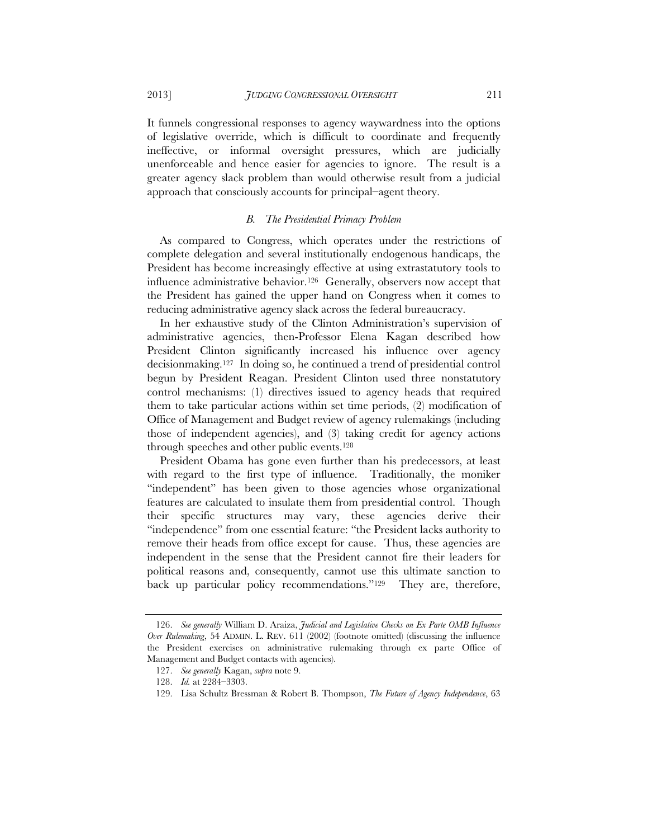It funnels congressional responses to agency waywardness into the options of legislative override, which is difficult to coordinate and frequently ineffective, or informal oversight pressures, which are judicially unenforceable and hence easier for agencies to ignore. The result is a greater agency slack problem than would otherwise result from a judicial approach that consciously accounts for principal–agent theory.

#### *B. The Presidential Primacy Problem*

As compared to Congress, which operates under the restrictions of complete delegation and several institutionally endogenous handicaps, the President has become increasingly effective at using extrastatutory tools to influence administrative behavior.126 Generally, observers now accept that the President has gained the upper hand on Congress when it comes to reducing administrative agency slack across the federal bureaucracy.

In her exhaustive study of the Clinton Administration's supervision of administrative agencies, then-Professor Elena Kagan described how President Clinton significantly increased his influence over agency decisionmaking.127 In doing so, he continued a trend of presidential control begun by President Reagan. President Clinton used three nonstatutory control mechanisms: (1) directives issued to agency heads that required them to take particular actions within set time periods, (2) modification of Office of Management and Budget review of agency rulemakings (including those of independent agencies), and (3) taking credit for agency actions through speeches and other public events.128

President Obama has gone even further than his predecessors, at least with regard to the first type of influence. Traditionally, the moniker "independent" has been given to those agencies whose organizational features are calculated to insulate them from presidential control. Though their specific structures may vary, these agencies derive their "independence" from one essential feature: "the President lacks authority to remove their heads from office except for cause. Thus, these agencies are independent in the sense that the President cannot fire their leaders for political reasons and, consequently, cannot use this ultimate sanction to back up particular policy recommendations."129 They are, therefore,

 <sup>126.</sup> *See generally* William D. Araiza, *Judicial and Legislative Checks on Ex Parte OMB Influence Over Rulemaking*, 54 ADMIN. L. REV. 611 (2002) (footnote omitted) (discussing the influence the President exercises on administrative rulemaking through ex parte Office of Management and Budget contacts with agencies).

 <sup>127.</sup> *See generally* Kagan, *supra* note 9.

 <sup>128.</sup> *Id.* at 2284–3303.

 <sup>129.</sup> Lisa Schultz Bressman & Robert B. Thompson, *The Future of Agency Independence*, 63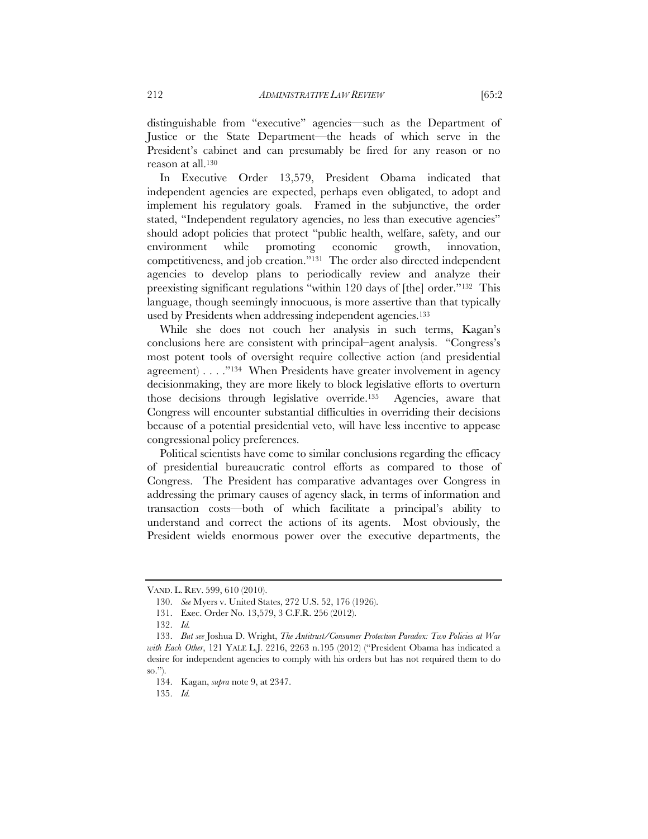distinguishable from "executive" agencies—such as the Department of Justice or the State Department—the heads of which serve in the President's cabinet and can presumably be fired for any reason or no reason at all.130

In Executive Order 13,579, President Obama indicated that independent agencies are expected, perhaps even obligated, to adopt and implement his regulatory goals. Framed in the subjunctive, the order stated, "Independent regulatory agencies, no less than executive agencies" should adopt policies that protect "public health, welfare, safety, and our environment while promoting economic growth, innovation, competitiveness, and job creation."131 The order also directed independent agencies to develop plans to periodically review and analyze their preexisting significant regulations "within 120 days of [the] order."132 This language, though seemingly innocuous, is more assertive than that typically used by Presidents when addressing independent agencies.<sup>133</sup>

While she does not couch her analysis in such terms, Kagan's conclusions here are consistent with principal–agent analysis. "Congress's most potent tools of oversight require collective action (and presidential agreement) . . . ."134 When Presidents have greater involvement in agency decisionmaking, they are more likely to block legislative efforts to overturn those decisions through legislative override.135 Agencies, aware that Congress will encounter substantial difficulties in overriding their decisions because of a potential presidential veto, will have less incentive to appease congressional policy preferences.

Political scientists have come to similar conclusions regarding the efficacy of presidential bureaucratic control efforts as compared to those of Congress. The President has comparative advantages over Congress in addressing the primary causes of agency slack, in terms of information and transaction costs—both of which facilitate a principal's ability to understand and correct the actions of its agents. Most obviously, the President wields enormous power over the executive departments, the

VAND. L. REV. 599, 610 (2010).

 <sup>130.</sup> *See* Myers v. United States, 272 U.S. 52, 176 (1926).

 <sup>131.</sup> Exec. Order No. 13,579, 3 C.F.R. 256 (2012).

 <sup>132.</sup> *Id.*

 <sup>133.</sup> *But see* Joshua D. Wright, *The Antitrust/Consumer Protection Paradox: Two Policies at War with Each Other*, 121 YALE L.J. 2216, 2263 n.195 (2012) ("President Obama has indicated a desire for independent agencies to comply with his orders but has not required them to do so.").

 <sup>134.</sup> Kagan, *supra* note 9, at 2347.

 <sup>135.</sup> *Id.*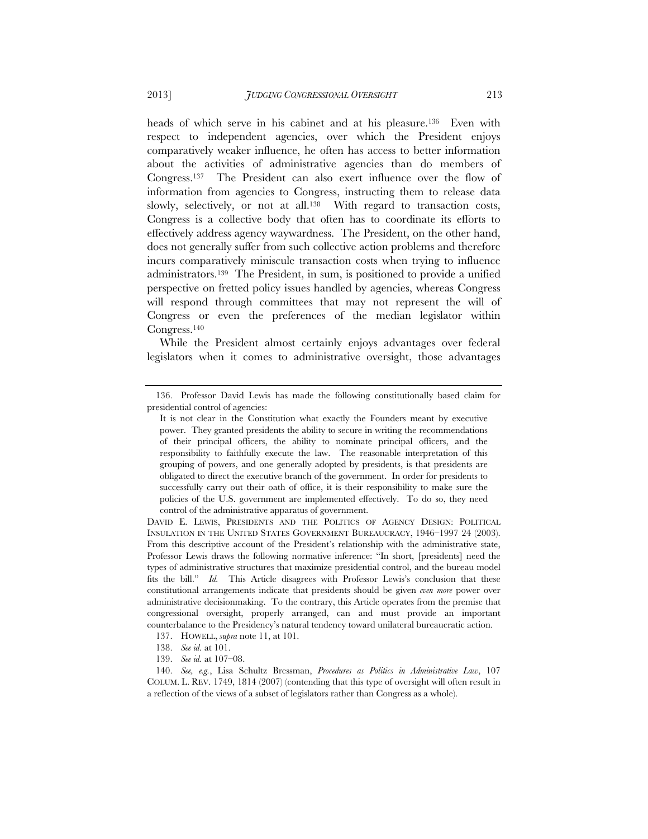heads of which serve in his cabinet and at his pleasure.136 Even with respect to independent agencies, over which the President enjoys comparatively weaker influence, he often has access to better information about the activities of administrative agencies than do members of Congress.137 The President can also exert influence over the flow of information from agencies to Congress, instructing them to release data slowly, selectively, or not at all.138 With regard to transaction costs, Congress is a collective body that often has to coordinate its efforts to effectively address agency waywardness. The President, on the other hand, does not generally suffer from such collective action problems and therefore incurs comparatively miniscule transaction costs when trying to influence administrators.139 The President, in sum, is positioned to provide a unified perspective on fretted policy issues handled by agencies, whereas Congress will respond through committees that may not represent the will of Congress or even the preferences of the median legislator within Congress.140

While the President almost certainly enjoys advantages over federal legislators when it comes to administrative oversight, those advantages

 <sup>136.</sup> Professor David Lewis has made the following constitutionally based claim for presidential control of agencies:

It is not clear in the Constitution what exactly the Founders meant by executive power. They granted presidents the ability to secure in writing the recommendations of their principal officers, the ability to nominate principal officers, and the responsibility to faithfully execute the law. The reasonable interpretation of this grouping of powers, and one generally adopted by presidents, is that presidents are obligated to direct the executive branch of the government. In order for presidents to successfully carry out their oath of office, it is their responsibility to make sure the policies of the U.S. government are implemented effectively. To do so, they need control of the administrative apparatus of government.

DAVID E. LEWIS, PRESIDENTS AND THE POLITICS OF AGENCY DESIGN: POLITICAL INSULATION IN THE UNITED STATES GOVERNMENT BUREAUCRACY, 1946–1997 24 (2003). From this descriptive account of the President's relationship with the administrative state, Professor Lewis draws the following normative inference: "In short, [presidents] need the types of administrative structures that maximize presidential control, and the bureau model fits the bill." *Id.* This Article disagrees with Professor Lewis's conclusion that these constitutional arrangements indicate that presidents should be given *even more* power over administrative decisionmaking. To the contrary, this Article operates from the premise that congressional oversight, properly arranged, can and must provide an important counterbalance to the Presidency's natural tendency toward unilateral bureaucratic action.

 <sup>137.</sup> HOWELL, *supra* note 11, at 101.

 <sup>138.</sup> *See id.* at 101.

 <sup>139.</sup> *See id.* at 107–08.

 <sup>140.</sup> *See, e.g.*, Lisa Schultz Bressman, *Procedures as Politics in Administrative Law*, 107 COLUM. L. REV. 1749, 1814 (2007) (contending that this type of oversight will often result in a reflection of the views of a subset of legislators rather than Congress as a whole).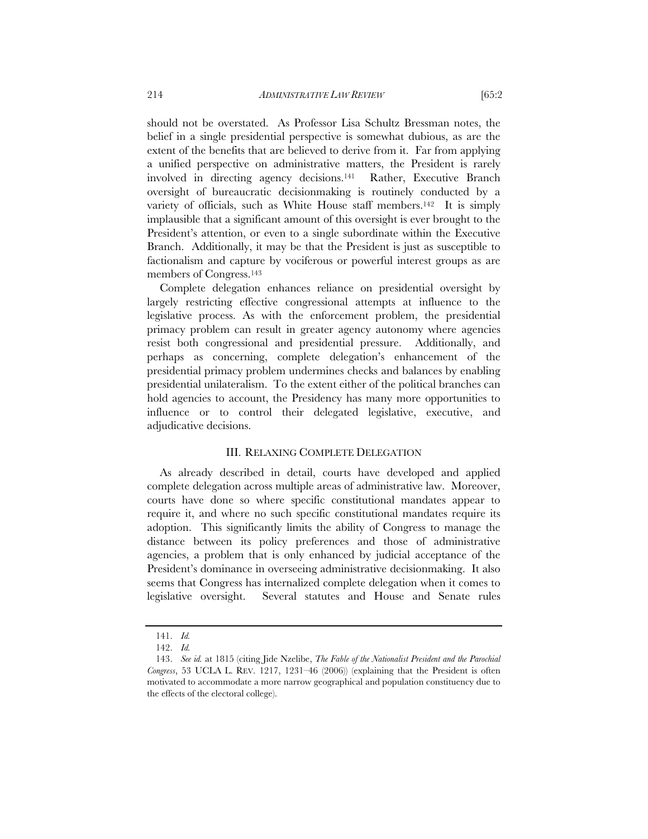should not be overstated. As Professor Lisa Schultz Bressman notes, the belief in a single presidential perspective is somewhat dubious, as are the extent of the benefits that are believed to derive from it. Far from applying a unified perspective on administrative matters, the President is rarely involved in directing agency decisions.141 Rather, Executive Branch oversight of bureaucratic decisionmaking is routinely conducted by a variety of officials, such as White House staff members.142 It is simply implausible that a significant amount of this oversight is ever brought to the President's attention, or even to a single subordinate within the Executive Branch. Additionally, it may be that the President is just as susceptible to factionalism and capture by vociferous or powerful interest groups as are members of Congress.143

Complete delegation enhances reliance on presidential oversight by largely restricting effective congressional attempts at influence to the legislative process. As with the enforcement problem, the presidential primacy problem can result in greater agency autonomy where agencies resist both congressional and presidential pressure. Additionally, and perhaps as concerning, complete delegation's enhancement of the presidential primacy problem undermines checks and balances by enabling presidential unilateralism. To the extent either of the political branches can hold agencies to account, the Presidency has many more opportunities to influence or to control their delegated legislative, executive, and adjudicative decisions.

#### III. RELAXING COMPLETE DELEGATION

As already described in detail, courts have developed and applied complete delegation across multiple areas of administrative law. Moreover, courts have done so where specific constitutional mandates appear to require it, and where no such specific constitutional mandates require its adoption. This significantly limits the ability of Congress to manage the distance between its policy preferences and those of administrative agencies, a problem that is only enhanced by judicial acceptance of the President's dominance in overseeing administrative decisionmaking. It also seems that Congress has internalized complete delegation when it comes to legislative oversight. Several statutes and House and Senate rules

 <sup>141.</sup> *Id.*

 <sup>142.</sup> *Id.*

 <sup>143.</sup> *See id.* at 1815 (citing Jide Nzelibe, *The Fable of the Nationalist President and the Parochial Congress*, 53 UCLA L. REV. 1217, 1231–46 (2006)) (explaining that the President is often motivated to accommodate a more narrow geographical and population constituency due to the effects of the electoral college).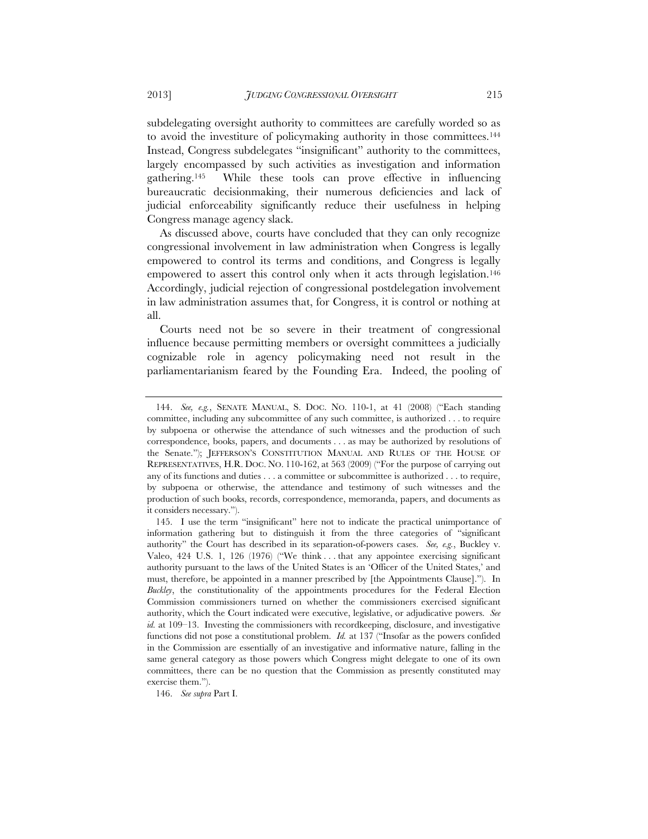subdelegating oversight authority to committees are carefully worded so as to avoid the investiture of policymaking authority in those committees.144 Instead, Congress subdelegates "insignificant" authority to the committees, largely encompassed by such activities as investigation and information gathering.145 While these tools can prove effective in influencing bureaucratic decisionmaking, their numerous deficiencies and lack of judicial enforceability significantly reduce their usefulness in helping Congress manage agency slack.

As discussed above, courts have concluded that they can only recognize congressional involvement in law administration when Congress is legally empowered to control its terms and conditions, and Congress is legally empowered to assert this control only when it acts through legislation.<sup>146</sup> Accordingly, judicial rejection of congressional postdelegation involvement in law administration assumes that, for Congress, it is control or nothing at all.

Courts need not be so severe in their treatment of congressional influence because permitting members or oversight committees a judicially cognizable role in agency policymaking need not result in the parliamentarianism feared by the Founding Era. Indeed, the pooling of

146. *See supra* Part I.

 <sup>144.</sup> *See, e.g.*, SENATE MANUAL, S. DOC. NO. 110-1, at 41 (2008) ("Each standing committee, including any subcommittee of any such committee, is authorized . . . to require by subpoena or otherwise the attendance of such witnesses and the production of such correspondence, books, papers, and documents . . . as may be authorized by resolutions of the Senate."); JEFFERSON'S CONSTITUTION MANUAL AND RULES OF THE HOUSE OF REPRESENTATIVES, H.R. DOC. NO. 110-162, at 563 (2009) ("For the purpose of carrying out any of its functions and duties . . . a committee or subcommittee is authorized . . . to require, by subpoena or otherwise, the attendance and testimony of such witnesses and the production of such books, records, correspondence, memoranda, papers, and documents as it considers necessary.").

 <sup>145.</sup> I use the term "insignificant" here not to indicate the practical unimportance of information gathering but to distinguish it from the three categories of "significant authority" the Court has described in its separation-of-powers cases. *See, e.g.*, Buckley v. Valeo, 424 U.S. 1, 126 (1976) ("We think . . . that any appointee exercising significant authority pursuant to the laws of the United States is an 'Officer of the United States,' and must, therefore, be appointed in a manner prescribed by [the Appointments Clause]."). In *Buckley*, the constitutionality of the appointments procedures for the Federal Election Commission commissioners turned on whether the commissioners exercised significant authority, which the Court indicated were executive, legislative, or adjudicative powers. *See id.* at 109–13. Investing the commissioners with recordkeeping, disclosure, and investigative functions did not pose a constitutional problem. *Id.* at 137 ("Insofar as the powers confided in the Commission are essentially of an investigative and informative nature, falling in the same general category as those powers which Congress might delegate to one of its own committees, there can be no question that the Commission as presently constituted may exercise them.").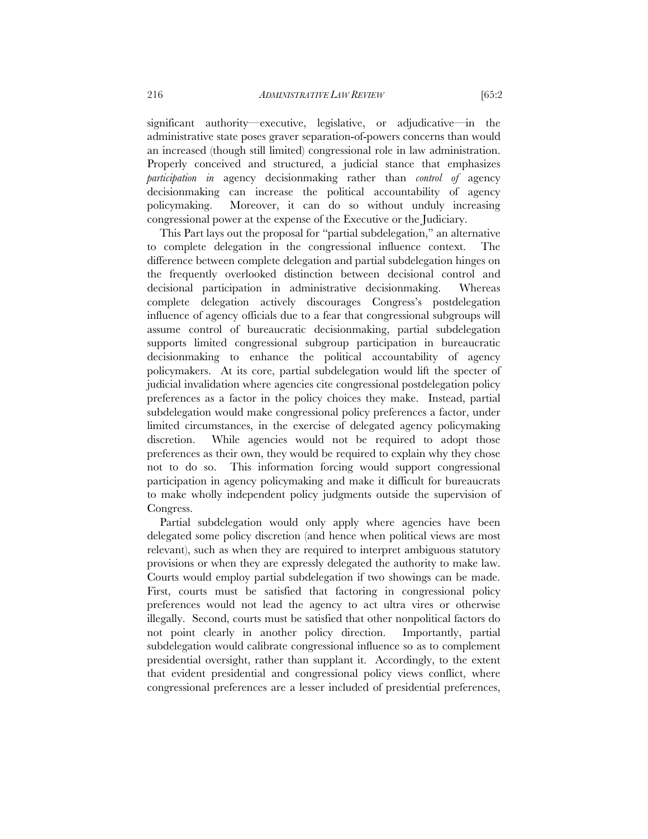significant authority—executive, legislative, or adjudicative—in the administrative state poses graver separation-of-powers concerns than would an increased (though still limited) congressional role in law administration. Properly conceived and structured, a judicial stance that emphasizes *participation in* agency decisionmaking rather than *control of* agency decisionmaking can increase the political accountability of agency policymaking. Moreover, it can do so without unduly increasing congressional power at the expense of the Executive or the Judiciary.

This Part lays out the proposal for "partial subdelegation," an alternative to complete delegation in the congressional influence context. The difference between complete delegation and partial subdelegation hinges on the frequently overlooked distinction between decisional control and decisional participation in administrative decisionmaking. Whereas complete delegation actively discourages Congress's postdelegation influence of agency officials due to a fear that congressional subgroups will assume control of bureaucratic decisionmaking, partial subdelegation supports limited congressional subgroup participation in bureaucratic decisionmaking to enhance the political accountability of agency policymakers. At its core, partial subdelegation would lift the specter of judicial invalidation where agencies cite congressional postdelegation policy preferences as a factor in the policy choices they make. Instead, partial subdelegation would make congressional policy preferences a factor, under limited circumstances, in the exercise of delegated agency policymaking discretion. While agencies would not be required to adopt those preferences as their own, they would be required to explain why they chose not to do so. This information forcing would support congressional participation in agency policymaking and make it difficult for bureaucrats to make wholly independent policy judgments outside the supervision of Congress.

Partial subdelegation would only apply where agencies have been delegated some policy discretion (and hence when political views are most relevant), such as when they are required to interpret ambiguous statutory provisions or when they are expressly delegated the authority to make law. Courts would employ partial subdelegation if two showings can be made. First, courts must be satisfied that factoring in congressional policy preferences would not lead the agency to act ultra vires or otherwise illegally. Second, courts must be satisfied that other nonpolitical factors do not point clearly in another policy direction. Importantly, partial subdelegation would calibrate congressional influence so as to complement presidential oversight, rather than supplant it. Accordingly, to the extent that evident presidential and congressional policy views conflict, where congressional preferences are a lesser included of presidential preferences,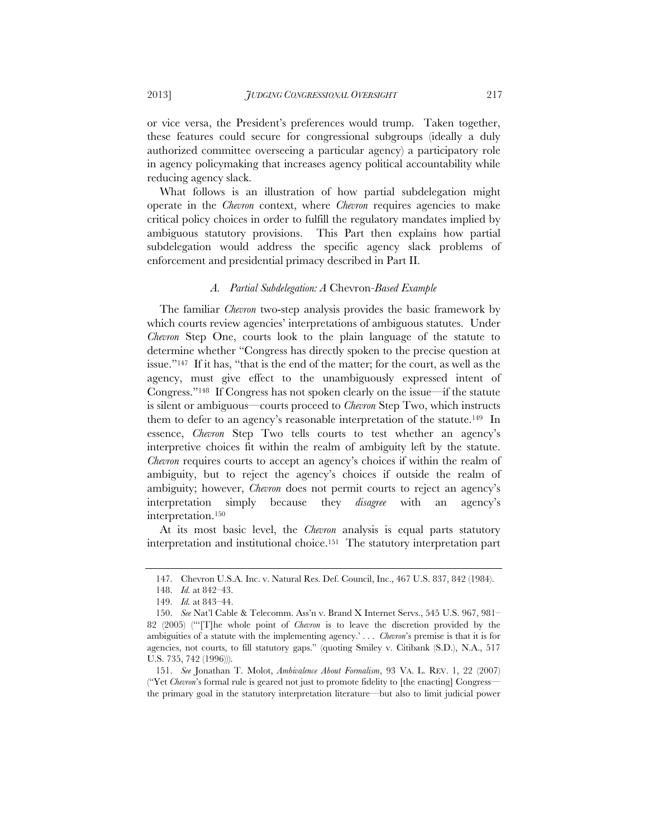or vice versa, the President's preferences would trump. Taken together, these features could secure for congressional subgroups (ideally a duly authorized committee overseeing a particular agency) a participatory role in agency policymaking that increases agency political accountability while reducing agency slack.

What follows is an illustration of how partial subdelegation might operate in the *Chevron* context, where *Chevron* requires agencies to make critical policy choices in order to fulfill the regulatory mandates implied by ambiguous statutory provisions. This Part then explains how partial subdelegation would address the specific agency slack problems of enforcement and presidential primacy described in Part II.

#### *A. Partial Subdelegation: A* Chevron*-Based Example*

The familiar *Chevron* two-step analysis provides the basic framework by which courts review agencies' interpretations of ambiguous statutes. Under *Chevron* Step One, courts look to the plain language of the statute to determine whether "Congress has directly spoken to the precise question at issue."147 If it has, "that is the end of the matter; for the court, as well as the agency, must give effect to the unambiguously expressed intent of Congress."148 If Congress has not spoken clearly on the issue—if the statute is silent or ambiguous—courts proceed to *Chevron* Step Two, which instructs them to defer to an agency's reasonable interpretation of the statute.<sup>149</sup> In essence, *Chevron* Step Two tells courts to test whether an agency's interpretive choices fit within the realm of ambiguity left by the statute. *Chevron* requires courts to accept an agency's choices if within the realm of ambiguity, but to reject the agency's choices if outside the realm of ambiguity; however, *Chevron* does not permit courts to reject an agency's interpretation simply because they *disagree* with an agency's interpretation.150

At its most basic level, the *Chevron* analysis is equal parts statutory interpretation and institutional choice.151 The statutory interpretation part

 <sup>147.</sup> Chevron U.S.A. Inc. v. Natural Res. Def. Council, Inc., 467 U.S. 837, 842 (1984).

 <sup>148.</sup> *Id.* at 842–43.

 <sup>149.</sup> *Id.* at 843–44.

 <sup>150.</sup> *See* Nat'l Cable & Telecomm. Ass'n v. Brand X Internet Servs., 545 U.S. 967, 981– 82 (2005) ("'[T]he whole point of *Chevron* is to leave the discretion provided by the ambiguities of a statute with the implementing agency.' . . . *Chevron*'s premise is that it is for agencies, not courts, to fill statutory gaps." (quoting Smiley v. Citibank (S.D.), N.A., 517 U.S. 735, 742 (1996))).

 <sup>151.</sup> *See* Jonathan T. Molot, *Ambivalence About Formalism*, 93 VA. L. REV. 1, 22 (2007) ("Yet *Chevron*'s formal rule is geared not just to promote fidelity to [the enacting] Congress the primary goal in the statutory interpretation literature—but also to limit judicial power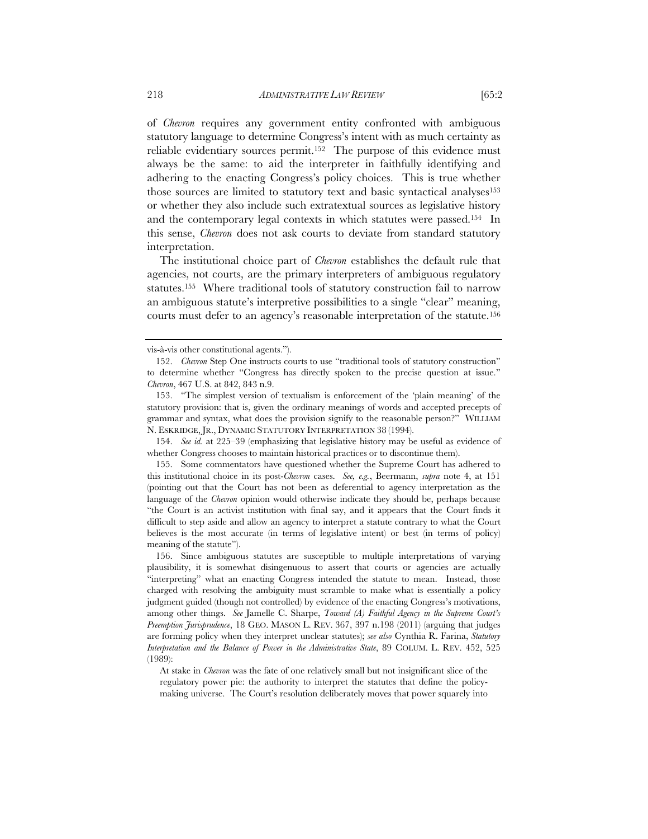of *Chevron* requires any government entity confronted with ambiguous statutory language to determine Congress's intent with as much certainty as reliable evidentiary sources permit.152 The purpose of this evidence must always be the same: to aid the interpreter in faithfully identifying and adhering to the enacting Congress's policy choices. This is true whether those sources are limited to statutory text and basic syntactical analyses<sup>153</sup>

or whether they also include such extratextual sources as legislative history and the contemporary legal contexts in which statutes were passed.154 In this sense, *Chevron* does not ask courts to deviate from standard statutory interpretation.

The institutional choice part of *Chevron* establishes the default rule that agencies, not courts, are the primary interpreters of ambiguous regulatory statutes.155 Where traditional tools of statutory construction fail to narrow an ambiguous statute's interpretive possibilities to a single "clear" meaning, courts must defer to an agency's reasonable interpretation of the statute.156

 154. *See id.* at 225–39 (emphasizing that legislative history may be useful as evidence of whether Congress chooses to maintain historical practices or to discontinue them).

 155. Some commentators have questioned whether the Supreme Court has adhered to this institutional choice in its post-*Chevron* cases. *See, e.g.*, Beermann, *supra* note 4, at 151 (pointing out that the Court has not been as deferential to agency interpretation as the language of the *Chevron* opinion would otherwise indicate they should be, perhaps because "the Court is an activist institution with final say, and it appears that the Court finds it difficult to step aside and allow an agency to interpret a statute contrary to what the Court believes is the most accurate (in terms of legislative intent) or best (in terms of policy) meaning of the statute").

 156. Since ambiguous statutes are susceptible to multiple interpretations of varying plausibility, it is somewhat disingenuous to assert that courts or agencies are actually "interpreting" what an enacting Congress intended the statute to mean. Instead, those charged with resolving the ambiguity must scramble to make what is essentially a policy judgment guided (though not controlled) by evidence of the enacting Congress's motivations, among other things. *See* Jamelle C. Sharpe, *Toward (A) Faithful Agency in the Supreme Court's Preemption Jurisprudence*, 18 GEO. MASON L. REV. 367, 397 n.198 (2011) (arguing that judges are forming policy when they interpret unclear statutes); *see also* Cynthia R. Farina, *Statutory Interpretation and the Balance of Power in the Administrative State*, 89 COLUM. L. REV. 452, 525 (1989):

At stake in *Chevron* was the fate of one relatively small but not insignificant slice of the regulatory power pie: the authority to interpret the statutes that define the policymaking universe. The Court's resolution deliberately moves that power squarely into

vis-à-vis other constitutional agents.").

 <sup>152.</sup> *Chevron* Step One instructs courts to use "traditional tools of statutory construction" to determine whether "Congress has directly spoken to the precise question at issue." *Chevron*, 467 U.S. at 842, 843 n.9.

 <sup>153. &</sup>quot;The simplest version of textualism is enforcement of the 'plain meaning' of the statutory provision: that is, given the ordinary meanings of words and accepted precepts of grammar and syntax, what does the provision signify to the reasonable person?"WILLIAM N. ESKRIDGE, JR., DYNAMIC STATUTORY INTERPRETATION 38 (1994).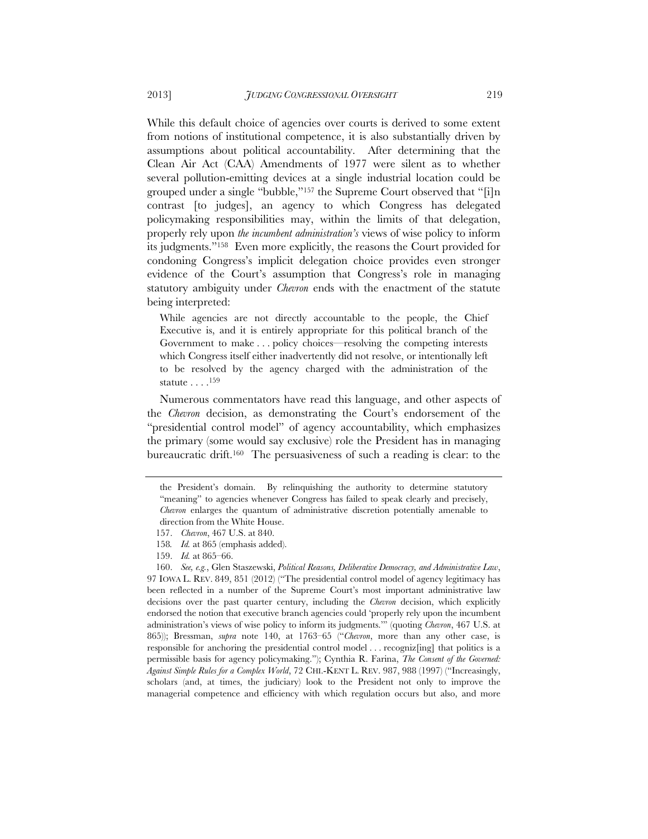While this default choice of agencies over courts is derived to some extent from notions of institutional competence, it is also substantially driven by assumptions about political accountability. After determining that the Clean Air Act (CAA) Amendments of 1977 were silent as to whether several pollution-emitting devices at a single industrial location could be grouped under a single "bubble,"157 the Supreme Court observed that "[i]n contrast [to judges], an agency to which Congress has delegated policymaking responsibilities may, within the limits of that delegation, properly rely upon *the incumbent administration's* views of wise policy to inform its judgments."158 Even more explicitly, the reasons the Court provided for condoning Congress's implicit delegation choice provides even stronger evidence of the Court's assumption that Congress's role in managing statutory ambiguity under *Chevron* ends with the enactment of the statute being interpreted:

While agencies are not directly accountable to the people, the Chief Executive is, and it is entirely appropriate for this political branch of the Government to make . . . policy choices—resolving the competing interests which Congress itself either inadvertently did not resolve, or intentionally left to be resolved by the agency charged with the administration of the statute . . . .159

Numerous commentators have read this language, and other aspects of the *Chevron* decision, as demonstrating the Court's endorsement of the "presidential control model" of agency accountability, which emphasizes the primary (some would say exclusive) role the President has in managing bureaucratic drift.<sup>160</sup> The persuasiveness of such a reading is clear: to the

the President's domain. By relinquishing the authority to determine statutory "meaning" to agencies whenever Congress has failed to speak clearly and precisely, *Chevron* enlarges the quantum of administrative discretion potentially amenable to direction from the White House.

 <sup>157.</sup> *Chevron*, 467 U.S. at 840.

<sup>158</sup>*. Id.* at 865 (emphasis added).

 <sup>159.</sup> *Id.* at 865–66.

 <sup>160.</sup> *See, e.g.*, Glen Staszewski, *Political Reasons, Deliberative Democracy, and Administrative Law*, 97 IOWA L. REV. 849, 851 (2012) ("The presidential control model of agency legitimacy has been reflected in a number of the Supreme Court's most important administrative law decisions over the past quarter century, including the *Chevron* decision, which explicitly endorsed the notion that executive branch agencies could 'properly rely upon the incumbent administration's views of wise policy to inform its judgments.'" (quoting *Chevron*, 467 U.S. at 865)); Bressman, *supra* note 140, at 1763–65 ("*Chevron*, more than any other case, is responsible for anchoring the presidential control model . . . recogniz[ing] that politics is a permissible basis for agency policymaking."); Cynthia R. Farina, *The Consent of the Governed: Against Simple Rules for a Complex World*, 72 CHI.-KENT L. REV. 987, 988 (1997) ("Increasingly, scholars (and, at times, the judiciary) look to the President not only to improve the managerial competence and efficiency with which regulation occurs but also, and more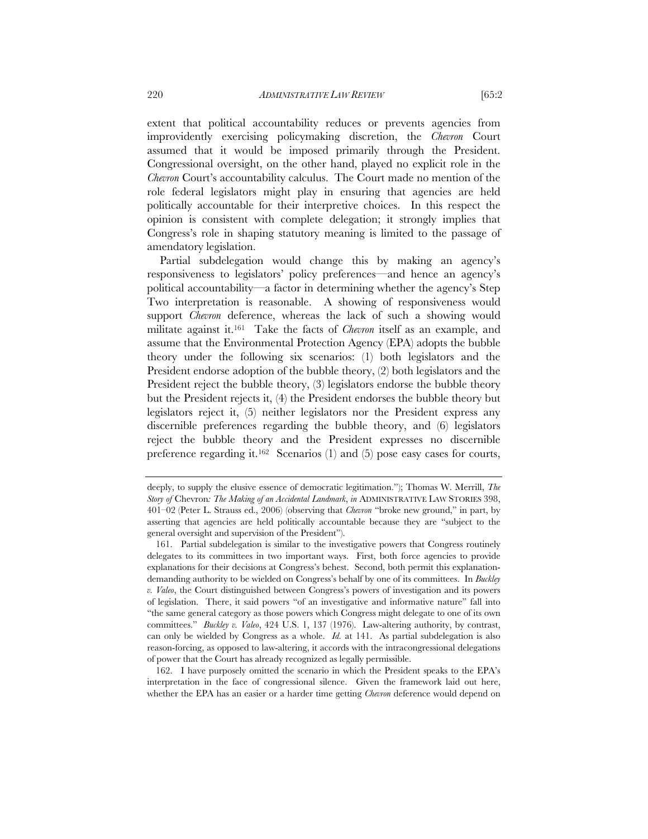extent that political accountability reduces or prevents agencies from improvidently exercising policymaking discretion, the *Chevron* Court assumed that it would be imposed primarily through the President. Congressional oversight, on the other hand, played no explicit role in the *Chevron* Court's accountability calculus. The Court made no mention of the role federal legislators might play in ensuring that agencies are held politically accountable for their interpretive choices. In this respect the opinion is consistent with complete delegation; it strongly implies that Congress's role in shaping statutory meaning is limited to the passage of amendatory legislation.

Partial subdelegation would change this by making an agency's responsiveness to legislators' policy preferences—and hence an agency's political accountability—a factor in determining whether the agency's Step Two interpretation is reasonable. A showing of responsiveness would support *Chevron* deference, whereas the lack of such a showing would militate against it.161 Take the facts of *Chevron* itself as an example, and assume that the Environmental Protection Agency (EPA) adopts the bubble theory under the following six scenarios: (1) both legislators and the President endorse adoption of the bubble theory, (2) both legislators and the President reject the bubble theory, (3) legislators endorse the bubble theory but the President rejects it, (4) the President endorses the bubble theory but legislators reject it, (5) neither legislators nor the President express any discernible preferences regarding the bubble theory, and (6) legislators reject the bubble theory and the President expresses no discernible preference regarding it.162 Scenarios (1) and (5) pose easy cases for courts,

 162. I have purposely omitted the scenario in which the President speaks to the EPA's interpretation in the face of congressional silence. Given the framework laid out here, whether the EPA has an easier or a harder time getting *Chevron* deference would depend on

deeply, to supply the elusive essence of democratic legitimation."); Thomas W. Merrill, *The Story of* Chevron*: The Making of an Accidental Landmark*, *in* ADMINISTRATIVE LAW STORIES 398, 401–02 (Peter L. Strauss ed., 2006) (observing that *Chevron* "broke new ground," in part, by asserting that agencies are held politically accountable because they are "subject to the general oversight and supervision of the President").

 <sup>161.</sup> Partial subdelegation is similar to the investigative powers that Congress routinely delegates to its committees in two important ways. First, both force agencies to provide explanations for their decisions at Congress's behest. Second, both permit this explanationdemanding authority to be wielded on Congress's behalf by one of its committees. In *Buckley v. Valeo*, the Court distinguished between Congress's powers of investigation and its powers of legislation. There, it said powers "of an investigative and informative nature" fall into "the same general category as those powers which Congress might delegate to one of its own committees." *Buckley v. Valeo*, 424 U.S. 1, 137 (1976). Law-altering authority, by contrast, can only be wielded by Congress as a whole. *Id.* at 141. As partial subdelegation is also reason-forcing, as opposed to law-altering, it accords with the intracongressional delegations of power that the Court has already recognized as legally permissible.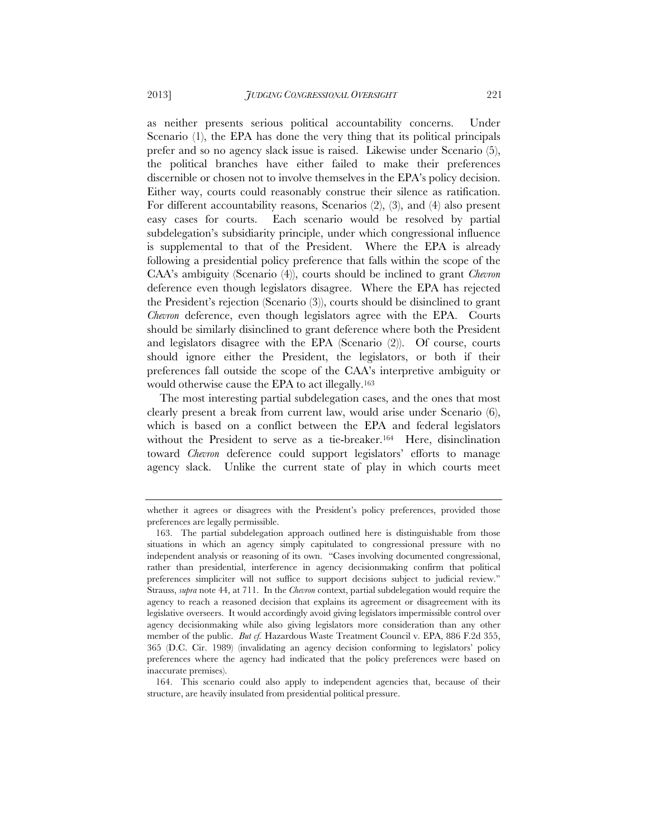as neither presents serious political accountability concerns. Under Scenario (1), the EPA has done the very thing that its political principals prefer and so no agency slack issue is raised. Likewise under Scenario (5), the political branches have either failed to make their preferences discernible or chosen not to involve themselves in the EPA's policy decision. Either way, courts could reasonably construe their silence as ratification. For different accountability reasons, Scenarios (2), (3), and (4) also present easy cases for courts. Each scenario would be resolved by partial subdelegation's subsidiarity principle, under which congressional influence is supplemental to that of the President. Where the EPA is already following a presidential policy preference that falls within the scope of the CAA's ambiguity (Scenario (4)), courts should be inclined to grant *Chevron*  deference even though legislators disagree. Where the EPA has rejected the President's rejection (Scenario (3)), courts should be disinclined to grant *Chevron* deference, even though legislators agree with the EPA. Courts should be similarly disinclined to grant deference where both the President and legislators disagree with the EPA (Scenario (2)). Of course, courts should ignore either the President, the legislators, or both if their preferences fall outside the scope of the CAA's interpretive ambiguity or would otherwise cause the EPA to act illegally.163

The most interesting partial subdelegation cases, and the ones that most clearly present a break from current law, would arise under Scenario (6), which is based on a conflict between the EPA and federal legislators without the President to serve as a tie-breaker.<sup>164</sup> Here, disinclination toward *Chevron* deference could support legislators' efforts to manage agency slack. Unlike the current state of play in which courts meet

 164. This scenario could also apply to independent agencies that, because of their structure, are heavily insulated from presidential political pressure.

whether it agrees or disagrees with the President's policy preferences, provided those preferences are legally permissible.

 <sup>163.</sup> The partial subdelegation approach outlined here is distinguishable from those situations in which an agency simply capitulated to congressional pressure with no independent analysis or reasoning of its own. "Cases involving documented congressional, rather than presidential, interference in agency decisionmaking confirm that political preferences simpliciter will not suffice to support decisions subject to judicial review." Strauss, *supra* note 44, at 711. In the *Chevron* context, partial subdelegation would require the agency to reach a reasoned decision that explains its agreement or disagreement with its legislative overseers. It would accordingly avoid giving legislators impermissible control over agency decisionmaking while also giving legislators more consideration than any other member of the public. *But cf.* Hazardous Waste Treatment Council v. EPA, 886 F.2d 355, 365 (D.C. Cir. 1989) (invalidating an agency decision conforming to legislators' policy preferences where the agency had indicated that the policy preferences were based on inaccurate premises).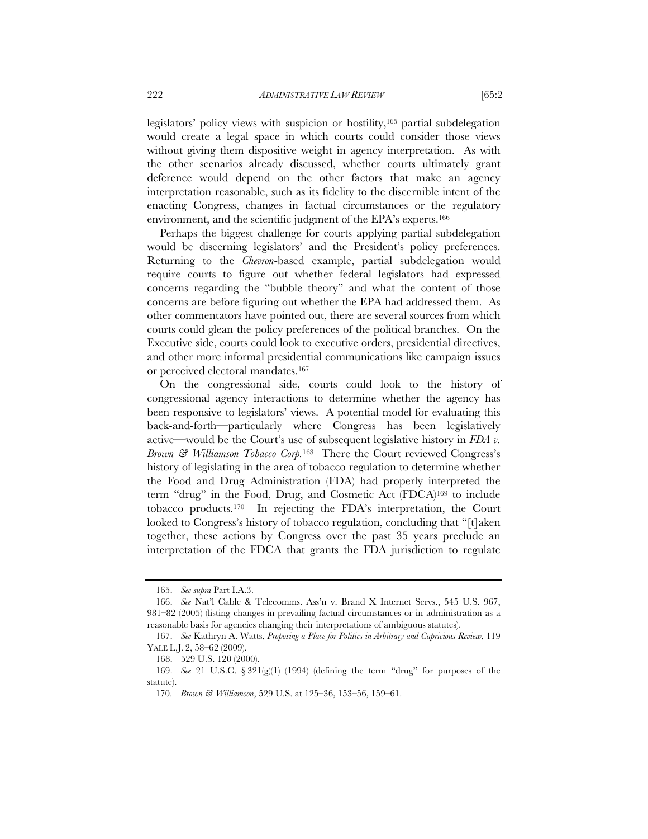legislators' policy views with suspicion or hostility,165 partial subdelegation would create a legal space in which courts could consider those views without giving them dispositive weight in agency interpretation. As with the other scenarios already discussed, whether courts ultimately grant deference would depend on the other factors that make an agency interpretation reasonable, such as its fidelity to the discernible intent of the enacting Congress, changes in factual circumstances or the regulatory environment, and the scientific judgment of the EPA's experts.<sup>166</sup>

Perhaps the biggest challenge for courts applying partial subdelegation would be discerning legislators' and the President's policy preferences. Returning to the *Chevron*-based example, partial subdelegation would require courts to figure out whether federal legislators had expressed concerns regarding the "bubble theory" and what the content of those concerns are before figuring out whether the EPA had addressed them. As other commentators have pointed out, there are several sources from which courts could glean the policy preferences of the political branches. On the Executive side, courts could look to executive orders, presidential directives, and other more informal presidential communications like campaign issues or perceived electoral mandates.167

On the congressional side, courts could look to the history of congressional–agency interactions to determine whether the agency has been responsive to legislators' views. A potential model for evaluating this back-and-forth—particularly where Congress has been legislatively active—would be the Court's use of subsequent legislative history in *FDA v. Brown & Williamson Tobacco Corp.*<sup>168</sup>There the Court reviewed Congress's history of legislating in the area of tobacco regulation to determine whether the Food and Drug Administration (FDA) had properly interpreted the term "drug" in the Food, Drug, and Cosmetic Act (FDCA)169 to include tobacco products.170 In rejecting the FDA's interpretation, the Court looked to Congress's history of tobacco regulation, concluding that "[t]aken together, these actions by Congress over the past 35 years preclude an interpretation of the FDCA that grants the FDA jurisdiction to regulate

 <sup>165.</sup> *See supra* Part I.A.3.

 <sup>166.</sup> *See* Nat'l Cable & Telecomms. Ass'n v. Brand X Internet Servs., 545 U.S. 967, 981–82 (2005) (listing changes in prevailing factual circumstances or in administration as a reasonable basis for agencies changing their interpretations of ambiguous statutes).

 <sup>167.</sup> *See* Kathryn A. Watts, *Proposing a Place for Politics in Arbitrary and Capricious Review*, 119 YALE L.J. 2, 58–62 (2009).

 <sup>168. 529</sup> U.S. 120 (2000).

 <sup>169.</sup> *See* 21 U.S.C. § 321(g)(1) (1994) (defining the term "drug" for purposes of the statute).

<sup>170.</sup> *Brown & Williamson*, 529 U.S. at 125–36, 153–56, 159–61.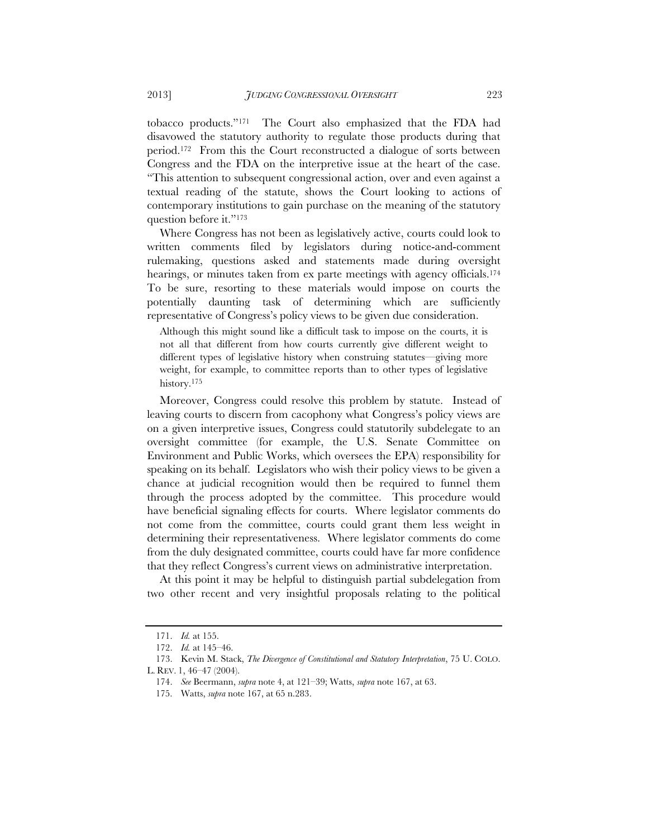tobacco products."171 The Court also emphasized that the FDA had disavowed the statutory authority to regulate those products during that period.172 From this the Court reconstructed a dialogue of sorts between Congress and the FDA on the interpretive issue at the heart of the case. "This attention to subsequent congressional action, over and even against a textual reading of the statute, shows the Court looking to actions of contemporary institutions to gain purchase on the meaning of the statutory question before it."173

Where Congress has not been as legislatively active, courts could look to written comments filed by legislators during notice-and-comment rulemaking, questions asked and statements made during oversight hearings, or minutes taken from ex parte meetings with agency officials.<sup>174</sup> To be sure, resorting to these materials would impose on courts the potentially daunting task of determining which are sufficiently representative of Congress's policy views to be given due consideration.

Although this might sound like a difficult task to impose on the courts, it is not all that different from how courts currently give different weight to different types of legislative history when construing statutes—giving more weight, for example, to committee reports than to other types of legislative history.175

Moreover, Congress could resolve this problem by statute. Instead of leaving courts to discern from cacophony what Congress's policy views are on a given interpretive issues, Congress could statutorily subdelegate to an oversight committee (for example, the U.S. Senate Committee on Environment and Public Works, which oversees the EPA) responsibility for speaking on its behalf. Legislators who wish their policy views to be given a chance at judicial recognition would then be required to funnel them through the process adopted by the committee. This procedure would have beneficial signaling effects for courts. Where legislator comments do not come from the committee, courts could grant them less weight in determining their representativeness. Where legislator comments do come from the duly designated committee, courts could have far more confidence that they reflect Congress's current views on administrative interpretation.

At this point it may be helpful to distinguish partial subdelegation from two other recent and very insightful proposals relating to the political

 <sup>171.</sup> *Id.* at 155.

 <sup>172.</sup> *Id.* at 145–46.

 <sup>173.</sup> Kevin M. Stack, *The Divergence of Constitutional and Statutory Interpretation*, 75 U. COLO.

L. REV. 1, 46–47 (2004).

 <sup>174.</sup> *See* Beermann, *supra* note 4, at 121–39; Watts, *supra* note 167, at 63.

 <sup>175.</sup> Watts, *supra* note 167, at 65 n.283.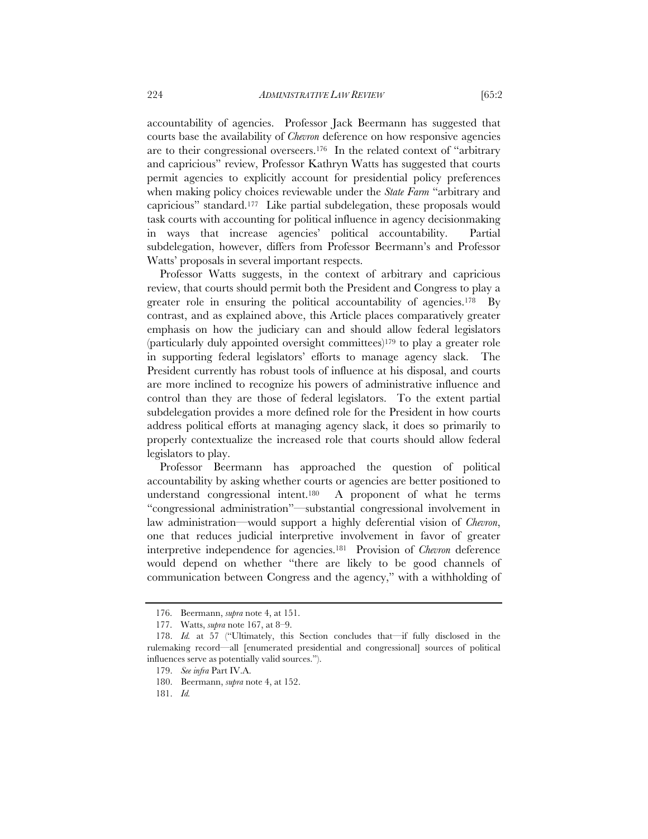accountability of agencies. Professor Jack Beermann has suggested that courts base the availability of *Chevron* deference on how responsive agencies are to their congressional overseers.176 In the related context of "arbitrary and capricious" review, Professor Kathryn Watts has suggested that courts permit agencies to explicitly account for presidential policy preferences when making policy choices reviewable under the *State Farm* "arbitrary and capricious" standard.177 Like partial subdelegation, these proposals would task courts with accounting for political influence in agency decisionmaking in ways that increase agencies' political accountability. Partial subdelegation, however, differs from Professor Beermann's and Professor Watts' proposals in several important respects.

Professor Watts suggests, in the context of arbitrary and capricious review, that courts should permit both the President and Congress to play a greater role in ensuring the political accountability of agencies.<sup>178</sup> By contrast, and as explained above, this Article places comparatively greater emphasis on how the judiciary can and should allow federal legislators (particularly duly appointed oversight committees)179 to play a greater role in supporting federal legislators' efforts to manage agency slack. The President currently has robust tools of influence at his disposal, and courts are more inclined to recognize his powers of administrative influence and control than they are those of federal legislators. To the extent partial subdelegation provides a more defined role for the President in how courts address political efforts at managing agency slack, it does so primarily to properly contextualize the increased role that courts should allow federal legislators to play.

Professor Beermann has approached the question of political accountability by asking whether courts or agencies are better positioned to understand congressional intent.180 A proponent of what he terms "congressional administration"—substantial congressional involvement in law administration—would support a highly deferential vision of *Chevron*, one that reduces judicial interpretive involvement in favor of greater interpretive independence for agencies.181 Provision of *Chevron* deference would depend on whether "there are likely to be good channels of communication between Congress and the agency," with a withholding of

<sup>176.</sup> Beermann, *supra* note 4, at 151.

 <sup>177.</sup> Watts, *supra* note 167, at 8–9.

 <sup>178.</sup> *Id.* at 57 ("Ultimately, this Section concludes that—if fully disclosed in the rulemaking record—all [enumerated presidential and congressional] sources of political influences serve as potentially valid sources.").

 <sup>179.</sup> *See infra* Part IV.A.

 <sup>180.</sup> Beermann, *supra* note 4, at 152.

 <sup>181.</sup> *Id.*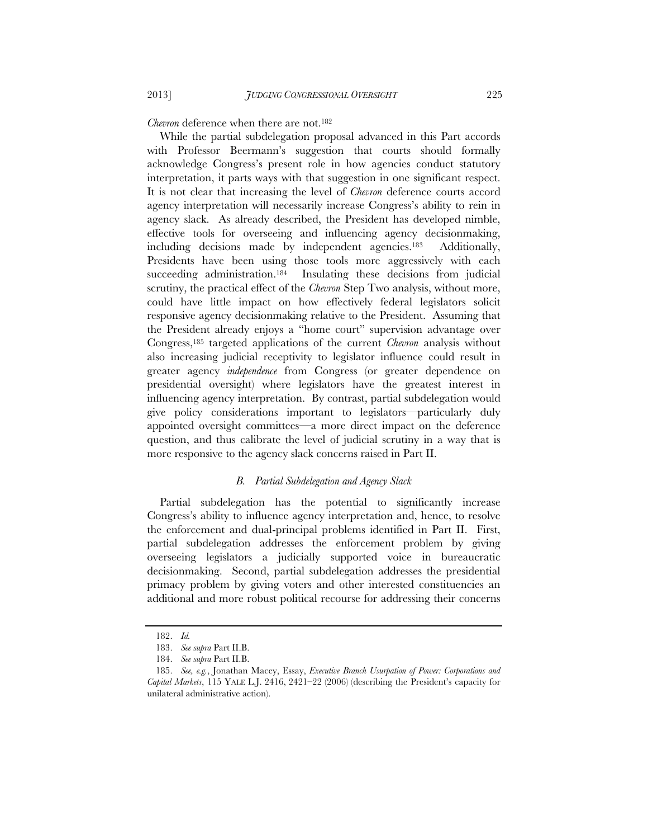*Chevron* deference when there are not.182

While the partial subdelegation proposal advanced in this Part accords with Professor Beermann's suggestion that courts should formally acknowledge Congress's present role in how agencies conduct statutory interpretation, it parts ways with that suggestion in one significant respect. It is not clear that increasing the level of *Chevron* deference courts accord agency interpretation will necessarily increase Congress's ability to rein in agency slack. As already described, the President has developed nimble, effective tools for overseeing and influencing agency decisionmaking, including decisions made by independent agencies.183 Additionally, Presidents have been using those tools more aggressively with each succeeding administration.<sup>184</sup> Insulating these decisions from judicial scrutiny, the practical effect of the *Chevron* Step Two analysis, without more, could have little impact on how effectively federal legislators solicit responsive agency decisionmaking relative to the President. Assuming that the President already enjoys a "home court" supervision advantage over Congress,185 targeted applications of the current *Chevron* analysis without also increasing judicial receptivity to legislator influence could result in greater agency *independence* from Congress (or greater dependence on presidential oversight) where legislators have the greatest interest in influencing agency interpretation. By contrast, partial subdelegation would give policy considerations important to legislators—particularly duly appointed oversight committees—a more direct impact on the deference question, and thus calibrate the level of judicial scrutiny in a way that is more responsive to the agency slack concerns raised in Part II.

#### *B. Partial Subdelegation and Agency Slack*

Partial subdelegation has the potential to significantly increase Congress's ability to influence agency interpretation and, hence, to resolve the enforcement and dual-principal problems identified in Part II. First, partial subdelegation addresses the enforcement problem by giving overseeing legislators a judicially supported voice in bureaucratic decisionmaking. Second, partial subdelegation addresses the presidential primacy problem by giving voters and other interested constituencies an additional and more robust political recourse for addressing their concerns

 <sup>182.</sup> *Id.*

 <sup>183.</sup> *See supra* Part II.B.

 <sup>184.</sup> *See supra* Part II.B.

 <sup>185.</sup> *See, e.g.*, Jonathan Macey, Essay, *Executive Branch Usurpation of Power: Corporations and Capital Markets*, 115 YALE L.J. 2416, 2421–22 (2006) (describing the President's capacity for unilateral administrative action).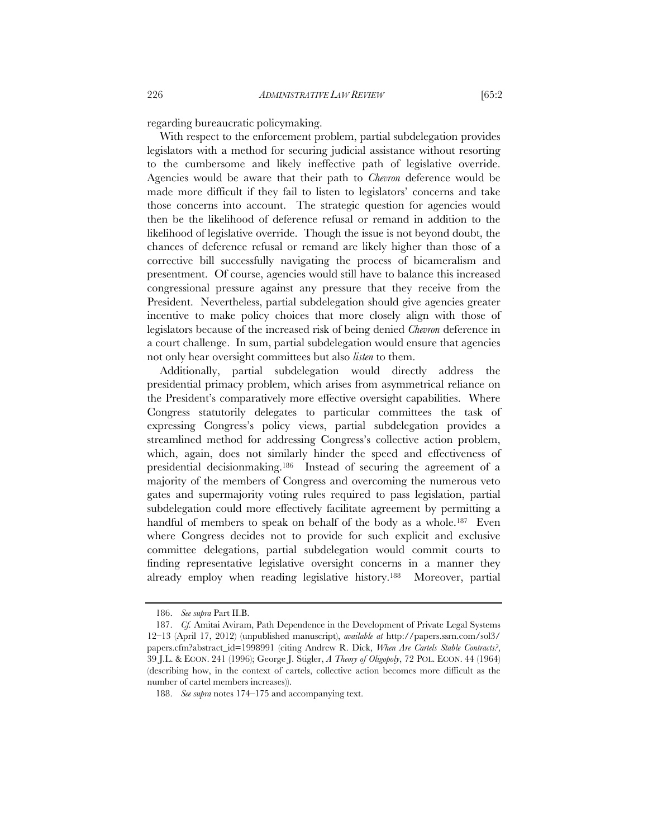regarding bureaucratic policymaking.

With respect to the enforcement problem, partial subdelegation provides legislators with a method for securing judicial assistance without resorting to the cumbersome and likely ineffective path of legislative override. Agencies would be aware that their path to *Chevron* deference would be made more difficult if they fail to listen to legislators' concerns and take those concerns into account. The strategic question for agencies would then be the likelihood of deference refusal or remand in addition to the likelihood of legislative override. Though the issue is not beyond doubt, the chances of deference refusal or remand are likely higher than those of a corrective bill successfully navigating the process of bicameralism and presentment. Of course, agencies would still have to balance this increased congressional pressure against any pressure that they receive from the President. Nevertheless, partial subdelegation should give agencies greater incentive to make policy choices that more closely align with those of legislators because of the increased risk of being denied *Chevron* deference in a court challenge. In sum, partial subdelegation would ensure that agencies not only hear oversight committees but also *listen* to them.

Additionally, partial subdelegation would directly address the presidential primacy problem, which arises from asymmetrical reliance on the President's comparatively more effective oversight capabilities. Where Congress statutorily delegates to particular committees the task of expressing Congress's policy views, partial subdelegation provides a streamlined method for addressing Congress's collective action problem, which, again, does not similarly hinder the speed and effectiveness of presidential decisionmaking.186 Instead of securing the agreement of a majority of the members of Congress and overcoming the numerous veto gates and supermajority voting rules required to pass legislation, partial subdelegation could more effectively facilitate agreement by permitting a handful of members to speak on behalf of the body as a whole.<sup>187</sup> Even where Congress decides not to provide for such explicit and exclusive committee delegations, partial subdelegation would commit courts to finding representative legislative oversight concerns in a manner they already employ when reading legislative history.188 Moreover, partial

 <sup>186.</sup> *See supra* Part II.B.

 <sup>187.</sup> *Cf.* Amitai Aviram, Path Dependence in the Development of Private Legal Systems 12–13 (April 17, 2012) (unpublished manuscript), *available at* http://papers.ssrn.com/sol3/ papers.cfm?abstract\_id=1998991 (citing Andrew R. Dick, *When Are Cartels Stable Contracts?*, 39 J.L. & ECON. 241 (1996); George J. Stigler, *A Theory of Oligopoly*, 72 POL. ECON. 44 (1964) (describing how, in the context of cartels, collective action becomes more difficult as the number of cartel members increases)).

 <sup>188.</sup> *See supra* notes 174–175 and accompanying text.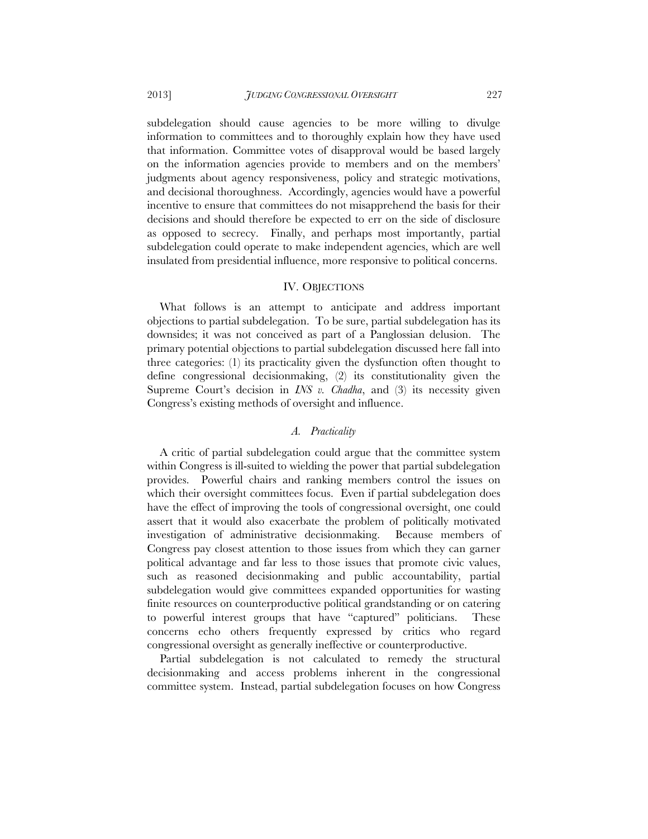subdelegation should cause agencies to be more willing to divulge information to committees and to thoroughly explain how they have used that information. Committee votes of disapproval would be based largely on the information agencies provide to members and on the members' judgments about agency responsiveness, policy and strategic motivations, and decisional thoroughness. Accordingly, agencies would have a powerful incentive to ensure that committees do not misapprehend the basis for their decisions and should therefore be expected to err on the side of disclosure as opposed to secrecy. Finally, and perhaps most importantly, partial subdelegation could operate to make independent agencies, which are well insulated from presidential influence, more responsive to political concerns.

#### IV. OBJECTIONS

What follows is an attempt to anticipate and address important objections to partial subdelegation. To be sure, partial subdelegation has its downsides; it was not conceived as part of a Panglossian delusion. The primary potential objections to partial subdelegation discussed here fall into three categories: (1) its practicality given the dysfunction often thought to define congressional decisionmaking, (2) its constitutionality given the Supreme Court's decision in *INS v. Chadha*, and (3) its necessity given Congress's existing methods of oversight and influence.

## *A. Practicality*

A critic of partial subdelegation could argue that the committee system within Congress is ill-suited to wielding the power that partial subdelegation provides. Powerful chairs and ranking members control the issues on which their oversight committees focus. Even if partial subdelegation does have the effect of improving the tools of congressional oversight, one could assert that it would also exacerbate the problem of politically motivated investigation of administrative decisionmaking. Because members of Congress pay closest attention to those issues from which they can garner political advantage and far less to those issues that promote civic values, such as reasoned decisionmaking and public accountability, partial subdelegation would give committees expanded opportunities for wasting finite resources on counterproductive political grandstanding or on catering to powerful interest groups that have "captured" politicians. These concerns echo others frequently expressed by critics who regard congressional oversight as generally ineffective or counterproductive.

Partial subdelegation is not calculated to remedy the structural decisionmaking and access problems inherent in the congressional committee system. Instead, partial subdelegation focuses on how Congress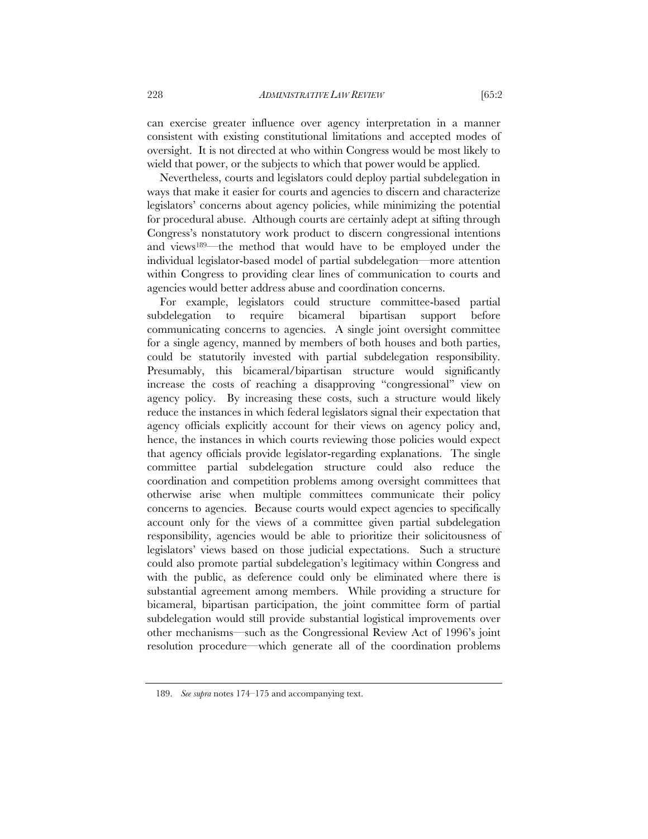can exercise greater influence over agency interpretation in a manner consistent with existing constitutional limitations and accepted modes of oversight. It is not directed at who within Congress would be most likely to wield that power, or the subjects to which that power would be applied.

Nevertheless, courts and legislators could deploy partial subdelegation in ways that make it easier for courts and agencies to discern and characterize legislators' concerns about agency policies, while minimizing the potential for procedural abuse. Although courts are certainly adept at sifting through Congress's nonstatutory work product to discern congressional intentions and views189—the method that would have to be employed under the individual legislator-based model of partial subdelegation—more attention within Congress to providing clear lines of communication to courts and agencies would better address abuse and coordination concerns.

For example, legislators could structure committee-based partial subdelegation to require bicameral bipartisan support before communicating concerns to agencies. A single joint oversight committee for a single agency, manned by members of both houses and both parties, could be statutorily invested with partial subdelegation responsibility. Presumably, this bicameral/bipartisan structure would significantly increase the costs of reaching a disapproving "congressional" view on agency policy. By increasing these costs, such a structure would likely reduce the instances in which federal legislators signal their expectation that agency officials explicitly account for their views on agency policy and, hence, the instances in which courts reviewing those policies would expect that agency officials provide legislator-regarding explanations. The single committee partial subdelegation structure could also reduce the coordination and competition problems among oversight committees that otherwise arise when multiple committees communicate their policy concerns to agencies. Because courts would expect agencies to specifically account only for the views of a committee given partial subdelegation responsibility, agencies would be able to prioritize their solicitousness of legislators' views based on those judicial expectations. Such a structure could also promote partial subdelegation's legitimacy within Congress and with the public, as deference could only be eliminated where there is substantial agreement among members. While providing a structure for bicameral, bipartisan participation, the joint committee form of partial subdelegation would still provide substantial logistical improvements over other mechanisms—such as the Congressional Review Act of 1996's joint resolution procedure—which generate all of the coordination problems

 <sup>189.</sup> *See supra* notes 174–175 and accompanying text.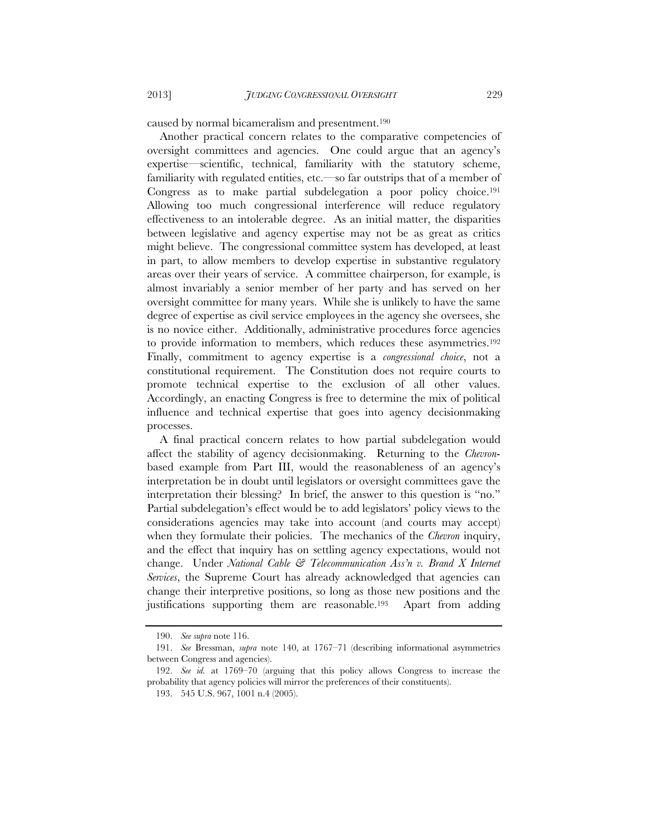caused by normal bicameralism and presentment.190

Another practical concern relates to the comparative competencies of oversight committees and agencies. One could argue that an agency's expertise—scientific, technical, familiarity with the statutory scheme, familiarity with regulated entities, etc.—so far outstrips that of a member of Congress as to make partial subdelegation a poor policy choice.191 Allowing too much congressional interference will reduce regulatory effectiveness to an intolerable degree. As an initial matter, the disparities between legislative and agency expertise may not be as great as critics might believe. The congressional committee system has developed, at least in part, to allow members to develop expertise in substantive regulatory areas over their years of service. A committee chairperson, for example, is almost invariably a senior member of her party and has served on her oversight committee for many years. While she is unlikely to have the same degree of expertise as civil service employees in the agency she oversees, she is no novice either. Additionally, administrative procedures force agencies to provide information to members, which reduces these asymmetries.192 Finally, commitment to agency expertise is a *congressional choice*, not a constitutional requirement. The Constitution does not require courts to promote technical expertise to the exclusion of all other values. Accordingly, an enacting Congress is free to determine the mix of political influence and technical expertise that goes into agency decisionmaking processes.

A final practical concern relates to how partial subdelegation would affect the stability of agency decisionmaking. Returning to the *Chevron*based example from Part III, would the reasonableness of an agency's interpretation be in doubt until legislators or oversight committees gave the interpretation their blessing? In brief, the answer to this question is "no." Partial subdelegation's effect would be to add legislators' policy views to the considerations agencies may take into account (and courts may accept) when they formulate their policies. The mechanics of the *Chevron* inquiry, and the effect that inquiry has on settling agency expectations, would not change. Under *National Cable & Telecommunication Ass'n v. Brand X Internet Services*, the Supreme Court has already acknowledged that agencies can change their interpretive positions, so long as those new positions and the justifications supporting them are reasonable.193 Apart from adding

 <sup>190.</sup> *See supra* note 116.

 <sup>191.</sup> *See* Bressman, *supra* note 140, at 1767–71 (describing informational asymmetries between Congress and agencies).

 <sup>192.</sup> *See id.* at 1769–70 (arguing that this policy allows Congress to increase the probability that agency policies will mirror the preferences of their constituents).

 <sup>193. 545</sup> U.S. 967, 1001 n.4 (2005).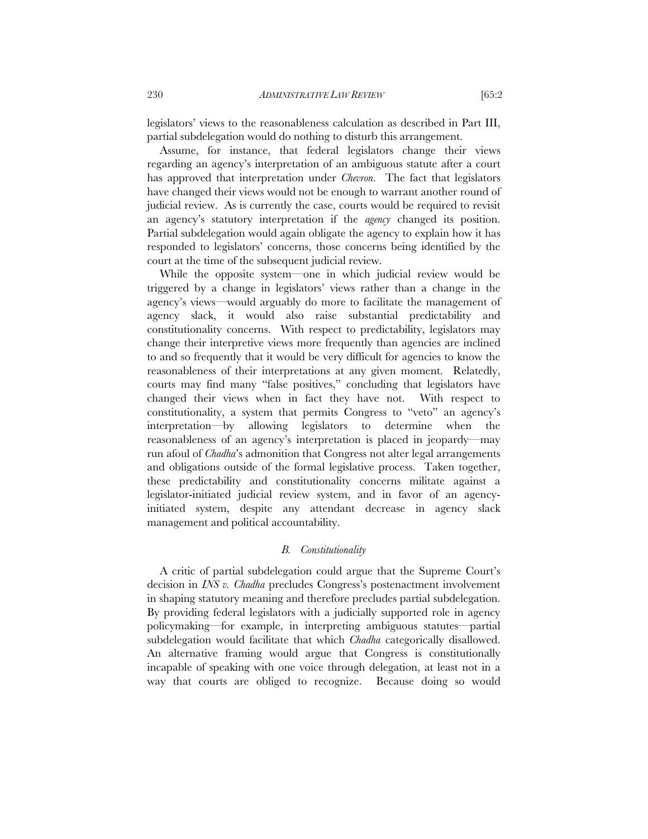legislators' views to the reasonableness calculation as described in Part III, partial subdelegation would do nothing to disturb this arrangement.

Assume, for instance, that federal legislators change their views regarding an agency's interpretation of an ambiguous statute after a court has approved that interpretation under *Chevron*. The fact that legislators have changed their views would not be enough to warrant another round of judicial review. As is currently the case, courts would be required to revisit an agency's statutory interpretation if the *agency* changed its position. Partial subdelegation would again obligate the agency to explain how it has responded to legislators' concerns, those concerns being identified by the court at the time of the subsequent judicial review.

While the opposite system—one in which judicial review would be triggered by a change in legislators' views rather than a change in the agency's views—would arguably do more to facilitate the management of agency slack, it would also raise substantial predictability and constitutionality concerns. With respect to predictability, legislators may change their interpretive views more frequently than agencies are inclined to and so frequently that it would be very difficult for agencies to know the reasonableness of their interpretations at any given moment. Relatedly, courts may find many "false positives," concluding that legislators have changed their views when in fact they have not. With respect to constitutionality, a system that permits Congress to "veto" an agency's interpretation—by allowing legislators to determine when the reasonableness of an agency's interpretation is placed in jeopardy—may run afoul of *Chadha*'s admonition that Congress not alter legal arrangements and obligations outside of the formal legislative process. Taken together, these predictability and constitutionality concerns militate against a legislator-initiated judicial review system, and in favor of an agencyinitiated system, despite any attendant decrease in agency slack management and political accountability.

#### *B. Constitutionality*

A critic of partial subdelegation could argue that the Supreme Court's decision in *INS v. Chadha* precludes Congress's postenactment involvement in shaping statutory meaning and therefore precludes partial subdelegation. By providing federal legislators with a judicially supported role in agency policymaking—for example, in interpreting ambiguous statutes—partial subdelegation would facilitate that which *Chadha* categorically disallowed. An alternative framing would argue that Congress is constitutionally incapable of speaking with one voice through delegation, at least not in a way that courts are obliged to recognize. Because doing so would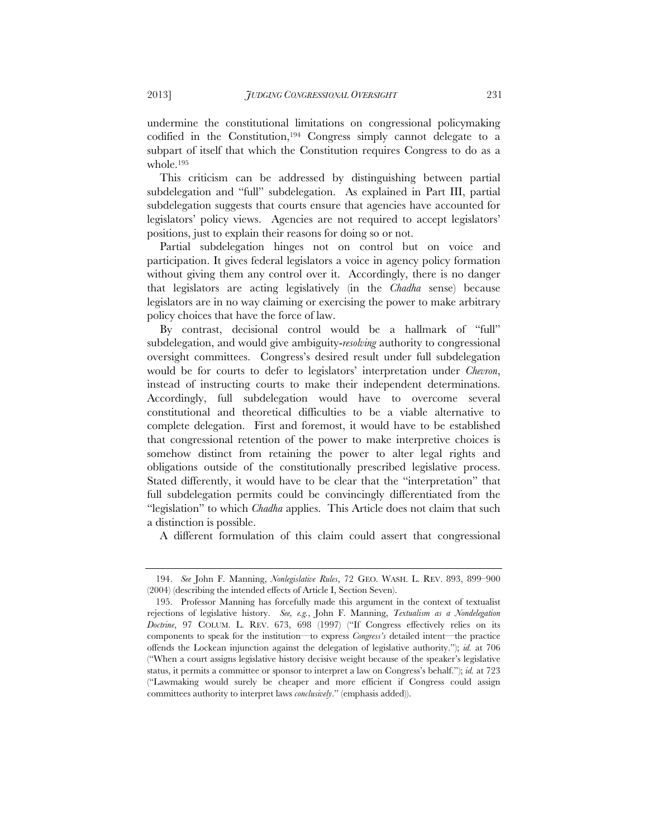undermine the constitutional limitations on congressional policymaking codified in the Constitution,194 Congress simply cannot delegate to a subpart of itself that which the Constitution requires Congress to do as a whole.195

This criticism can be addressed by distinguishing between partial subdelegation and "full" subdelegation. As explained in Part III, partial subdelegation suggests that courts ensure that agencies have accounted for legislators' policy views. Agencies are not required to accept legislators' positions, just to explain their reasons for doing so or not.

Partial subdelegation hinges not on control but on voice and participation. It gives federal legislators a voice in agency policy formation without giving them any control over it. Accordingly, there is no danger that legislators are acting legislatively (in the *Chadha* sense) because legislators are in no way claiming or exercising the power to make arbitrary policy choices that have the force of law.

By contrast, decisional control would be a hallmark of "full" subdelegation, and would give ambiguity-*resolving* authority to congressional oversight committees. Congress's desired result under full subdelegation would be for courts to defer to legislators' interpretation under *Chevron*, instead of instructing courts to make their independent determinations. Accordingly, full subdelegation would have to overcome several constitutional and theoretical difficulties to be a viable alternative to complete delegation. First and foremost, it would have to be established that congressional retention of the power to make interpretive choices is somehow distinct from retaining the power to alter legal rights and obligations outside of the constitutionally prescribed legislative process. Stated differently, it would have to be clear that the "interpretation" that full subdelegation permits could be convincingly differentiated from the "legislation" to which *Chadha* applies. This Article does not claim that such a distinction is possible.

A different formulation of this claim could assert that congressional

 <sup>194.</sup> *See* John F. Manning, *Nonlegislative Rules*, 72 GEO. WASH. L. REV. 893, 899–900 (2004) (describing the intended effects of Article I, Section Seven).

 <sup>195.</sup> Professor Manning has forcefully made this argument in the context of textualist rejections of legislative history. *See, e.g.*, John F. Manning, *Textualism as a Nondelegation Doctrine*, 97 COLUM. L. REV. 673, 698 (1997) ("If Congress effectively relies on its components to speak for the institution—to express *Congress's* detailed intent—the practice offends the Lockean injunction against the delegation of legislative authority."); *id.* at 706 ("When a court assigns legislative history decisive weight because of the speaker's legislative status, it permits a committee or sponsor to interpret a law on Congress's behalf."); *id.* at 723 ("Lawmaking would surely be cheaper and more efficient if Congress could assign committees authority to interpret laws *conclusively*." (emphasis added)).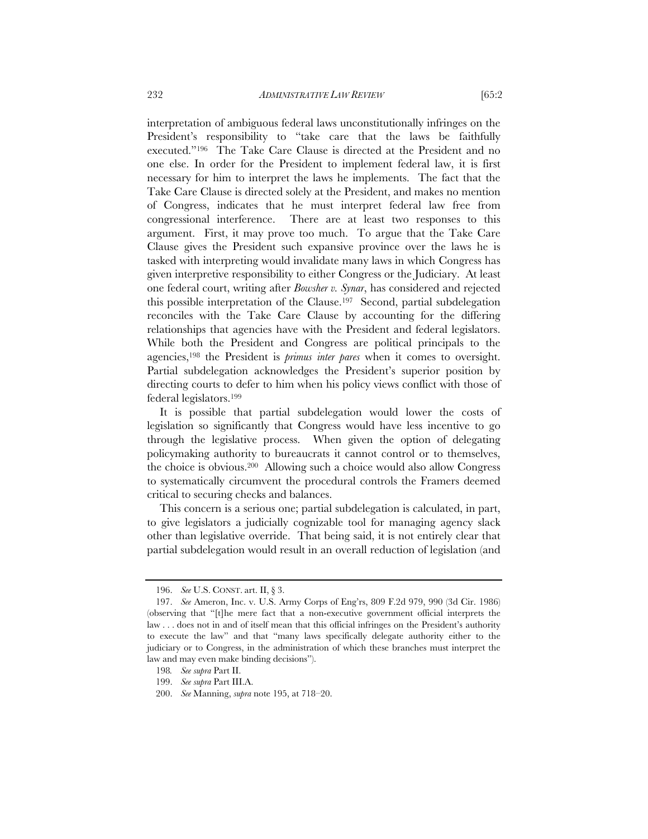interpretation of ambiguous federal laws unconstitutionally infringes on the President's responsibility to "take care that the laws be faithfully executed."196 The Take Care Clause is directed at the President and no one else. In order for the President to implement federal law, it is first necessary for him to interpret the laws he implements. The fact that the Take Care Clause is directed solely at the President, and makes no mention of Congress, indicates that he must interpret federal law free from congressional interference. There are at least two responses to this argument. First, it may prove too much. To argue that the Take Care Clause gives the President such expansive province over the laws he is tasked with interpreting would invalidate many laws in which Congress has given interpretive responsibility to either Congress or the Judiciary. At least one federal court, writing after *Bowsher v. Synar*, has considered and rejected this possible interpretation of the Clause.197 Second, partial subdelegation reconciles with the Take Care Clause by accounting for the differing relationships that agencies have with the President and federal legislators. While both the President and Congress are political principals to the agencies,198 the President is *primus inter pares* when it comes to oversight. Partial subdelegation acknowledges the President's superior position by directing courts to defer to him when his policy views conflict with those of federal legislators.199

It is possible that partial subdelegation would lower the costs of legislation so significantly that Congress would have less incentive to go through the legislative process. When given the option of delegating policymaking authority to bureaucrats it cannot control or to themselves, the choice is obvious.200 Allowing such a choice would also allow Congress to systematically circumvent the procedural controls the Framers deemed critical to securing checks and balances.

This concern is a serious one; partial subdelegation is calculated, in part, to give legislators a judicially cognizable tool for managing agency slack other than legislative override. That being said, it is not entirely clear that partial subdelegation would result in an overall reduction of legislation (and

 <sup>196.</sup> *See* U.S. CONST. art. II, § 3.

 <sup>197.</sup> *See* Ameron, Inc. v. U.S. Army Corps of Eng'rs, 809 F.2d 979, 990 (3d Cir. 1986) (observing that "[t]he mere fact that a non-executive government official interprets the law . . . does not in and of itself mean that this official infringes on the President's authority to execute the law" and that "many laws specifically delegate authority either to the judiciary or to Congress, in the administration of which these branches must interpret the law and may even make binding decisions").

<sup>198</sup>*. See supra* Part II.

 <sup>199.</sup> *See supra* Part III.A.

 <sup>200.</sup> *See* Manning, *supra* note 195, at 718–20.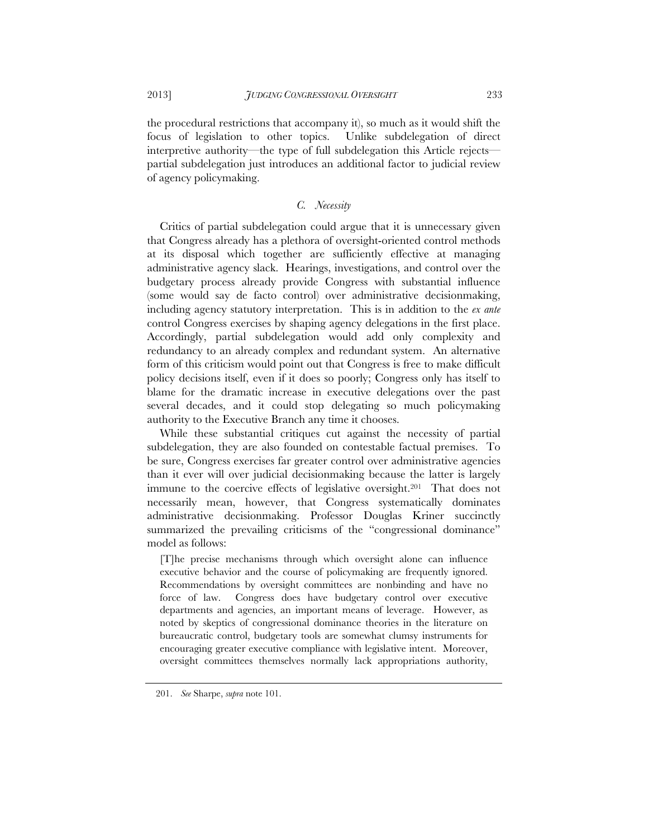the procedural restrictions that accompany it), so much as it would shift the focus of legislation to other topics. Unlike subdelegation of direct interpretive authority—the type of full subdelegation this Article rejects partial subdelegation just introduces an additional factor to judicial review of agency policymaking.

### *C. Necessity*

Critics of partial subdelegation could argue that it is unnecessary given that Congress already has a plethora of oversight-oriented control methods at its disposal which together are sufficiently effective at managing administrative agency slack. Hearings, investigations, and control over the budgetary process already provide Congress with substantial influence (some would say de facto control) over administrative decisionmaking, including agency statutory interpretation. This is in addition to the *ex ante*  control Congress exercises by shaping agency delegations in the first place. Accordingly, partial subdelegation would add only complexity and redundancy to an already complex and redundant system. An alternative form of this criticism would point out that Congress is free to make difficult policy decisions itself, even if it does so poorly; Congress only has itself to blame for the dramatic increase in executive delegations over the past several decades, and it could stop delegating so much policymaking authority to the Executive Branch any time it chooses.

While these substantial critiques cut against the necessity of partial subdelegation, they are also founded on contestable factual premises. To be sure, Congress exercises far greater control over administrative agencies than it ever will over judicial decisionmaking because the latter is largely immune to the coercive effects of legislative oversight.201 That does not necessarily mean, however, that Congress systematically dominates administrative decisionmaking. Professor Douglas Kriner succinctly summarized the prevailing criticisms of the "congressional dominance" model as follows:

[T]he precise mechanisms through which oversight alone can influence executive behavior and the course of policymaking are frequently ignored. Recommendations by oversight committees are nonbinding and have no force of law. Congress does have budgetary control over executive departments and agencies, an important means of leverage. However, as noted by skeptics of congressional dominance theories in the literature on bureaucratic control, budgetary tools are somewhat clumsy instruments for encouraging greater executive compliance with legislative intent. Moreover, oversight committees themselves normally lack appropriations authority,

 <sup>201.</sup> *See* Sharpe, *supra* note 101.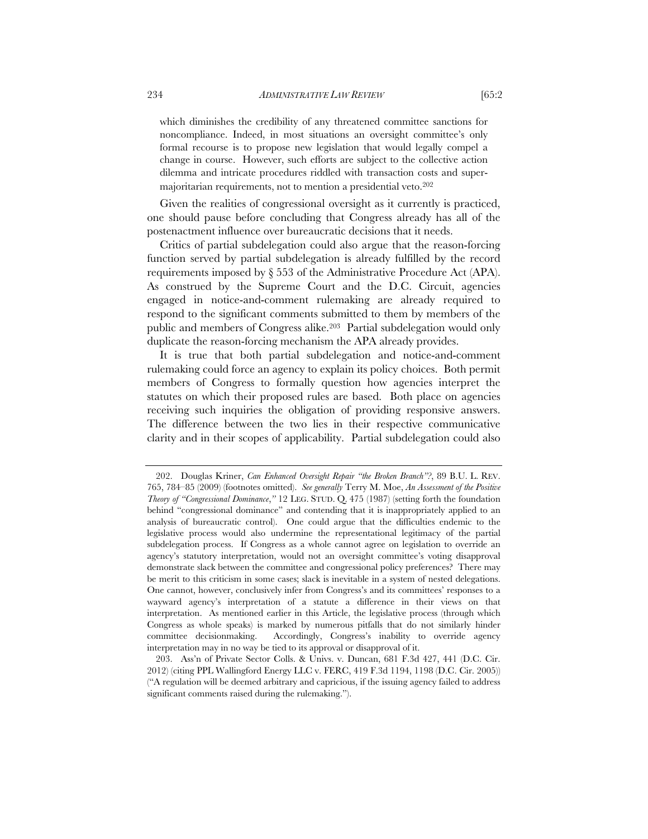which diminishes the credibility of any threatened committee sanctions for noncompliance. Indeed, in most situations an oversight committee's only formal recourse is to propose new legislation that would legally compel a change in course. However, such efforts are subject to the collective action dilemma and intricate procedures riddled with transaction costs and supermajoritarian requirements, not to mention a presidential veto.202

Given the realities of congressional oversight as it currently is practiced, one should pause before concluding that Congress already has all of the postenactment influence over bureaucratic decisions that it needs.

Critics of partial subdelegation could also argue that the reason-forcing function served by partial subdelegation is already fulfilled by the record requirements imposed by § 553 of the Administrative Procedure Act (APA). As construed by the Supreme Court and the D.C. Circuit, agencies engaged in notice-and-comment rulemaking are already required to respond to the significant comments submitted to them by members of the public and members of Congress alike.203 Partial subdelegation would only duplicate the reason-forcing mechanism the APA already provides.

It is true that both partial subdelegation and notice-and-comment rulemaking could force an agency to explain its policy choices. Both permit members of Congress to formally question how agencies interpret the statutes on which their proposed rules are based. Both place on agencies receiving such inquiries the obligation of providing responsive answers. The difference between the two lies in their respective communicative clarity and in their scopes of applicability. Partial subdelegation could also

 <sup>202.</sup> Douglas Kriner, *Can Enhanced Oversight Repair "the Broken Branch"?*, 89 B.U. L. REV. 765, 784–85 (2009) (footnotes omitted). *See generally* Terry M. Moe, *An Assessment of the Positive Theory of "Congressional Dominance*,*"* 12 LEG. STUD. Q. 475 (1987) (setting forth the foundation behind "congressional dominance" and contending that it is inappropriately applied to an analysis of bureaucratic control). One could argue that the difficulties endemic to the legislative process would also undermine the representational legitimacy of the partial subdelegation process. If Congress as a whole cannot agree on legislation to override an agency's statutory interpretation, would not an oversight committee's voting disapproval demonstrate slack between the committee and congressional policy preferences? There may be merit to this criticism in some cases; slack is inevitable in a system of nested delegations. One cannot, however, conclusively infer from Congress's and its committees' responses to a wayward agency's interpretation of a statute a difference in their views on that interpretation. As mentioned earlier in this Article, the legislative process (through which Congress as whole speaks) is marked by numerous pitfalls that do not similarly hinder committee decisionmaking. Accordingly, Congress's inability to override agency interpretation may in no way be tied to its approval or disapproval of it.

 <sup>203.</sup> Ass'n of Private Sector Colls. & Univs. v. Duncan, 681 F.3d 427, 441 (D.C. Cir. 2012) (citing PPL Wallingford Energy LLC v. FERC, 419 F.3d 1194, 1198 (D.C. Cir. 2005)) ("A regulation will be deemed arbitrary and capricious, if the issuing agency failed to address significant comments raised during the rulemaking.").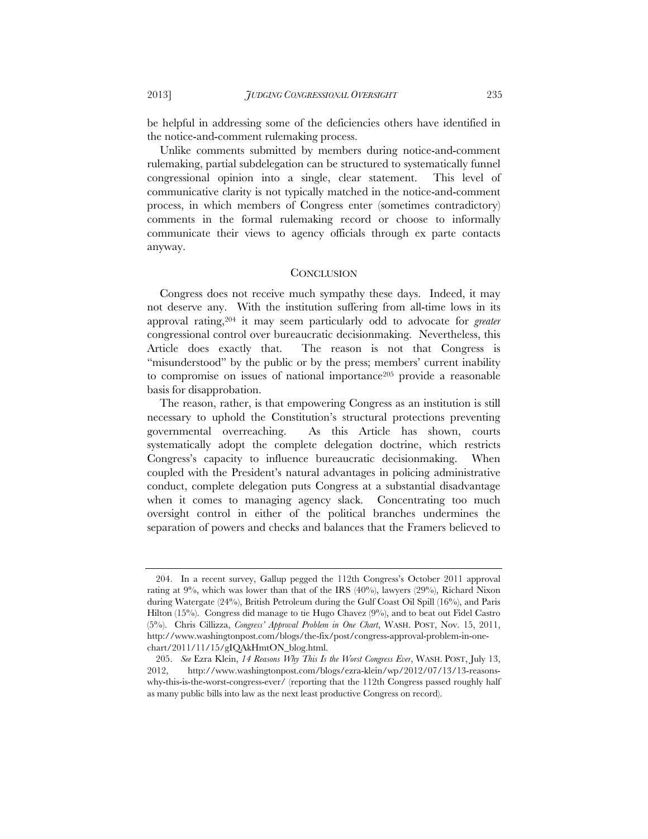be helpful in addressing some of the deficiencies others have identified in the notice-and-comment rulemaking process.

Unlike comments submitted by members during notice-and-comment rulemaking, partial subdelegation can be structured to systematically funnel congressional opinion into a single, clear statement. This level of communicative clarity is not typically matched in the notice-and-comment process, in which members of Congress enter (sometimes contradictory) comments in the formal rulemaking record or choose to informally communicate their views to agency officials through ex parte contacts anyway.

#### **CONCLUSION**

Congress does not receive much sympathy these days. Indeed, it may not deserve any. With the institution suffering from all-time lows in its approval rating,204 it may seem particularly odd to advocate for *greater*  congressional control over bureaucratic decisionmaking. Nevertheless, this Article does exactly that. The reason is not that Congress is "misunderstood" by the public or by the press; members' current inability to compromise on issues of national importance205 provide a reasonable basis for disapprobation.

The reason, rather, is that empowering Congress as an institution is still necessary to uphold the Constitution's structural protections preventing governmental overreaching. As this Article has shown, courts systematically adopt the complete delegation doctrine, which restricts Congress's capacity to influence bureaucratic decisionmaking. When coupled with the President's natural advantages in policing administrative conduct, complete delegation puts Congress at a substantial disadvantage when it comes to managing agency slack. Concentrating too much oversight control in either of the political branches undermines the separation of powers and checks and balances that the Framers believed to

 <sup>204.</sup> In a recent survey, Gallup pegged the 112th Congress's October 2011 approval rating at  $9\%$ , which was lower than that of the IRS  $(40\%)$ , lawyers  $(29\%)$ , Richard Nixon during Watergate (24%), British Petroleum during the Gulf Coast Oil Spill (16%), and Paris Hilton (15%). Congress did manage to tie Hugo Chavez (9%), and to beat out Fidel Castro (5%). Chris Cillizza, *Congress' Approval Problem in One Chart*, WASH. POST, Nov. 15, 2011, http://www.washingtonpost.com/blogs/the-fix/post/congress-approval-problem-in-onechart/2011/11/15/gIQAkHmtON\_blog.html.

 <sup>205.</sup> *See* Ezra Klein, *14 Reasons Why This Is the Worst Congress Ever*, WASH. POST, July 13, 2012, http://www.washingtonpost.com/blogs/ezra-klein/wp/2012/07/13/13-reasonswhy-this-is-the-worst-congress-ever/ (reporting that the 112th Congress passed roughly half as many public bills into law as the next least productive Congress on record).